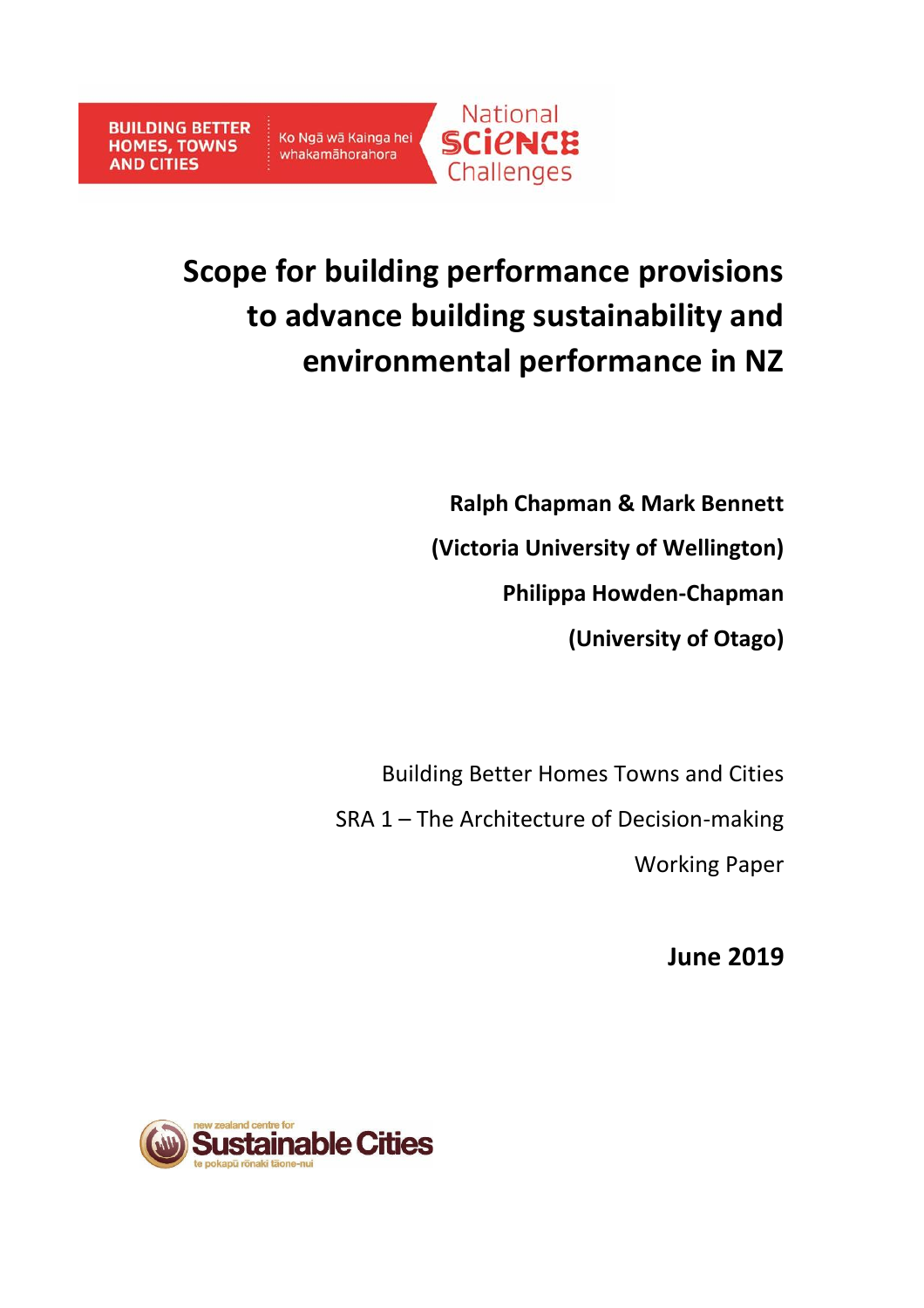# **Scope for building performance provisions to advance building sustainability and environmental performance in NZ**

**Ralph Chapman & Mark Bennett (Victoria University of Wellington) Philippa Howden-Chapman (University of Otago)**

Building Better Homes Towns and Cities SRA 1 – The Architecture of Decision-making Working Paper

**June 2019**

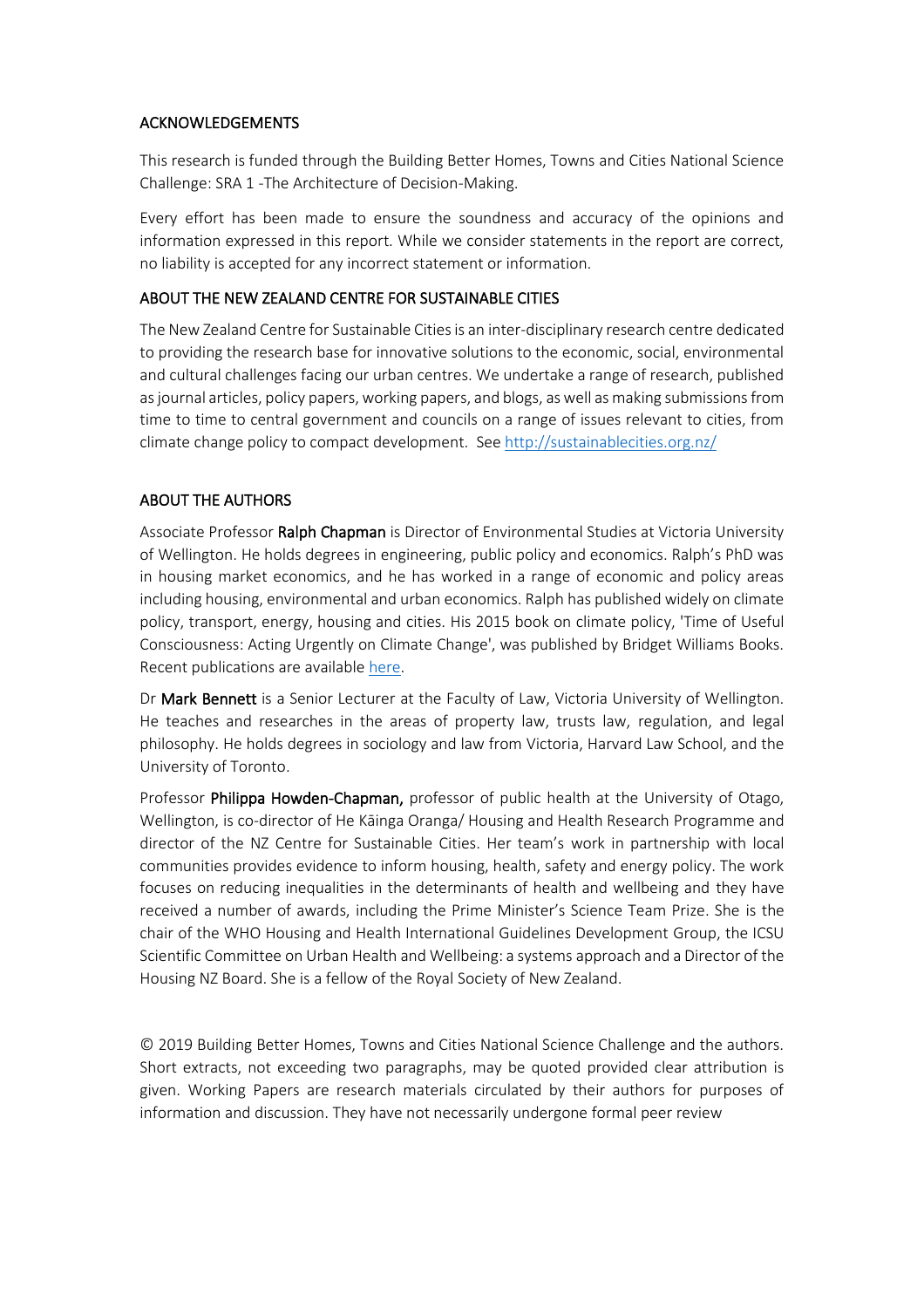#### ACKNOWLEDGEMENTS

This research is funded through the Building Better Homes, Towns and Cities National Science Challenge: SRA 1 -The Architecture of Decision-Making.

Every effort has been made to ensure the soundness and accuracy of the opinions and information expressed in this report. While we consider statements in the report are correct, no liability is accepted for any incorrect statement or information.

#### ABOUT THE NEW ZEALAND CENTRE FOR SUSTAINABLE CITIES

The New Zealand Centre for Sustainable Cities is an inter-disciplinary research centre dedicated to providing the research base for innovative solutions to the economic, social, environmental and cultural challenges facing our urban centres. We undertake a range of research, published as journal articles, policy papers, working papers, and blogs, as well as making submissions from time to time to central government and councils on a range of issues relevant to cities, from climate change policy to compact development. See http://sustainablecities.org.nz/

#### ABOUT THE AUTHORS

Associate Professor Ralph Chapman is Director of Environmental Studies at Victoria University of Wellington. He holds degrees in engineering, public policy and economics. Ralph's PhD was in housing market economics, and he has worked in a range of economic and policy areas including housing, environmental and urban economics. Ralph has published widely on climate policy, transport, energy, housing and cities. His 2015 book on climate policy, 'Time of Useful Consciousness: Acting Urgently on Climate Change', was published by Bridget Williams Books. Recent publications are available [here.](http://www.victoria.ac.nz/sgees/about/staff/staff-publications/publications-ralph-chapman)

Dr Mark Bennett is a Senior Lecturer at the Faculty of Law, Victoria University of Wellington. He teaches and researches in the areas of property law, trusts law, regulation, and legal philosophy. He holds degrees in sociology and law from Victoria, Harvard Law School, and the University of Toronto.

Professor Philippa Howden-Chapman, professor of public health at the University of Otago, Wellington, is co-director of He Kāinga Oranga/ Housing and Health Research Programme and director of the NZ Centre for Sustainable Cities. Her team's work in partnership with local communities provides evidence to inform housing, health, safety and energy policy. The work focuses on reducing inequalities in the determinants of health and wellbeing and they have received a number of awards, including the Prime Minister's Science Team Prize. She is the chair of the WHO Housing and Health International Guidelines Development Group, the ICSU Scientific Committee on Urban Health and Wellbeing: a systems approach and a Director of the Housing NZ Board. She is a fellow of the Royal Society of New Zealand.

© 2019 Building Better Homes, Towns and Cities National Science Challenge and the authors. Short extracts, not exceeding two paragraphs, may be quoted provided clear attribution is given. Working Papers are research materials circulated by their authors for purposes of information and discussion. They have not necessarily undergone formal peer review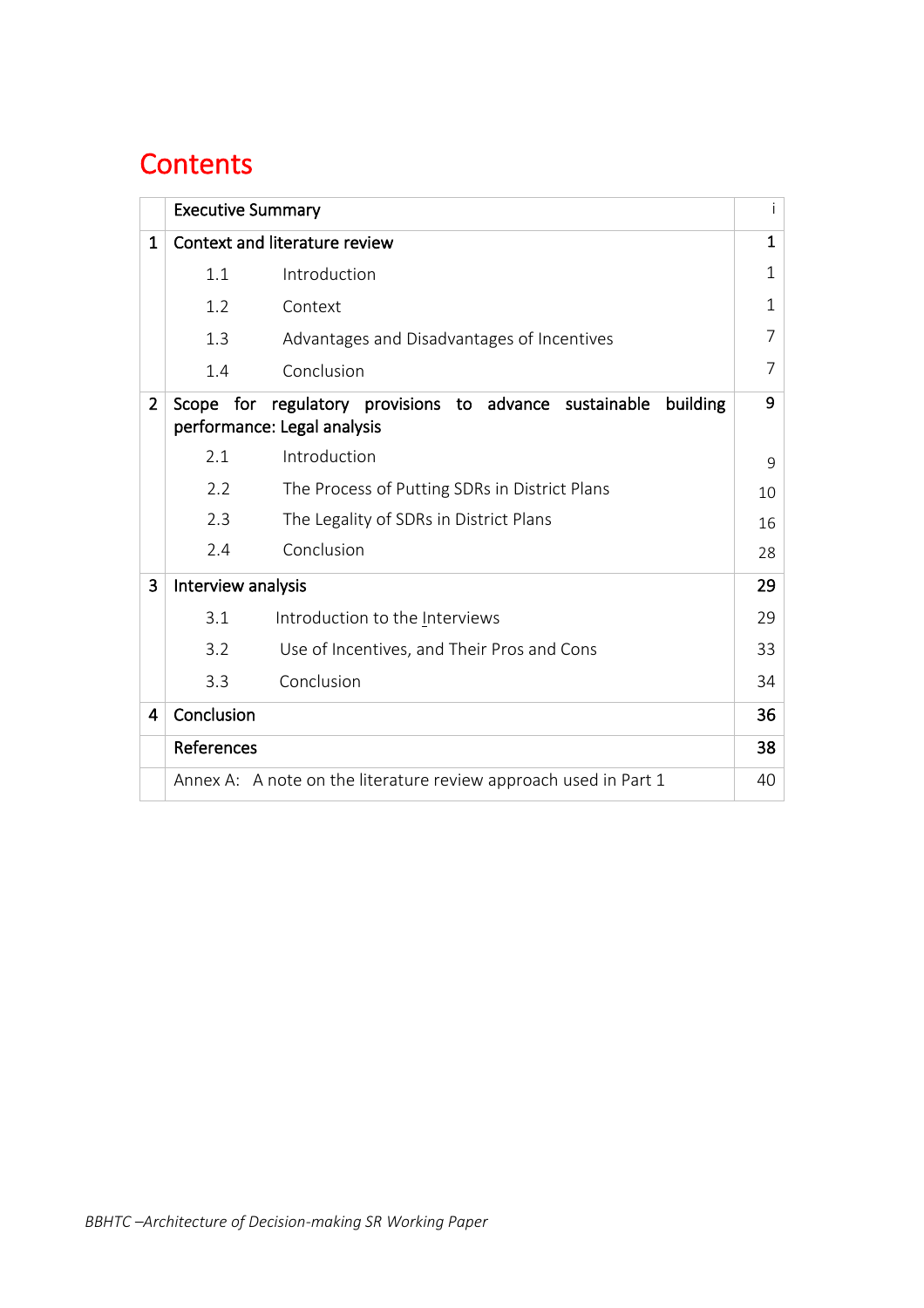## **Contents**

|                | <b>Executive Summary</b>      |                                                                                                   |              |
|----------------|-------------------------------|---------------------------------------------------------------------------------------------------|--------------|
| 1              | Context and literature review |                                                                                                   |              |
|                | 1.1                           | Introduction                                                                                      | $\mathbf{1}$ |
|                | 1.2                           | Context                                                                                           | $\mathbf{1}$ |
|                | 1.3                           | Advantages and Disadvantages of Incentives                                                        | 7            |
|                | 1.4                           | Conclusion                                                                                        | 7            |
| $\overline{2}$ |                               | Scope for regulatory provisions to advance sustainable<br>building<br>performance: Legal analysis | 9            |
|                | 2.1                           | Introduction                                                                                      | 9            |
|                | 2.2                           | The Process of Putting SDRs in District Plans                                                     | 10           |
|                | 2.3                           | The Legality of SDRs in District Plans                                                            | 16           |
|                | 2.4                           | Conclusion                                                                                        | 28           |
| 3              | Interview analysis            |                                                                                                   | 29           |
|                | 3.1                           | Introduction to the Interviews                                                                    | 29           |
|                | 3.2                           | Use of Incentives, and Their Pros and Cons                                                        | 33           |
|                | 3.3                           | Conclusion                                                                                        | 34           |
| $\overline{4}$ | Conclusion                    |                                                                                                   | 36           |
|                | References                    |                                                                                                   | 38           |
|                |                               | Annex A: A note on the literature review approach used in Part 1                                  | 40           |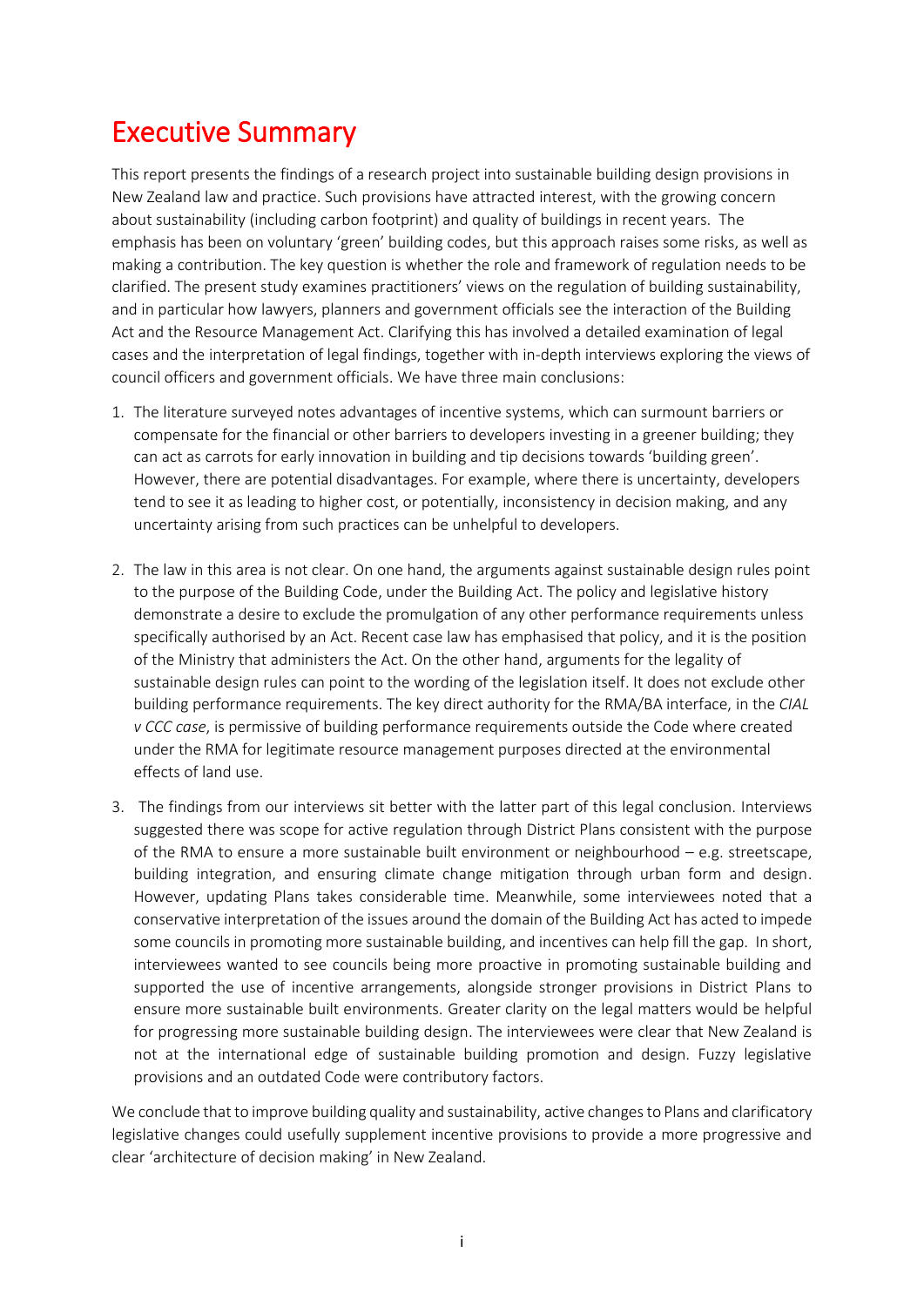## Executive Summary

This report presents the findings of a research project into sustainable building design provisions in New Zealand law and practice. Such provisions have attracted interest, with the growing concern about sustainability (including carbon footprint) and quality of buildings in recent years. The emphasis has been on voluntary 'green' building codes, but this approach raises some risks, as well as making a contribution. The key question is whether the role and framework of regulation needs to be clarified. The present study examines practitioners' views on the regulation of building sustainability, and in particular how lawyers, planners and government officials see the interaction of the Building Act and the Resource Management Act. Clarifying this has involved a detailed examination of legal cases and the interpretation of legal findings, together with in-depth interviews exploring the views of council officers and government officials. We have three main conclusions:

- 1. The literature surveyed notes advantages of incentive systems, which can surmount barriers or compensate for the financial or other barriers to developers investing in a greener building; they can act as carrots for early innovation in building and tip decisions towards 'building green'. However, there are potential disadvantages. For example, where there is uncertainty, developers tend to see it as leading to higher cost, or potentially, inconsistency in decision making, and any uncertainty arising from such practices can be unhelpful to developers.
- 2. The law in this area is not clear. On one hand, the arguments against sustainable design rules point to the purpose of the Building Code, under the Building Act. The policy and legislative history demonstrate a desire to exclude the promulgation of any other performance requirements unless specifically authorised by an Act. Recent case law has emphasised that policy, and it is the position of the Ministry that administers the Act. On the other hand, arguments for the legality of sustainable design rules can point to the wording of the legislation itself. It does not exclude other building performance requirements. The key direct authority for the RMA/BA interface, in the *CIAL v CCC case*, is permissive of building performance requirements outside the Code where created under the RMA for legitimate resource management purposes directed at the environmental effects of land use.
- 3. The findings from our interviews sit better with the latter part of this legal conclusion. Interviews suggested there was scope for active regulation through District Plans consistent with the purpose of the RMA to ensure a more sustainable built environment or neighbourhood – e.g. streetscape, building integration, and ensuring climate change mitigation through urban form and design. However, updating Plans takes considerable time. Meanwhile, some interviewees noted that a conservative interpretation of the issues around the domain of the Building Act has acted to impede some councils in promoting more sustainable building, and incentives can help fill the gap. In short, interviewees wanted to see councils being more proactive in promoting sustainable building and supported the use of incentive arrangements, alongside stronger provisions in District Plans to ensure more sustainable built environments. Greater clarity on the legal matters would be helpful for progressing more sustainable building design. The interviewees were clear that New Zealand is not at the international edge of sustainable building promotion and design. Fuzzy legislative provisions and an outdated Code were contributory factors.

We conclude that to improve building quality and sustainability, active changes to Plans and clarificatory legislative changes could usefully supplement incentive provisions to provide a more progressive and clear 'architecture of decision making' in New Zealand.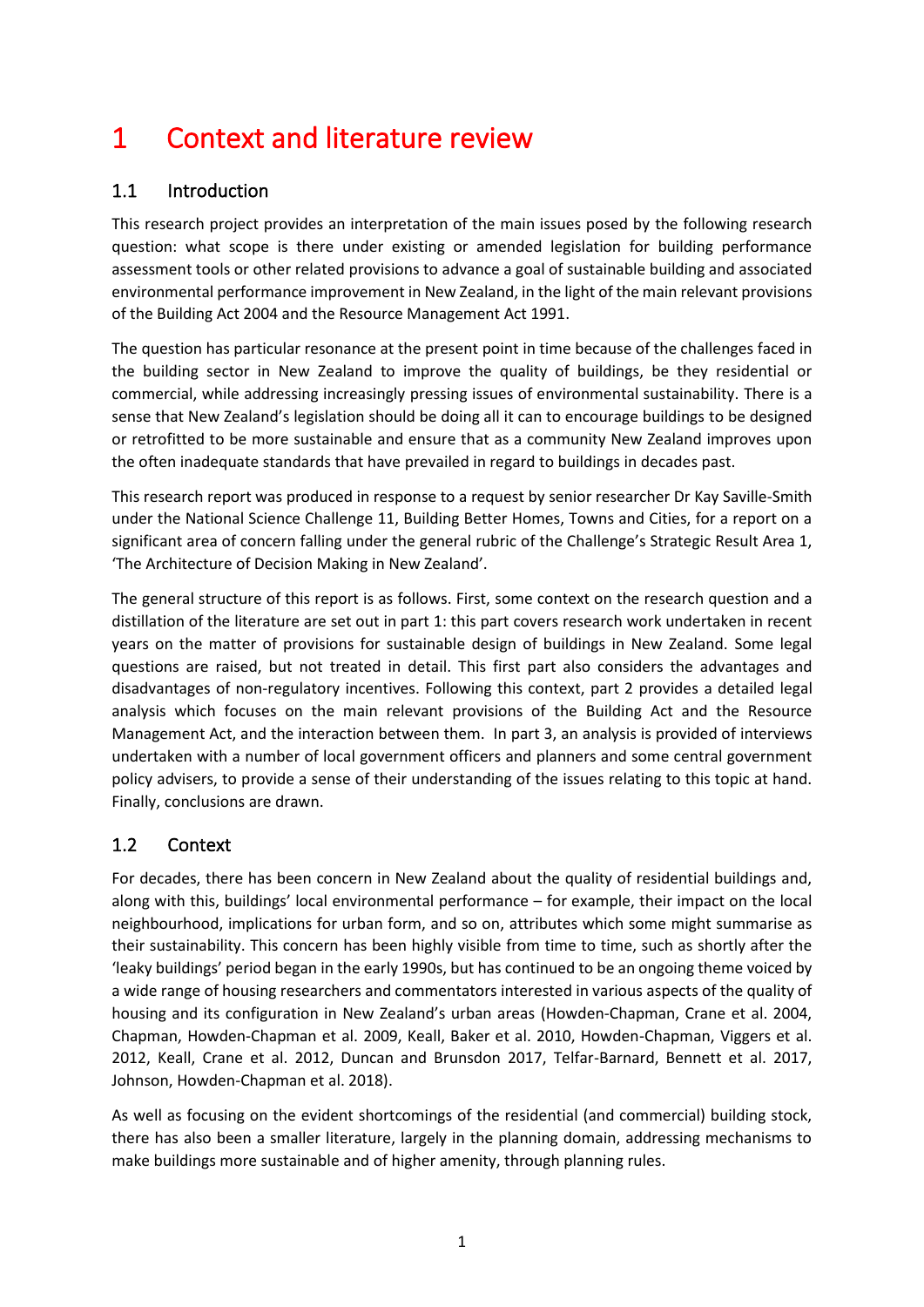## 1 Context and literature review

#### 1.1 Introduction

This research project provides an interpretation of the main issues posed by the following research question: what scope is there under existing or amended legislation for building performance assessment tools or other related provisions to advance a goal of sustainable building and associated environmental performance improvement in New Zealand, in the light of the main relevant provisions of the Building Act 2004 and the Resource Management Act 1991.

The question has particular resonance at the present point in time because of the challenges faced in the building sector in New Zealand to improve the quality of buildings, be they residential or commercial, while addressing increasingly pressing issues of environmental sustainability. There is a sense that New Zealand's legislation should be doing all it can to encourage buildings to be designed or retrofitted to be more sustainable and ensure that as a community New Zealand improves upon the often inadequate standards that have prevailed in regard to buildings in decades past.

This research report was produced in response to a request by senior researcher Dr Kay Saville-Smith under the National Science Challenge 11, Building Better Homes, Towns and Cities, for a report on a significant area of concern falling under the general rubric of the Challenge's Strategic Result Area 1, 'The Architecture of Decision Making in New Zealand'.

The general structure of this report is as follows. First, some context on the research question and a distillation of the literature are set out in part 1: this part covers research work undertaken in recent years on the matter of provisions for sustainable design of buildings in New Zealand. Some legal questions are raised, but not treated in detail. This first part also considers the advantages and disadvantages of non-regulatory incentives. Following this context, part 2 provides a detailed legal analysis which focuses on the main relevant provisions of the Building Act and the Resource Management Act, and the interaction between them. In part 3, an analysis is provided of interviews undertaken with a number of local government officers and planners and some central government policy advisers, to provide a sense of their understanding of the issues relating to this topic at hand. Finally, conclusions are drawn.

#### 1.2 Context

For decades, there has been concern in New Zealand about the quality of residential buildings and, along with this, buildings' local environmental performance – for example, their impact on the local neighbourhood, implications for urban form, and so on, attributes which some might summarise as their sustainability. This concern has been highly visible from time to time, such as shortly after the 'leaky buildings' period began in the early 1990s, but has continued to be an ongoing theme voiced by a wide range of housing researchers and commentators interested in various aspects of the quality of housing and its configuration in New Zealand's urban areas (Howden-Chapman, Crane et al. 2004, Chapman, Howden-Chapman et al. 2009, Keall, Baker et al. 2010, Howden-Chapman, Viggers et al. 2012, Keall, Crane et al. 2012, Duncan and Brunsdon 2017, Telfar-Barnard, Bennett et al. 2017, Johnson, Howden-Chapman et al. 2018).

As well as focusing on the evident shortcomings of the residential (and commercial) building stock, there has also been a smaller literature, largely in the planning domain, addressing mechanisms to make buildings more sustainable and of higher amenity, through planning rules.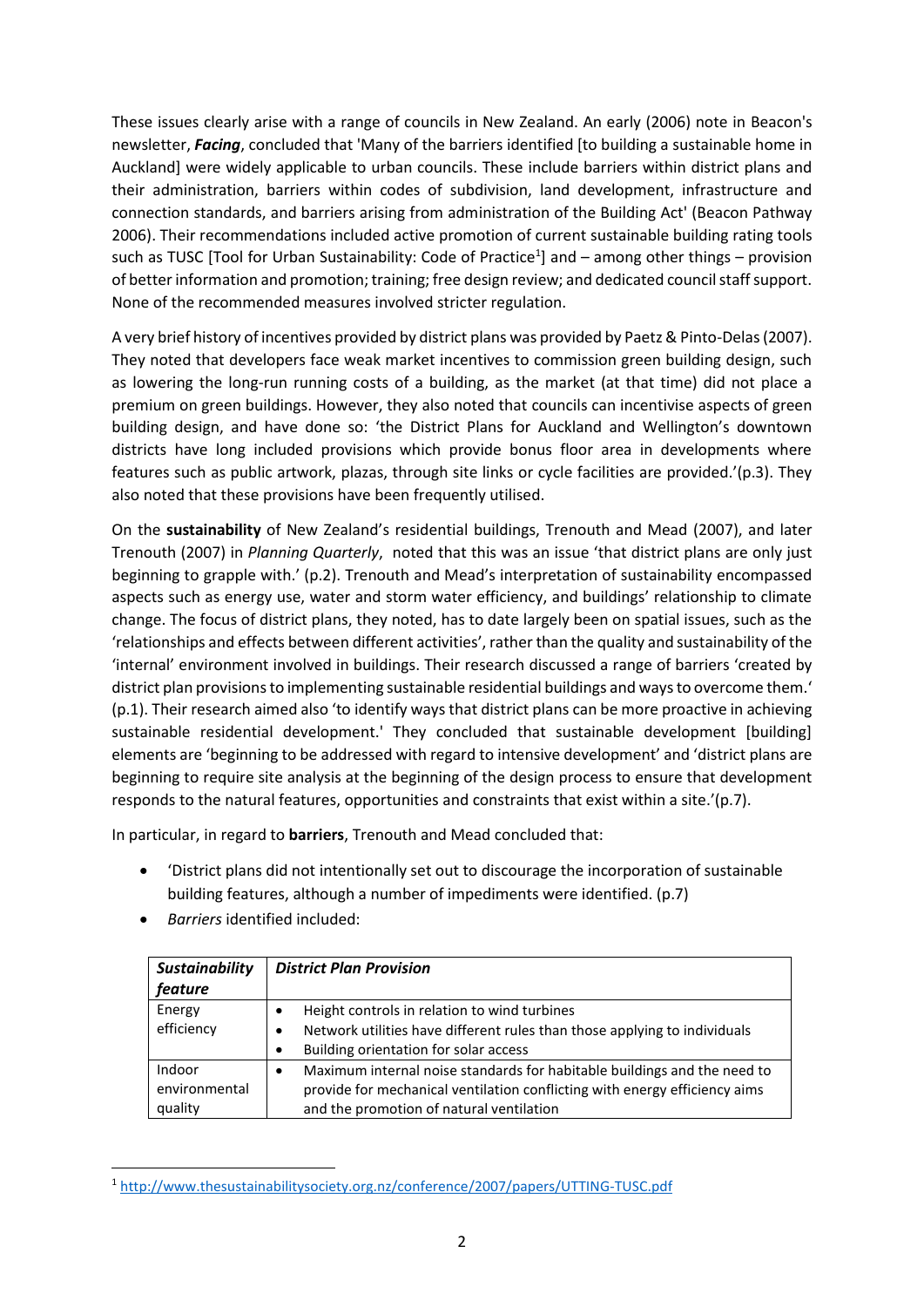These issues clearly arise with a range of councils in New Zealand. An early (2006) note in Beacon's newsletter, *Facing*, concluded that 'Many of the barriers identified [to building a sustainable home in Auckland] were widely applicable to urban councils. These include barriers within district plans and their administration, barriers within codes of subdivision, land development, infrastructure and connection standards, and barriers arising from administration of the Building Act' (Beacon Pathway 2006). Their recommendations included active promotion of current sustainable building rating tools such as TUSC [Tool for Urban Sustainability: Code of Practice<sup>1</sup>] and - among other things - provision of better information and promotion; training; free design review; and dedicated council staff support. None of the recommended measures involved stricter regulation.

A very brief history of incentives provided by district plans was provided by Paetz & Pinto-Delas (2007). They noted that developers face weak market incentives to commission green building design, such as lowering the long-run running costs of a building, as the market (at that time) did not place a premium on green buildings. However, they also noted that councils can incentivise aspects of green building design, and have done so: 'the District Plans for Auckland and Wellington's downtown districts have long included provisions which provide bonus floor area in developments where features such as public artwork, plazas, through site links or cycle facilities are provided.'(p.3). They also noted that these provisions have been frequently utilised.

On the **sustainability** of New Zealand's residential buildings, Trenouth and Mead (2007), and later Trenouth (2007) in *Planning Quarterly*, noted that this was an issue 'that district plans are only just beginning to grapple with.' (p.2). Trenouth and Mead's interpretation of sustainability encompassed aspects such as energy use, water and storm water efficiency, and buildings' relationship to climate change. The focus of district plans, they noted, has to date largely been on spatial issues, such as the 'relationships and effects between different activities', rather than the quality and sustainability of the 'internal' environment involved in buildings. Their research discussed a range of barriers 'created by district plan provisions to implementing sustainable residential buildings and ways to overcome them.' (p.1). Their research aimed also 'to identify ways that district plans can be more proactive in achieving sustainable residential development.' They concluded that sustainable development [building] elements are 'beginning to be addressed with regard to intensive development' and 'district plans are beginning to require site analysis at the beginning of the design process to ensure that development responds to the natural features, opportunities and constraints that exist within a site.'(p.7).

In particular, in regard to **barriers**, Trenouth and Mead concluded that:

- 'District plans did not intentionally set out to discourage the incorporation of sustainable building features, although a number of impediments were identified. (p.7)
- *Barriers* identified included:

| <b>Sustainability</b><br>feature   | <b>District Plan Provision</b>                                                                                                                                                                          |
|------------------------------------|---------------------------------------------------------------------------------------------------------------------------------------------------------------------------------------------------------|
| Energy<br>efficiency               | Height controls in relation to wind turbines<br>$\bullet$<br>Network utilities have different rules than those applying to individuals<br>$\bullet$<br>Building orientation for solar access<br>٠       |
| Indoor<br>environmental<br>quality | Maximum internal noise standards for habitable buildings and the need to<br>٠<br>provide for mechanical ventilation conflicting with energy efficiency aims<br>and the promotion of natural ventilation |

<sup>1</sup> <http://www.thesustainabilitysociety.org.nz/conference/2007/papers/UTTING-TUSC.pdf>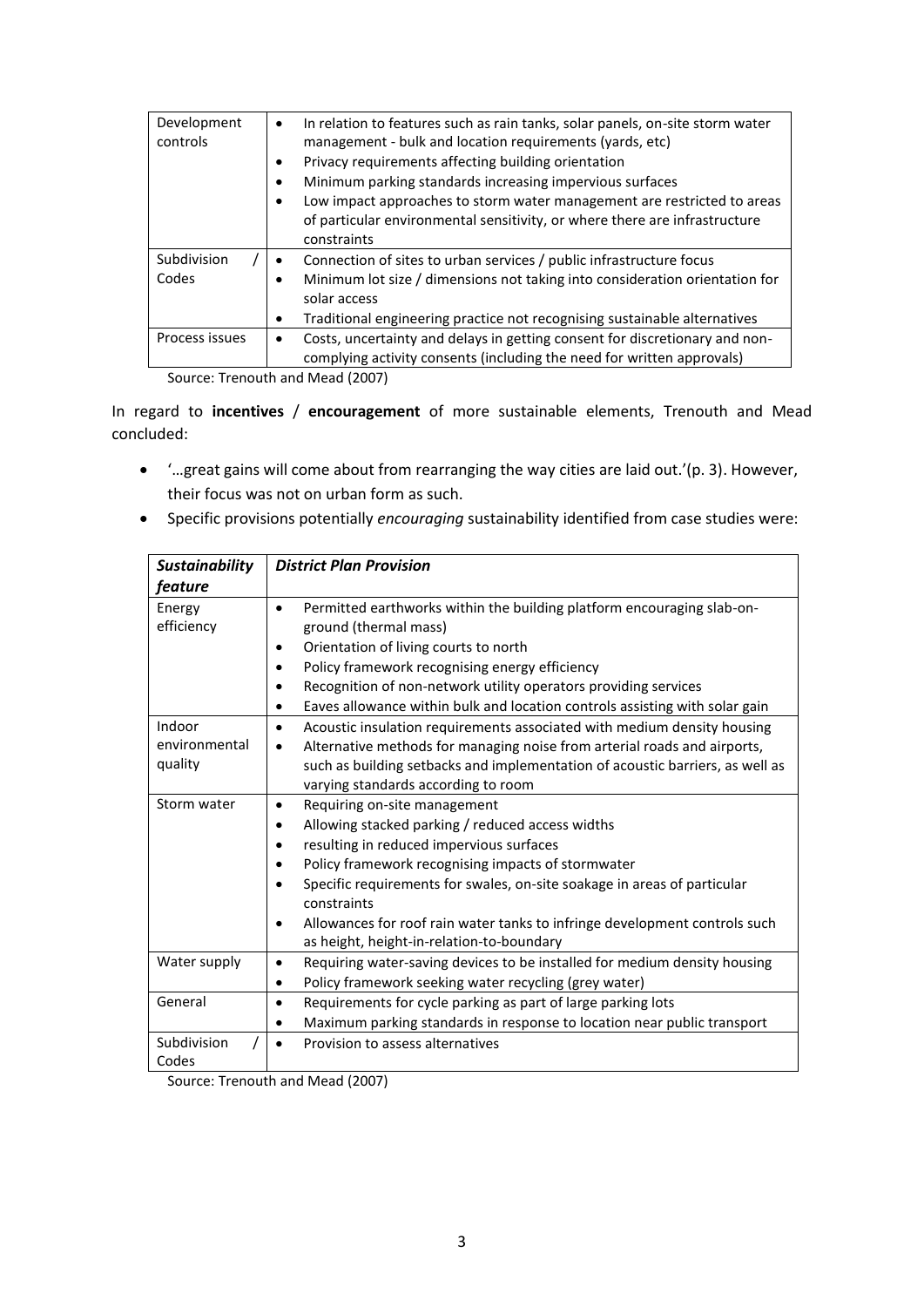| Development    | In relation to features such as rain tanks, solar panels, on-site storm water<br>$\bullet$                                                                           |
|----------------|----------------------------------------------------------------------------------------------------------------------------------------------------------------------|
| controls       | management - bulk and location requirements (yards, etc)                                                                                                             |
|                | Privacy requirements affecting building orientation                                                                                                                  |
|                | Minimum parking standards increasing impervious surfaces                                                                                                             |
|                | Low impact approaches to storm water management are restricted to areas<br>of particular environmental sensitivity, or where there are infrastructure<br>constraints |
| Subdivision    | Connection of sites to urban services / public infrastructure focus                                                                                                  |
| Codes          | Minimum lot size / dimensions not taking into consideration orientation for                                                                                          |
|                | solar access                                                                                                                                                         |
|                | Traditional engineering practice not recognising sustainable alternatives                                                                                            |
| Process issues | Costs, uncertainty and delays in getting consent for discretionary and non-<br>٠                                                                                     |
|                | complying activity consents (including the need for written approvals)                                                                                               |

Source: Trenouth and Mead (2007)

In regard to **incentives** / **encouragement** of more sustainable elements, Trenouth and Mead concluded:

- '…great gains will come about from rearranging the way cities are laid out.'(p. 3). However, their focus was not on urban form as such.
- Specific provisions potentially *encouraging* sustainability identified from case studies were:

| <b>Sustainability</b>              | <b>District Plan Provision</b>                                                                                                                                                                                                                                                                                                                                                                                                                         |  |
|------------------------------------|--------------------------------------------------------------------------------------------------------------------------------------------------------------------------------------------------------------------------------------------------------------------------------------------------------------------------------------------------------------------------------------------------------------------------------------------------------|--|
| feature                            |                                                                                                                                                                                                                                                                                                                                                                                                                                                        |  |
| Energy<br>efficiency               | Permitted earthworks within the building platform encouraging slab-on-<br>$\bullet$<br>ground (thermal mass)<br>Orientation of living courts to north<br>$\bullet$<br>Policy framework recognising energy efficiency<br>$\bullet$<br>Recognition of non-network utility operators providing services<br>٠<br>Eaves allowance within bulk and location controls assisting with solar gain<br>٠                                                          |  |
| Indoor<br>environmental<br>quality | Acoustic insulation requirements associated with medium density housing<br>٠<br>Alternative methods for managing noise from arterial roads and airports,<br>$\bullet$<br>such as building setbacks and implementation of acoustic barriers, as well as<br>varying standards according to room                                                                                                                                                          |  |
| Storm water                        | Requiring on-site management<br>٠<br>Allowing stacked parking / reduced access widths<br>٠<br>resulting in reduced impervious surfaces<br>٠<br>Policy framework recognising impacts of stormwater<br>٠<br>Specific requirements for swales, on-site soakage in areas of particular<br>$\bullet$<br>constraints<br>Allowances for roof rain water tanks to infringe development controls such<br>$\bullet$<br>as height, height-in-relation-to-boundary |  |
| Water supply                       | Requiring water-saving devices to be installed for medium density housing<br>٠<br>Policy framework seeking water recycling (grey water)<br>٠                                                                                                                                                                                                                                                                                                           |  |
| General                            | Requirements for cycle parking as part of large parking lots<br>٠<br>Maximum parking standards in response to location near public transport<br>$\bullet$                                                                                                                                                                                                                                                                                              |  |
| Subdivision<br>Codes               | Provision to assess alternatives                                                                                                                                                                                                                                                                                                                                                                                                                       |  |

Source: Trenouth and Mead (2007)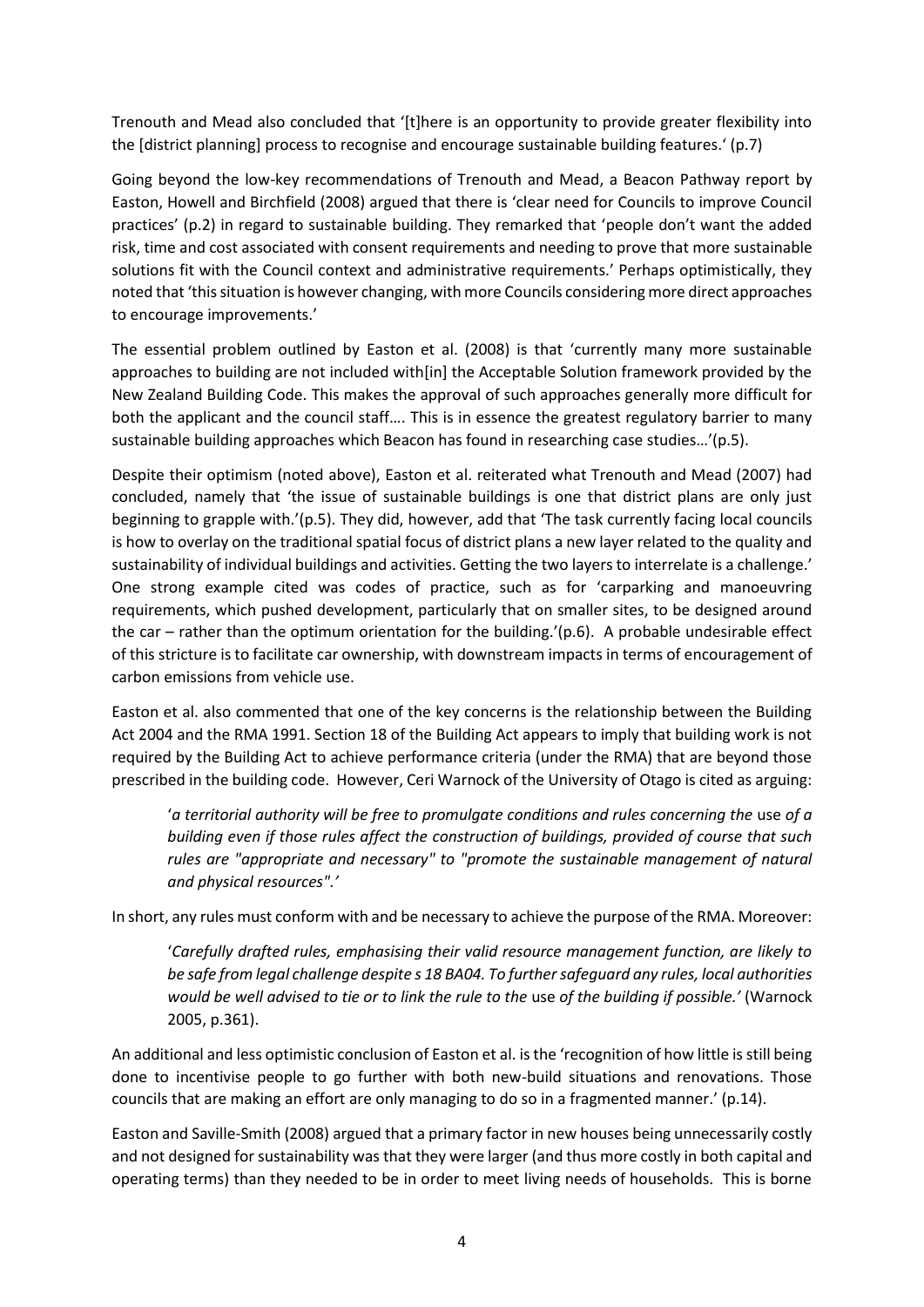Trenouth and Mead also concluded that '[t]here is an opportunity to provide greater flexibility into the [district planning] process to recognise and encourage sustainable building features.' (p.7)

Going beyond the low-key recommendations of Trenouth and Mead, a Beacon Pathway report by Easton, Howell and Birchfield (2008) argued that there is 'clear need for Councils to improve Council practices' (p.2) in regard to sustainable building. They remarked that 'people don't want the added risk, time and cost associated with consent requirements and needing to prove that more sustainable solutions fit with the Council context and administrative requirements.' Perhaps optimistically, they noted that 'this situation is however changing, with more Councils considering more direct approaches to encourage improvements.'

The essential problem outlined by Easton et al. (2008) is that 'currently many more sustainable approaches to building are not included with[in] the Acceptable Solution framework provided by the New Zealand Building Code. This makes the approval of such approaches generally more difficult for both the applicant and the council staff…. This is in essence the greatest regulatory barrier to many sustainable building approaches which Beacon has found in researching case studies…'(p.5).

Despite their optimism (noted above), Easton et al. reiterated what Trenouth and Mead (2007) had concluded, namely that 'the issue of sustainable buildings is one that district plans are only just beginning to grapple with.'(p.5). They did, however, add that 'The task currently facing local councils is how to overlay on the traditional spatial focus of district plans a new layer related to the quality and sustainability of individual buildings and activities. Getting the two layers to interrelate is a challenge.' One strong example cited was codes of practice, such as for 'carparking and manoeuvring requirements, which pushed development, particularly that on smaller sites, to be designed around the car – rather than the optimum orientation for the building.'(p.6). A probable undesirable effect of this stricture is to facilitate car ownership, with downstream impacts in terms of encouragement of carbon emissions from vehicle use.

Easton et al. also commented that one of the key concerns is the relationship between the Building Act 2004 and the RMA 1991. Section 18 of the Building Act appears to imply that building work is not required by the Building Act to achieve performance criteria (under the RMA) that are beyond those prescribed in the building code. However, Ceri Warnock of the University of Otago is cited as arguing:

'*a territorial authority will be free to promulgate conditions and rules concerning the use of a building even if those rules affect the construction of buildings, provided of course that such rules are "appropriate and necessary" to "promote the sustainable management of natural and physical resources".'* 

In short, any rules must conform with and be necessary to achieve the purpose of the RMA. Moreover:

'*Carefully drafted rules, emphasising their valid resource management function, are likely to be safe from legal challenge despite s 18 BA04. To further safeguard any rules, local authorities would be well advised to tie or to link the rule to the* use *of the building if possible.'* (Warnock 2005, p.361).

An additional and less optimistic conclusion of Easton et al. is the 'recognition of how little is still being done to incentivise people to go further with both new-build situations and renovations. Those councils that are making an effort are only managing to do so in a fragmented manner.' (p.14).

Easton and Saville-Smith (2008) argued that a primary factor in new houses being unnecessarily costly and not designed for sustainability was that they were larger (and thus more costly in both capital and operating terms) than they needed to be in order to meet living needs of households. This is borne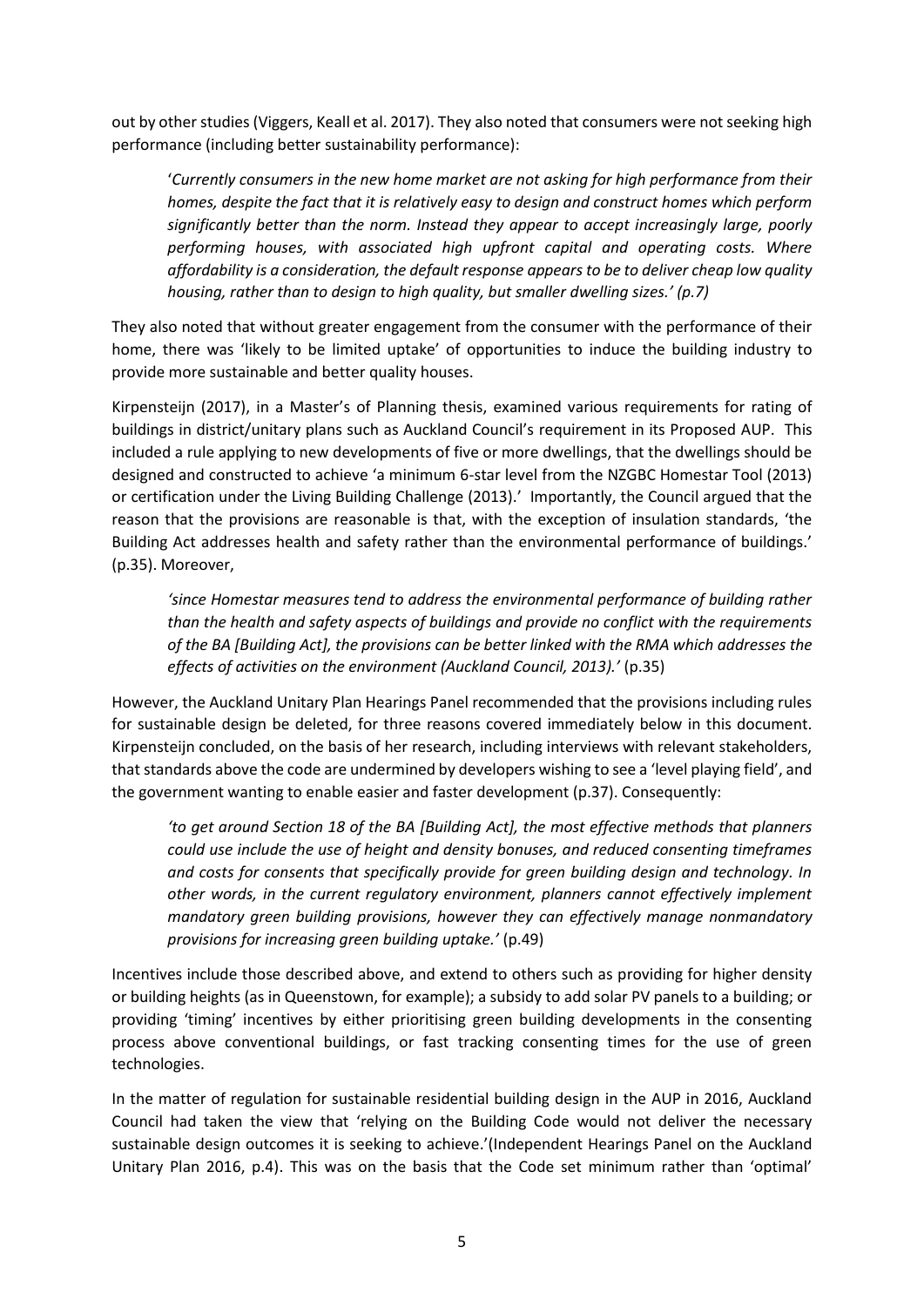out by other studies (Viggers, Keall et al. 2017). They also noted that consumers were not seeking high performance (including better sustainability performance):

'*Currently consumers in the new home market are not asking for high performance from their homes, despite the fact that it is relatively easy to design and construct homes which perform significantly better than the norm. Instead they appear to accept increasingly large, poorly performing houses, with associated high upfront capital and operating costs. Where affordability is a consideration, the default response appears to be to deliver cheap low quality housing, rather than to design to high quality, but smaller dwelling sizes.' (p.7)*

They also noted that without greater engagement from the consumer with the performance of their home, there was 'likely to be limited uptake' of opportunities to induce the building industry to provide more sustainable and better quality houses.

Kirpensteijn (2017), in a Master's of Planning thesis, examined various requirements for rating of buildings in district/unitary plans such as Auckland Council's requirement in its Proposed AUP. This included a rule applying to new developments of five or more dwellings, that the dwellings should be designed and constructed to achieve 'a minimum 6-star level from the NZGBC Homestar Tool (2013) or certification under the Living Building Challenge (2013).' Importantly, the Council argued that the reason that the provisions are reasonable is that, with the exception of insulation standards, 'the Building Act addresses health and safety rather than the environmental performance of buildings.' (p.35). Moreover,

*'since Homestar measures tend to address the environmental performance of building rather than the health and safety aspects of buildings and provide no conflict with the requirements of the BA [Building Act], the provisions can be better linked with the RMA which addresses the effects of activities on the environment (Auckland Council, 2013).'* (p.35)

However, the Auckland Unitary Plan Hearings Panel recommended that the provisions including rules for sustainable design be deleted, for three reasons covered immediately below in this document. Kirpensteijn concluded, on the basis of her research, including interviews with relevant stakeholders, that standards above the code are undermined by developers wishing to see a 'level playing field', and the government wanting to enable easier and faster development (p.37). Consequently:

*'to get around Section 18 of the BA [Building Act], the most effective methods that planners could use include the use of height and density bonuses, and reduced consenting timeframes and costs for consents that specifically provide for green building design and technology. In other words, in the current regulatory environment, planners cannot effectively implement mandatory green building provisions, however they can effectively manage nonmandatory provisions for increasing green building uptake.'* (p.49)

Incentives include those described above, and extend to others such as providing for higher density or building heights (as in Queenstown, for example); a subsidy to add solar PV panels to a building; or providing 'timing' incentives by either prioritising green building developments in the consenting process above conventional buildings, or fast tracking consenting times for the use of green technologies.

In the matter of regulation for sustainable residential building design in the AUP in 2016, Auckland Council had taken the view that 'relying on the Building Code would not deliver the necessary sustainable design outcomes it is seeking to achieve.'(Independent Hearings Panel on the Auckland Unitary Plan 2016, p.4). This was on the basis that the Code set minimum rather than 'optimal'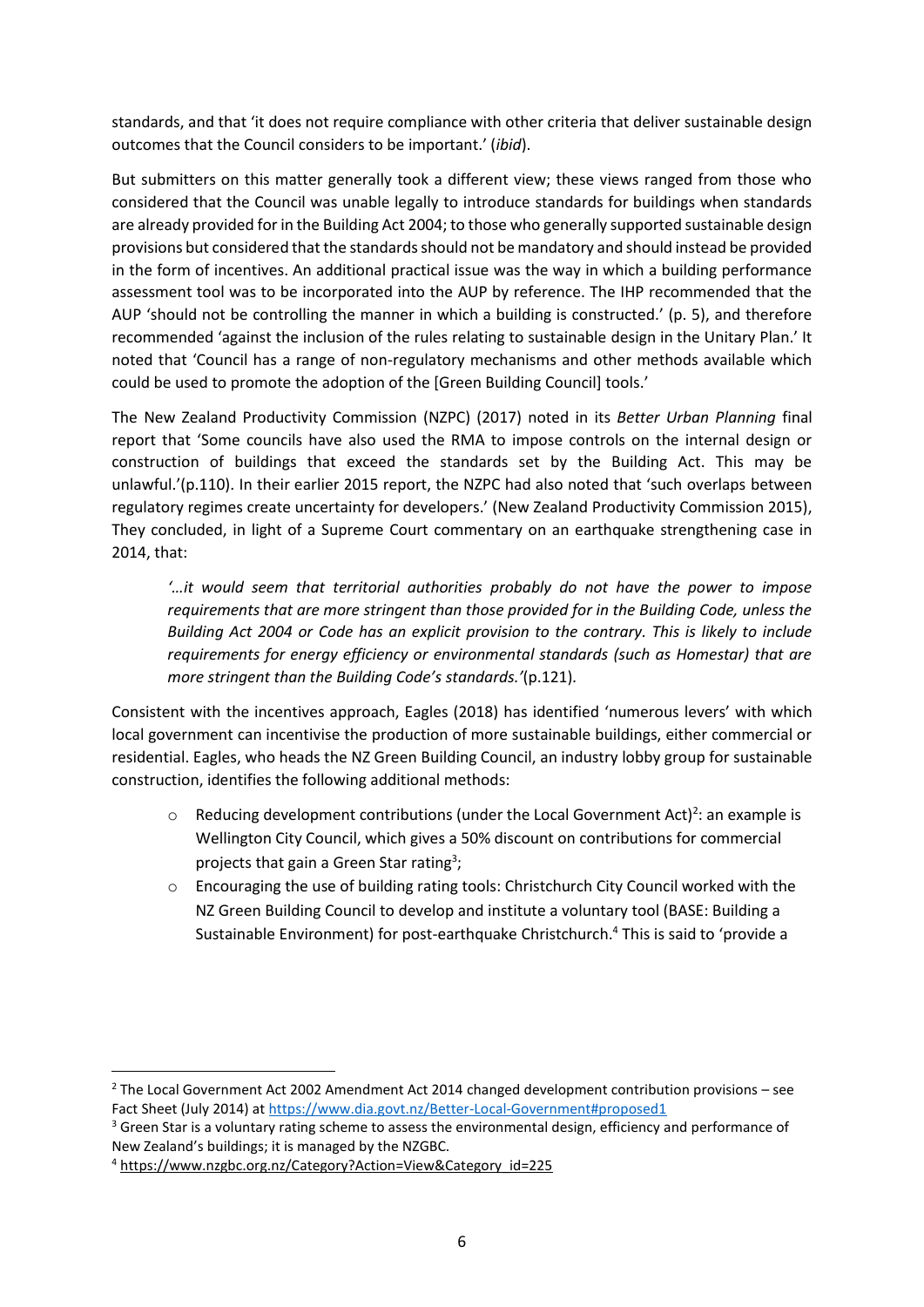standards, and that 'it does not require compliance with other criteria that deliver sustainable design outcomes that the Council considers to be important.' (*ibid*).

But submitters on this matter generally took a different view; these views ranged from those who considered that the Council was unable legally to introduce standards for buildings when standards are already provided for in the Building Act 2004; to those who generally supported sustainable design provisions but considered that the standards should not be mandatory and should instead be provided in the form of incentives. An additional practical issue was the way in which a building performance assessment tool was to be incorporated into the AUP by reference. The IHP recommended that the AUP 'should not be controlling the manner in which a building is constructed.' (p. 5), and therefore recommended 'against the inclusion of the rules relating to sustainable design in the Unitary Plan.' It noted that 'Council has a range of non-regulatory mechanisms and other methods available which could be used to promote the adoption of the [Green Building Council] tools.'

The New Zealand Productivity Commission (NZPC) (2017) noted in its *Better Urban Planning* final report that 'Some councils have also used the RMA to impose controls on the internal design or construction of buildings that exceed the standards set by the Building Act. This may be unlawful.'(p.110). In their earlier 2015 report, the NZPC had also noted that 'such overlaps between regulatory regimes create uncertainty for developers.' (New Zealand Productivity Commission 2015), They concluded, in light of a Supreme Court commentary on an earthquake strengthening case in 2014, that:

*'…it would seem that territorial authorities probably do not have the power to impose requirements that are more stringent than those provided for in the Building Code, unless the Building Act 2004 or Code has an explicit provision to the contrary. This is likely to include requirements for energy efficiency or environmental standards (such as Homestar) that are more stringent than the Building Code's standards.'*(p.121)*.* 

Consistent with the incentives approach, Eagles (2018) has identified 'numerous levers' with which local government can incentivise the production of more sustainable buildings, either commercial or residential. Eagles, who heads the NZ Green Building Council, an industry lobby group for sustainable construction, identifies the following additional methods:

- $\circ$  Reducing development contributions (under the Local Government Act)<sup>2</sup>: an example is Wellington City Council, which gives a 50% discount on contributions for commercial projects that gain a Green Star rating<sup>3</sup>;
- o Encouraging the use of building rating tools: Christchurch City Council worked with the NZ Green Building Council to develop and institute a voluntary tool (BASE: Building a Sustainable Environment) for post-earthquake Christchurch. <sup>4</sup> This is said to 'provide a

<sup>&</sup>lt;sup>2</sup> The Local Government Act 2002 Amendment Act 2014 changed development contribution provisions – see Fact Sheet (July 2014) at<https://www.dia.govt.nz/Better-Local-Government#proposed1>

<sup>&</sup>lt;sup>3</sup> [Green Star](http://www.sustainablesteel.org.nz/rating-tools/green-star-rating/) is a voluntary rating scheme to assess the environmental design, efficiency and performance of New Zealand's buildings; it is managed by the NZGBC.

<sup>4</sup> [https://www.nzgbc.org.nz/Category?Action=View&Category\\_id=225](https://www.nzgbc.org.nz/Category?Action=View&Category_id=225)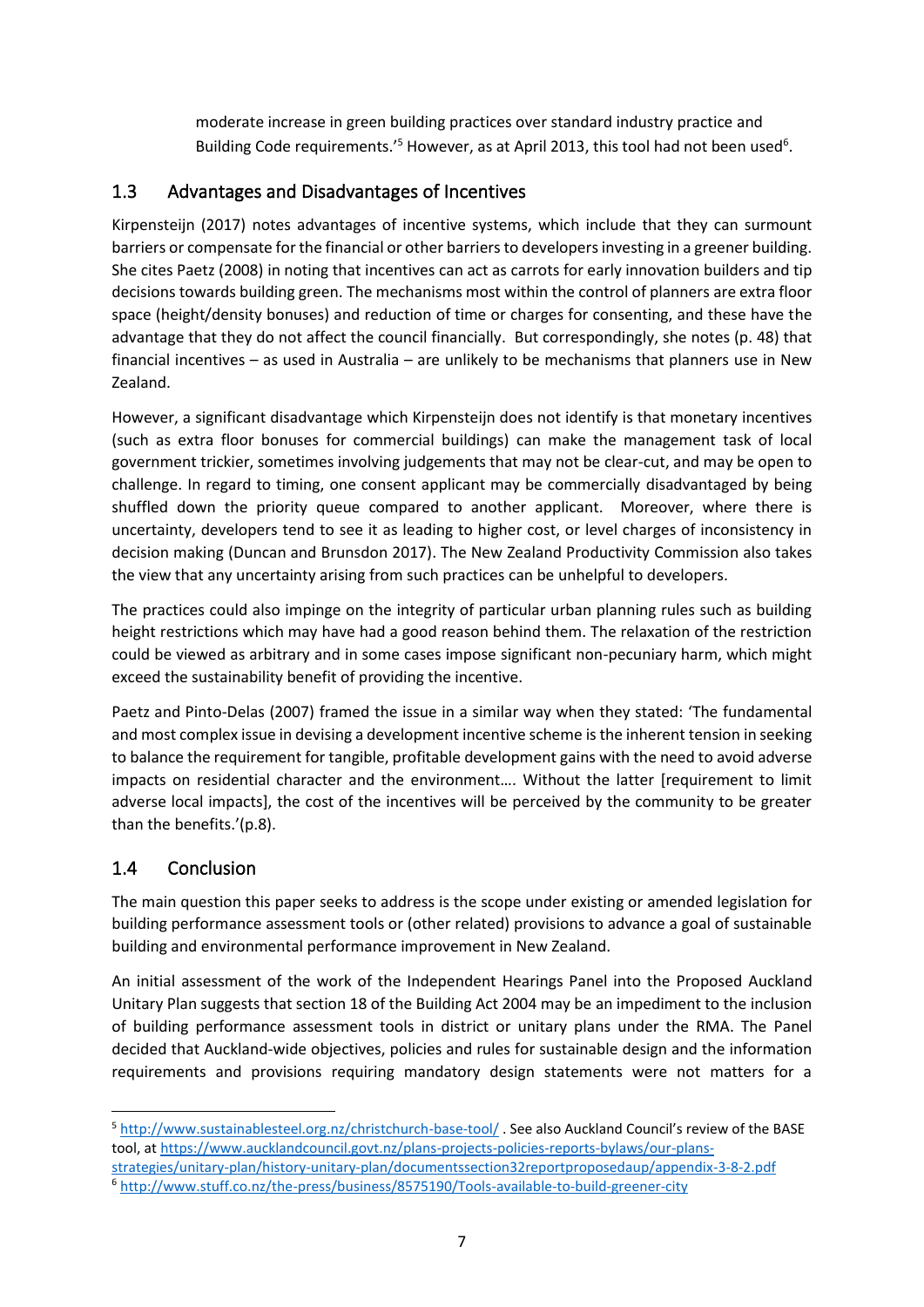moderate increase in green building practices over standard industry practice and Building Code requirements.'<sup>5</sup> However, as at April 2013, this tool had not been used<sup>6</sup>.

#### 1.3 Advantages and Disadvantages of Incentives

Kirpensteijn (2017) notes advantages of incentive systems, which include that they can surmount barriers or compensate for the financial or other barriers to developers investing in a greener building. She cites Paetz (2008) in noting that incentives can act as carrots for early innovation builders and tip decisions towards building green. The mechanisms most within the control of planners are extra floor space (height/density bonuses) and reduction of time or charges for consenting, and these have the advantage that they do not affect the council financially. But correspondingly, she notes (p. 48) that financial incentives – as used in Australia – are unlikely to be mechanisms that planners use in New Zealand.

However, a significant disadvantage which Kirpensteijn does not identify is that monetary incentives (such as extra floor bonuses for commercial buildings) can make the management task of local government trickier, sometimes involving judgements that may not be clear-cut, and may be open to challenge. In regard to timing, one consent applicant may be commercially disadvantaged by being shuffled down the priority queue compared to another applicant. Moreover, where there is uncertainty, developers tend to see it as leading to higher cost, or level charges of inconsistency in decision making (Duncan and Brunsdon 2017). The New Zealand Productivity Commission also takes the view that any uncertainty arising from such practices can be unhelpful to developers.

The practices could also impinge on the integrity of particular urban planning rules such as building height restrictions which may have had a good reason behind them. The relaxation of the restriction could be viewed as arbitrary and in some cases impose significant non-pecuniary harm, which might exceed the sustainability benefit of providing the incentive.

Paetz and Pinto-Delas (2007) framed the issue in a similar way when they stated: 'The fundamental and most complex issue in devising a development incentive scheme is the inherent tension in seeking to balance the requirement for tangible, profitable development gains with the need to avoid adverse impacts on residential character and the environment…. Without the latter [requirement to limit adverse local impacts], the cost of the incentives will be perceived by the community to be greater than the benefits.'(p.8).

#### 1.4 Conclusion

The main question this paper seeks to address is the scope under existing or amended legislation for building performance assessment tools or (other related) provisions to advance a goal of sustainable building and environmental performance improvement in New Zealand.

An initial assessment of the work of the Independent Hearings Panel into the Proposed Auckland Unitary Plan suggests that section 18 of the Building Act 2004 may be an impediment to the inclusion of building performance assessment tools in district or unitary plans under the RMA. The Panel decided that Auckland-wide objectives, policies and rules for sustainable design and the information requirements and provisions requiring mandatory design statements were not matters for a

<sup>5</sup> <http://www.sustainablesteel.org.nz/christchurch-base-tool/> . See also Auckland Council's review of the BASE tool, a[t https://www.aucklandcouncil.govt.nz/plans-projects-policies-reports-bylaws/our-plans-](https://www.aucklandcouncil.govt.nz/plans-projects-policies-reports-bylaws/our-plans-strategies/unitary-plan/history-unitary-plan/documentssection32reportproposedaup/appendix-3-8-2.pdf)

[strategies/unitary-plan/history-unitary-plan/documentssection32reportproposedaup/appendix-3-8-2.pdf](https://www.aucklandcouncil.govt.nz/plans-projects-policies-reports-bylaws/our-plans-strategies/unitary-plan/history-unitary-plan/documentssection32reportproposedaup/appendix-3-8-2.pdf) <sup>6</sup> <http://www.stuff.co.nz/the-press/business/8575190/Tools-available-to-build-greener-city>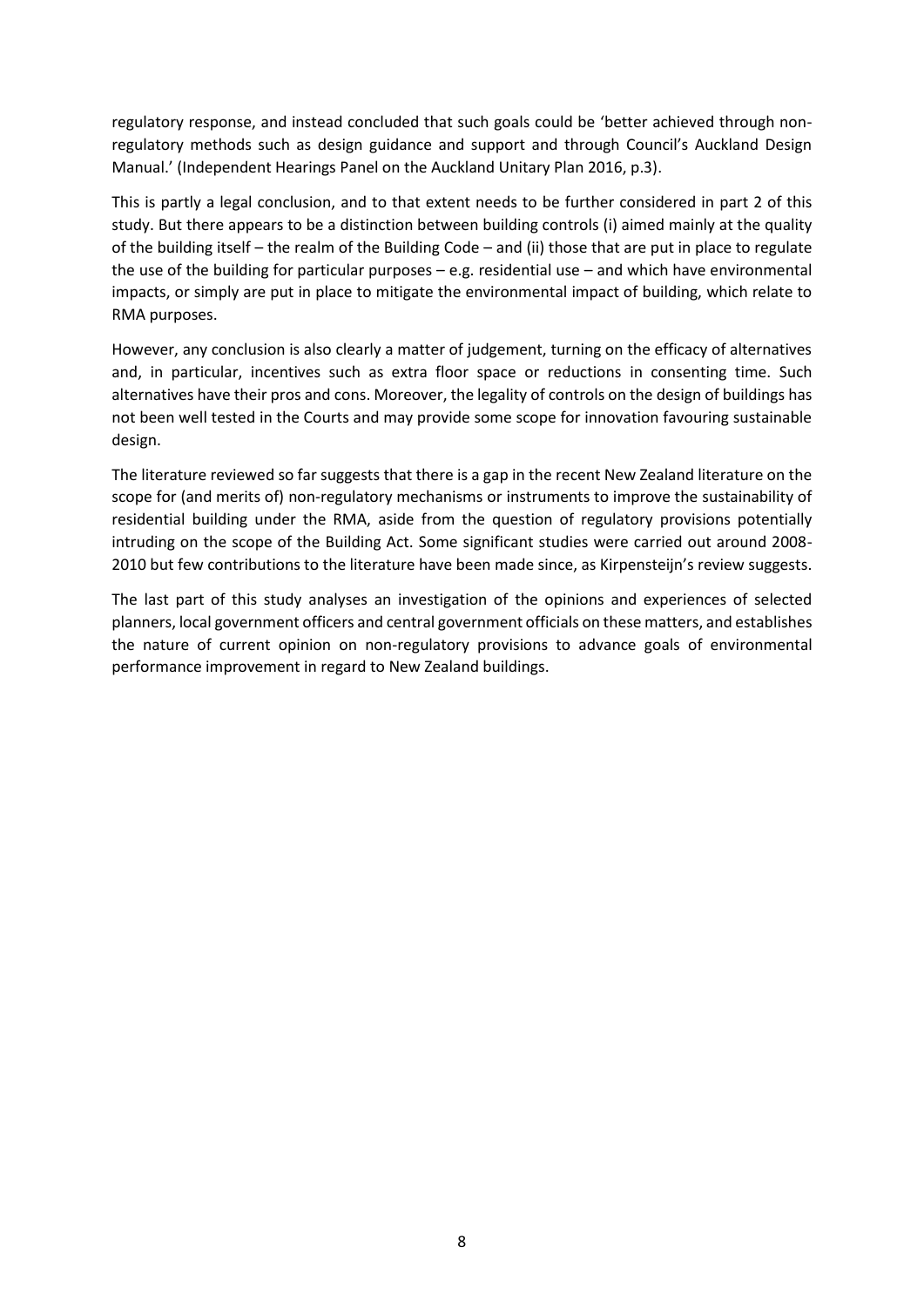regulatory response, and instead concluded that such goals could be 'better achieved through nonregulatory methods such as design guidance and support and through Council's Auckland Design Manual.' (Independent Hearings Panel on the Auckland Unitary Plan 2016, p.3).

This is partly a legal conclusion, and to that extent needs to be further considered in part 2 of this study. But there appears to be a distinction between building controls (i) aimed mainly at the quality of the building itself – the realm of the Building Code – and (ii) those that are put in place to regulate the use of the building for particular purposes – e.g. residential use – and which have environmental impacts, or simply are put in place to mitigate the environmental impact of building, which relate to RMA purposes.

However, any conclusion is also clearly a matter of judgement, turning on the efficacy of alternatives and, in particular, incentives such as extra floor space or reductions in consenting time. Such alternatives have their pros and cons. Moreover, the legality of controls on the design of buildings has not been well tested in the Courts and may provide some scope for innovation favouring sustainable design.

The literature reviewed so far suggests that there is a gap in the recent New Zealand literature on the scope for (and merits of) non-regulatory mechanisms or instruments to improve the sustainability of residential building under the RMA, aside from the question of regulatory provisions potentially intruding on the scope of the Building Act. Some significant studies were carried out around 2008- 2010 but few contributions to the literature have been made since, as Kirpensteijn's review suggests.

The last part of this study analyses an investigation of the opinions and experiences of selected planners, local government officers and central government officials on these matters, and establishes the nature of current opinion on non-regulatory provisions to advance goals of environmental performance improvement in regard to New Zealand buildings.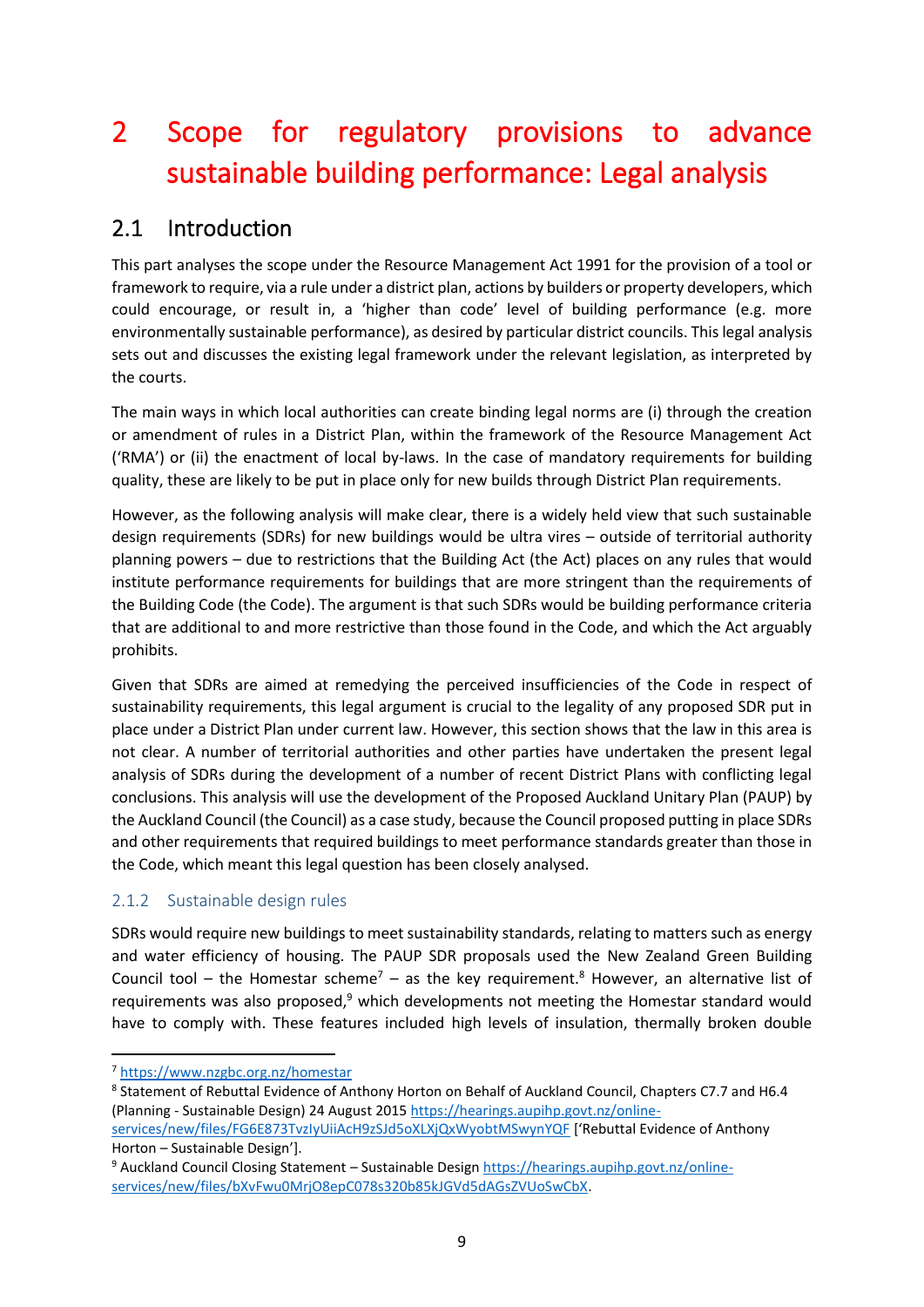## 2 Scope for regulatory provisions to advance sustainable building performance: Legal analysis

### 2.1 Introduction

This part analyses the scope under the Resource Management Act 1991 for the provision of a tool or framework to require, via a rule under a district plan, actions by builders or property developers, which could encourage, or result in, a 'higher than code' level of building performance (e.g. more environmentally sustainable performance), as desired by particular district councils. This legal analysis sets out and discusses the existing legal framework under the relevant legislation, as interpreted by the courts.

The main ways in which local authorities can create binding legal norms are (i) through the creation or amendment of rules in a District Plan, within the framework of the Resource Management Act ('RMA') or (ii) the enactment of local by-laws. In the case of mandatory requirements for building quality, these are likely to be put in place only for new builds through District Plan requirements.

However, as the following analysis will make clear, there is a widely held view that such sustainable design requirements (SDRs) for new buildings would be ultra vires – outside of territorial authority planning powers – due to restrictions that the Building Act (the Act) places on any rules that would institute performance requirements for buildings that are more stringent than the requirements of the Building Code (the Code). The argument is that such SDRs would be building performance criteria that are additional to and more restrictive than those found in the Code, and which the Act arguably prohibits.

Given that SDRs are aimed at remedying the perceived insufficiencies of the Code in respect of sustainability requirements, this legal argument is crucial to the legality of any proposed SDR put in place under a District Plan under current law. However, this section shows that the law in this area is not clear. A number of territorial authorities and other parties have undertaken the present legal analysis of SDRs during the development of a number of recent District Plans with conflicting legal conclusions. This analysis will use the development of the Proposed Auckland Unitary Plan (PAUP) by the Auckland Council (the Council) as a case study, because the Council proposed putting in place SDRs and other requirements that required buildings to meet performance standards greater than those in the Code, which meant this legal question has been closely analysed.

#### 2.1.2 Sustainable design rules

SDRs would require new buildings to meet sustainability standards, relating to matters such as energy and water efficiency of housing. The PAUP SDR proposals used the New Zealand Green Building Council tool – the Homestar scheme<sup>7</sup> – as the key requirement.<sup>8</sup> However, an alternative list of requirements was also proposed, $9$  which developments not meeting the Homestar standard would have to comply with. These features included high levels of insulation, thermally broken double

<sup>7</sup> <https://www.nzgbc.org.nz/homestar>

<sup>8</sup> Statement of Rebuttal Evidence of Anthony Horton on Behalf of Auckland Council, Chapters C7.7 and H6.4 (Planning - Sustainable Design) 24 August 201[5 https://hearings.aupihp.govt.nz/online](https://hearings.aupihp.govt.nz/online-services/new/files/FG6E873TvzIyUiiAcH9zSJd5oXLXjQxWyobtMSwynYQF)[services/new/files/FG6E873TvzIyUiiAcH9zSJd5oXLXjQxWyobtMSwynYQF](https://hearings.aupihp.govt.nz/online-services/new/files/FG6E873TvzIyUiiAcH9zSJd5oXLXjQxWyobtMSwynYQF) ['Rebuttal Evidence of Anthony Horton – Sustainable Design'].

<sup>9</sup> Auckland Council Closing Statement – Sustainable Design [https://hearings.aupihp.govt.nz/online](https://hearings.aupihp.govt.nz/online-services/new/files/bXvFwu0MrjO8epC078s320b85kJGVd5dAGsZVUoSwCbX)[services/new/files/bXvFwu0MrjO8epC078s320b85kJGVd5dAGsZVUoSwCbX.](https://hearings.aupihp.govt.nz/online-services/new/files/bXvFwu0MrjO8epC078s320b85kJGVd5dAGsZVUoSwCbX)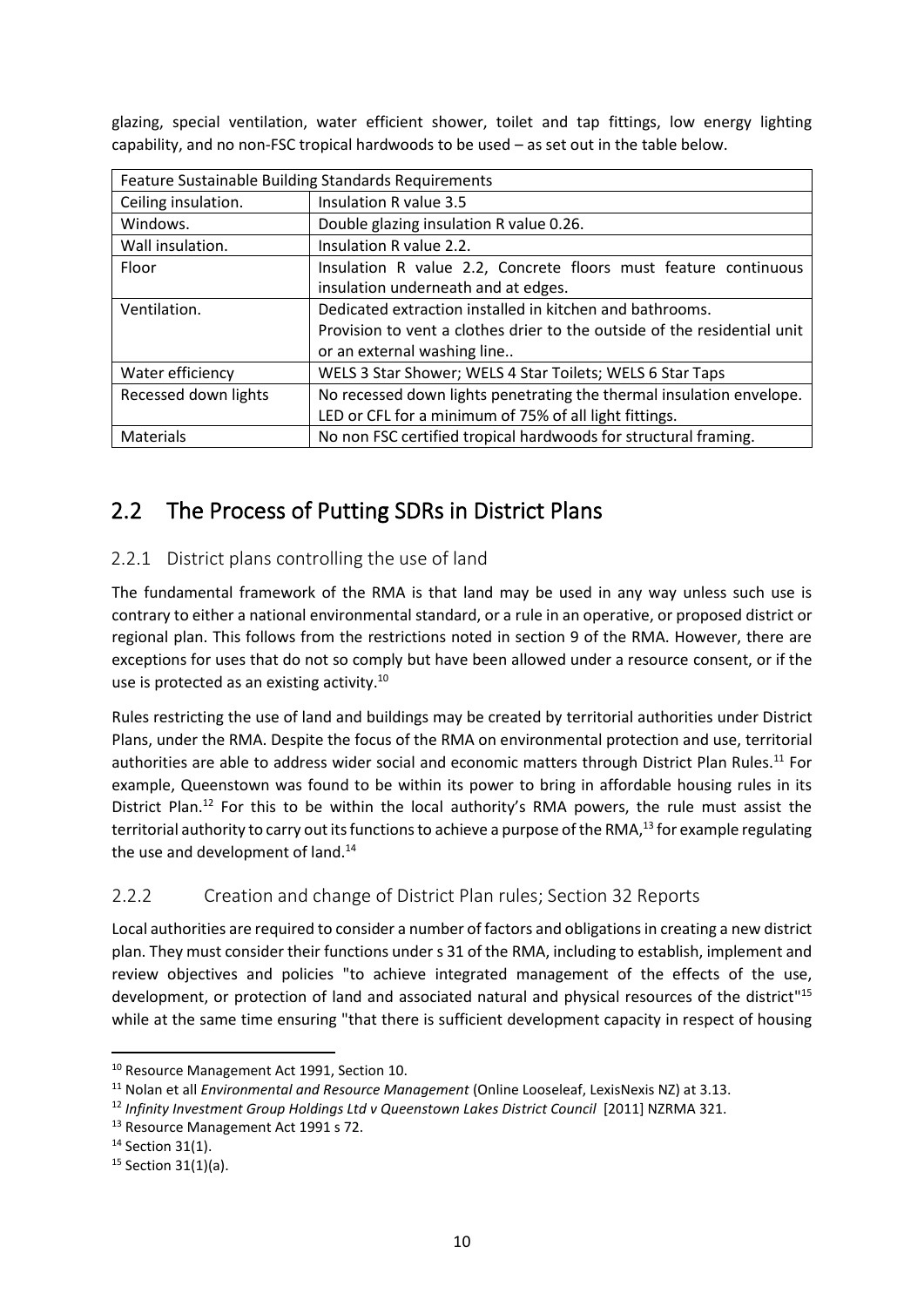glazing, special ventilation, water efficient shower, toilet and tap fittings, low energy lighting capability, and no non-FSC tropical hardwoods to be used – as set out in the table below.

| Feature Sustainable Building Standards Requirements |                                                                          |  |  |  |
|-----------------------------------------------------|--------------------------------------------------------------------------|--|--|--|
| Ceiling insulation.                                 | Insulation R value 3.5                                                   |  |  |  |
| Windows.                                            | Double glazing insulation R value 0.26.                                  |  |  |  |
| Wall insulation.                                    | Insulation R value 2.2.                                                  |  |  |  |
| Floor                                               | Insulation R value 2.2, Concrete floors must feature continuous          |  |  |  |
|                                                     | insulation underneath and at edges.                                      |  |  |  |
| Ventilation.                                        | Dedicated extraction installed in kitchen and bathrooms.                 |  |  |  |
|                                                     | Provision to vent a clothes drier to the outside of the residential unit |  |  |  |
|                                                     | or an external washing line                                              |  |  |  |
| Water efficiency                                    | WELS 3 Star Shower; WELS 4 Star Toilets; WELS 6 Star Taps                |  |  |  |
| Recessed down lights                                | No recessed down lights penetrating the thermal insulation envelope.     |  |  |  |
|                                                     | LED or CFL for a minimum of 75% of all light fittings.                   |  |  |  |
| Materials                                           | No non FSC certified tropical hardwoods for structural framing.          |  |  |  |

### 2.2 The Process of Putting SDRs in District Plans

#### 2.2.1 District plans controlling the use of land

The fundamental framework of the RMA is that land may be used in any way unless such use is contrary to either a national environmental standard, or a rule in an operative, or proposed district or regional plan. This follows from the restrictions noted in section 9 of the RMA. However, there are exceptions for uses that do not so comply but have been allowed under a resource consent, or if the use is protected as an existing activity.<sup>10</sup>

Rules restricting the use of land and buildings may be created by territorial authorities under District Plans, under the RMA. Despite the focus of the RMA on environmental protection and use, territorial authorities are able to address wider social and economic matters through District Plan Rules.<sup>11</sup> For example, Queenstown was found to be within its power to bring in affordable housing rules in its District Plan.<sup>12</sup> For this to be within the local authority's RMA powers, the rule must assist the territorial authority to carry out its functions to achieve a purpose of the RMA,<sup>13</sup> for example regulating the use and development of land.<sup>14</sup>

#### 2.2.2 Creation and change of District Plan rules; Section 32 Reports

Local authorities are required to consider a number of factors and obligations in creating a new district plan. They must consider their functions under s 31 of the RMA, including to establish, implement and review objectives and policies "to achieve integrated management of the effects of the use, development, or protection of land and associated natural and physical resources of the district"<sup>15</sup> while at the same time ensuring "that there is sufficient development capacity in respect of housing

<sup>&</sup>lt;sup>10</sup> Resource Management Act 1991, Section 10.

<sup>11</sup> Nolan et all *Environmental and Resource Management* (Online Looseleaf, LexisNexis NZ) at 3.13.

<sup>&</sup>lt;sup>12</sup> Infinity Investment Group Holdings Ltd v Queenstown Lakes District Council [2011] NZRMA 321.

<sup>&</sup>lt;sup>13</sup> Resource Management Act 1991 s 72.

<sup>&</sup>lt;sup>14</sup> Section 31(1).

<sup>15</sup> Section 31(1)(a).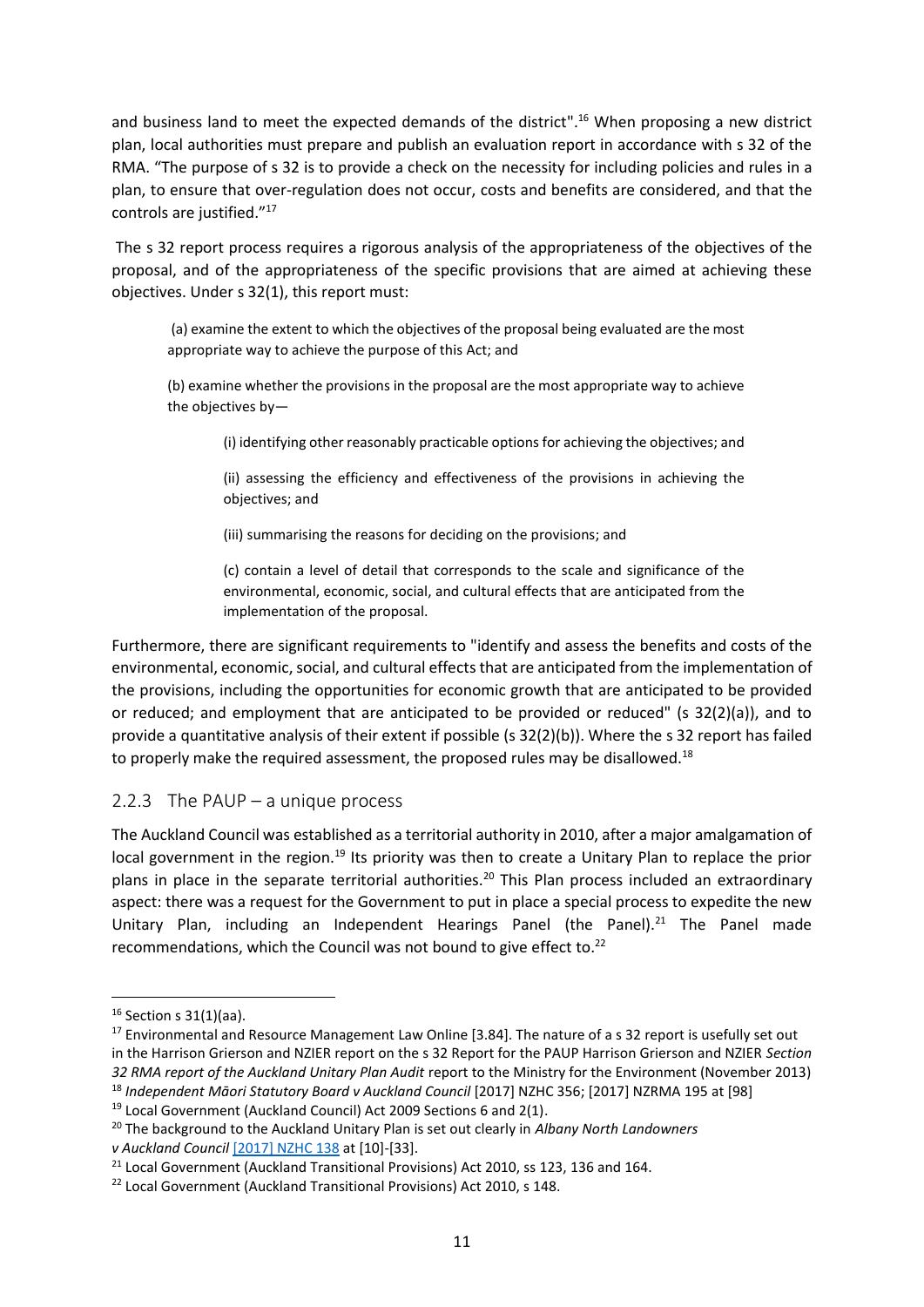and business land to meet the expected demands of the district".<sup>16</sup> When proposing a new district plan, local authorities must prepare and publish an evaluation report in accordance with s 32 of the RMA. "The purpose of s 32 is to provide a check on the necessity for including policies and rules in a plan, to ensure that over-regulation does not occur, costs and benefits are considered, and that the controls are justified."<sup>17</sup>

The s 32 report process requires a rigorous analysis of the appropriateness of the objectives of the proposal, and of the appropriateness of the specific provisions that are aimed at achieving these objectives. Under s 32(1), this report must:

(a) examine the extent to which the objectives of the proposal being evaluated are the most appropriate way to achieve the purpose of this Act; and

(b) examine whether the provisions in the proposal are the most appropriate way to achieve the objectives by—

(i) identifying other reasonably practicable options for achieving the objectives; and

(ii) assessing the efficiency and effectiveness of the provisions in achieving the objectives; and

(iii) summarising the reasons for deciding on the provisions; and

(c) contain a level of detail that corresponds to the scale and significance of the environmental, economic, social, and cultural effects that are anticipated from the implementation of the proposal.

Furthermore, there are significant requirements to "identify and assess the benefits and costs of the environmental, economic, social, and cultural effects that are anticipated from the implementation of the provisions, including the opportunities for economic growth that are anticipated to be provided or reduced; and employment that are anticipated to be provided or reduced" (s 32(2)(a)), and to provide a quantitative analysis of their extent if possible (s 32(2)(b)). Where the s 32 report has failed to properly make the required assessment, the proposed rules may be disallowed.<sup>18</sup>

#### 2.2.3 The PAUP – a unique process

The Auckland Council was established as a territorial authority in 2010, after a major amalgamation of local government in the region.<sup>19</sup> Its priority was then to create a Unitary Plan to replace the prior plans in place in the separate territorial authorities.<sup>20</sup> This Plan process included an extraordinary aspect: there was a request for the Government to put in place a special process to expedite the new Unitary Plan, including an Independent Hearings Panel (the Panel).<sup>21</sup> The Panel made recommendations, which the Council was not bound to give effect to.<sup>22</sup>

<sup>16</sup> Section s 31(1)(aa).

<sup>&</sup>lt;sup>17</sup> Environmental and Resource Management Law Online [3.84]. The nature of a s 32 report is usefully set out in the Harrison Grierson and NZIER report on the s 32 Report for the PAUP Harrison Grierson and NZIER *Section 32 RMA report of the Auckland Unitary Plan Audit* report to the Ministry for the Environment (November 2013) <sup>18</sup> *Independent Māori Statutory Board v Auckland Council* [2017] NZHC 356; [2017] NZRMA 195 at [98]

<sup>19</sup> Local Government (Auckland Council) Act 2009 Sections 6 and 2(1).

<sup>20</sup> The background to the Auckland Unitary Plan is set out clearly in *Albany North Landowners v Auckland Council* [\[2017\] NZHC 138](https://forms.justice.govt.nz/search/Documents/pdf/jdo/1c/alfresco/service/api/node/content/workspace/SpacesStore/b08eae55-78e0-4c70-af35-c0c641ca65ea/b08eae55-78e0-4c70-af35-c0c641ca65ea.pdf) at [10]-[33].

<sup>&</sup>lt;sup>21</sup> Local Government (Auckland Transitional Provisions) Act 2010, ss 123, 136 and 164.

<sup>&</sup>lt;sup>22</sup> Local Government (Auckland Transitional Provisions) Act 2010, s 148.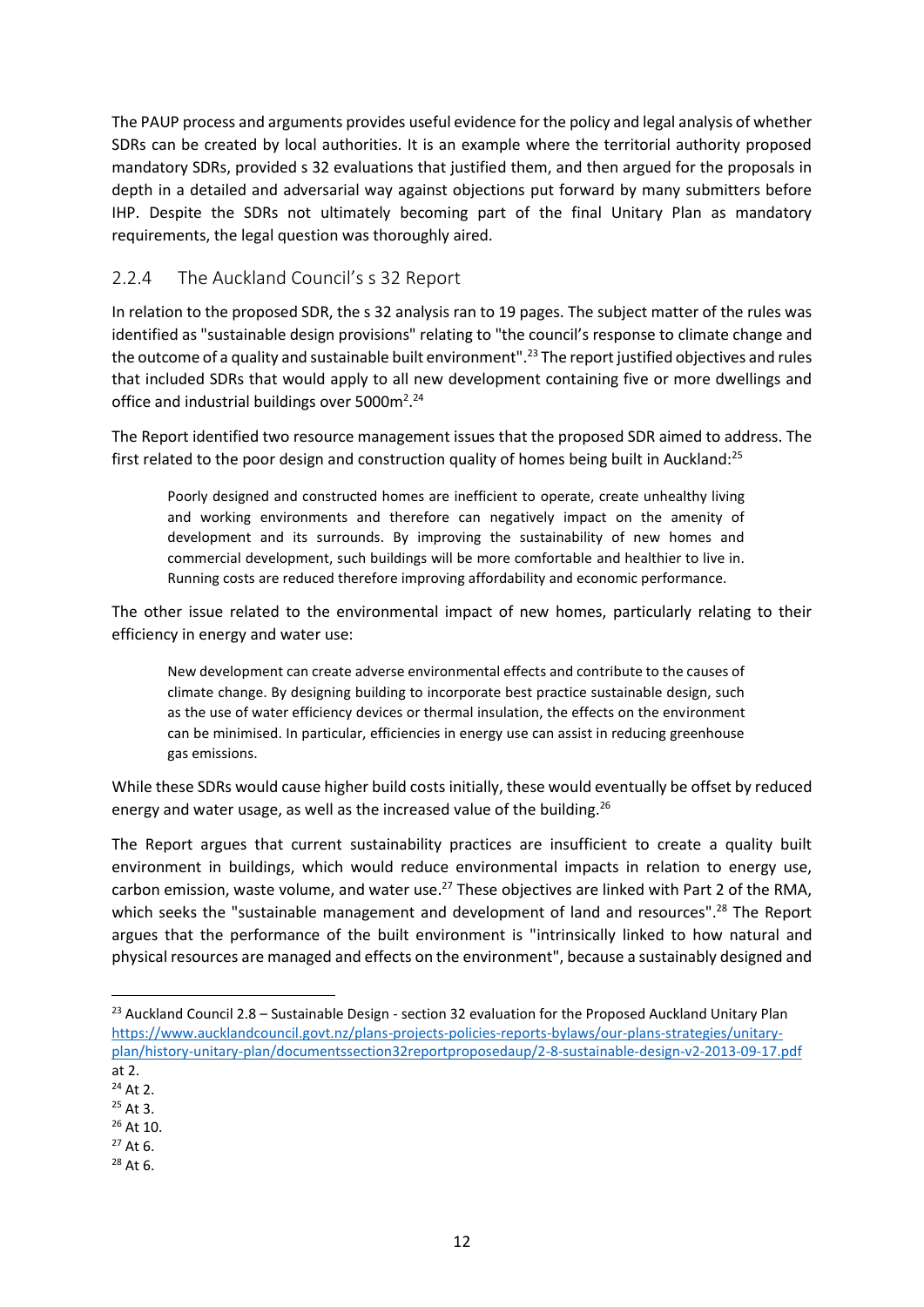The PAUP process and arguments provides useful evidence for the policy and legal analysis of whether SDRs can be created by local authorities. It is an example where the territorial authority proposed mandatory SDRs, provided s 32 evaluations that justified them, and then argued for the proposals in depth in a detailed and adversarial way against objections put forward by many submitters before IHP. Despite the SDRs not ultimately becoming part of the final Unitary Plan as mandatory requirements, the legal question was thoroughly aired.

#### 2.2.4 The Auckland Council's s 32 Report

In relation to the proposed SDR, the s 32 analysis ran to 19 pages. The subject matter of the rules was identified as "sustainable design provisions" relating to "the council's response to climate change and the outcome of a quality and sustainable built environment".<sup>23</sup> The report justified objectives and rules that included SDRs that would apply to all new development containing five or more dwellings and office and industrial buildings over 5000m<sup>2</sup>.<sup>24</sup>

The Report identified two resource management issues that the proposed SDR aimed to address. The first related to the poor design and construction quality of homes being built in Auckland: $^{25}$ 

Poorly designed and constructed homes are inefficient to operate, create unhealthy living and working environments and therefore can negatively impact on the amenity of development and its surrounds. By improving the sustainability of new homes and commercial development, such buildings will be more comfortable and healthier to live in. Running costs are reduced therefore improving affordability and economic performance.

The other issue related to the environmental impact of new homes, particularly relating to their efficiency in energy and water use:

New development can create adverse environmental effects and contribute to the causes of climate change. By designing building to incorporate best practice sustainable design, such as the use of water efficiency devices or thermal insulation, the effects on the environment can be minimised. In particular, efficiencies in energy use can assist in reducing greenhouse gas emissions.

While these SDRs would cause higher build costs initially, these would eventually be offset by reduced energy and water usage, as well as the increased value of the building.<sup>26</sup>

The Report argues that current sustainability practices are insufficient to create a quality built environment in buildings, which would reduce environmental impacts in relation to energy use, carbon emission, waste volume, and water use.<sup>27</sup> These objectives are linked with Part 2 of the RMA, which seeks the "sustainable management and development of land and resources".<sup>28</sup> The Report argues that the performance of the built environment is "intrinsically linked to how natural and physical resources are managed and effects on the environment", because a sustainably designed and

<sup>&</sup>lt;sup>23</sup> Auckland Council 2.8 – Sustainable Design - section 32 evaluation for the Proposed Auckland Unitary Plan [https://www.aucklandcouncil.govt.nz/plans-projects-policies-reports-bylaws/our-plans-strategies/unitary](https://www.aucklandcouncil.govt.nz/plans-projects-policies-reports-bylaws/our-plans-strategies/unitary-plan/history-unitary-plan/documentssection32reportproposedaup/2-8-sustainable-design-v2-2013-09-17.pdf)[plan/history-unitary-plan/documentssection32reportproposedaup/2-8-sustainable-design-v2-2013-09-17.pdf](https://www.aucklandcouncil.govt.nz/plans-projects-policies-reports-bylaws/our-plans-strategies/unitary-plan/history-unitary-plan/documentssection32reportproposedaup/2-8-sustainable-design-v2-2013-09-17.pdf) at 2.

<sup>24</sup> At 2.

<sup>25</sup> At 3.

<sup>26</sup> At 10.

 $27$  At 6.

<sup>28</sup> At 6.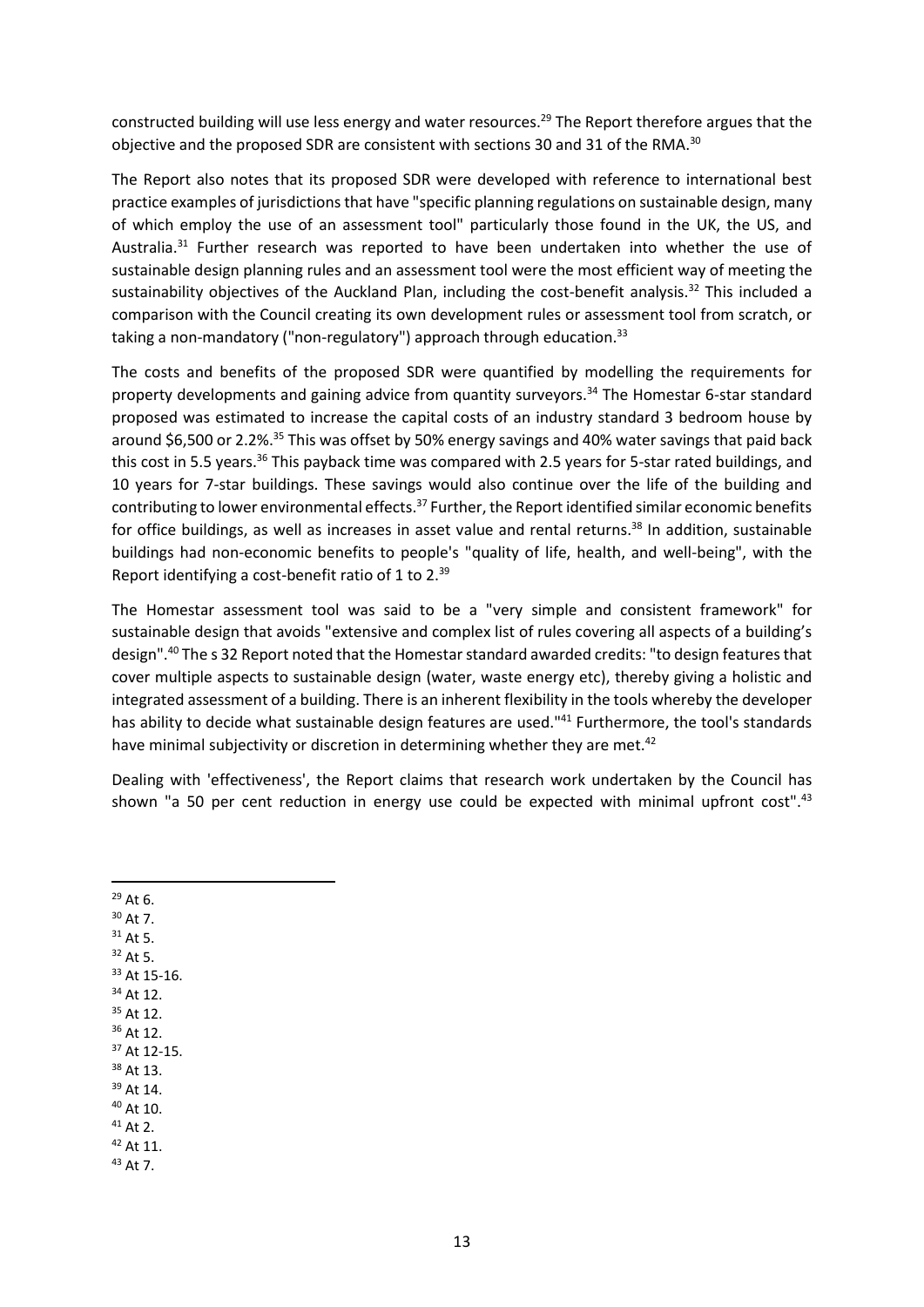constructed building will use less energy and water resources.<sup>29</sup> The Report therefore argues that the objective and the proposed SDR are consistent with sections 30 and 31 of the RMA.<sup>30</sup>

The Report also notes that its proposed SDR were developed with reference to international best practice examples of jurisdictions that have "specific planning regulations on sustainable design, many of which employ the use of an assessment tool" particularly those found in the UK, the US, and Australia. $31$  Further research was reported to have been undertaken into whether the use of sustainable design planning rules and an assessment tool were the most efficient way of meeting the sustainability objectives of the Auckland Plan, including the cost-benefit analysis.<sup>32</sup> This included a comparison with the Council creating its own development rules or assessment tool from scratch, or taking a non-mandatory ("non-regulatory") approach through education.<sup>33</sup>

The costs and benefits of the proposed SDR were quantified by modelling the requirements for property developments and gaining advice from quantity surveyors.<sup>34</sup> The Homestar 6-star standard proposed was estimated to increase the capital costs of an industry standard 3 bedroom house by around \$6,500 or 2.2%.<sup>35</sup> This was offset by 50% energy savings and 40% water savings that paid back this cost in 5.5 years.<sup>36</sup> This payback time was compared with 2.5 years for 5-star rated buildings, and 10 years for 7-star buildings. These savings would also continue over the life of the building and contributing to lower environmental effects.<sup>37</sup> Further, the Report identified similar economic benefits for office buildings, as well as increases in asset value and rental returns.<sup>38</sup> In addition, sustainable buildings had non-economic benefits to people's "quality of life, health, and well-being", with the Report identifying a cost-benefit ratio of 1 to 2.<sup>39</sup>

The Homestar assessment tool was said to be a "very simple and consistent framework" for sustainable design that avoids "extensive and complex list of rules covering all aspects of a building's design".<sup>40</sup> The s 32 Report noted that the Homestar standard awarded credits: "to design features that cover multiple aspects to sustainable design (water, waste energy etc), thereby giving a holistic and integrated assessment of a building. There is an inherent flexibility in the tools whereby the developer has ability to decide what sustainable design features are used."<sup>41</sup> Furthermore, the tool's standards have minimal subjectivity or discretion in determining whether they are met. $42$ 

Dealing with 'effectiveness', the Report claims that research work undertaken by the Council has shown "a 50 per cent reduction in energy use could be expected with minimal upfront cost". $43$ 

<sup>29</sup> At 6. <sup>30</sup> At 7. <sup>31</sup> At 5. <sup>32</sup> At 5. <sup>33</sup> At 15-16. <sup>34</sup> At 12. <sup>35</sup> At 12. <sup>36</sup> At 12. <sup>37</sup> At 12-15. <sup>38</sup> At 13. <sup>39</sup> At 14. <sup>40</sup> At 10. <sup>41</sup> At 2. <sup>42</sup> At 11. <sup>43</sup> At 7.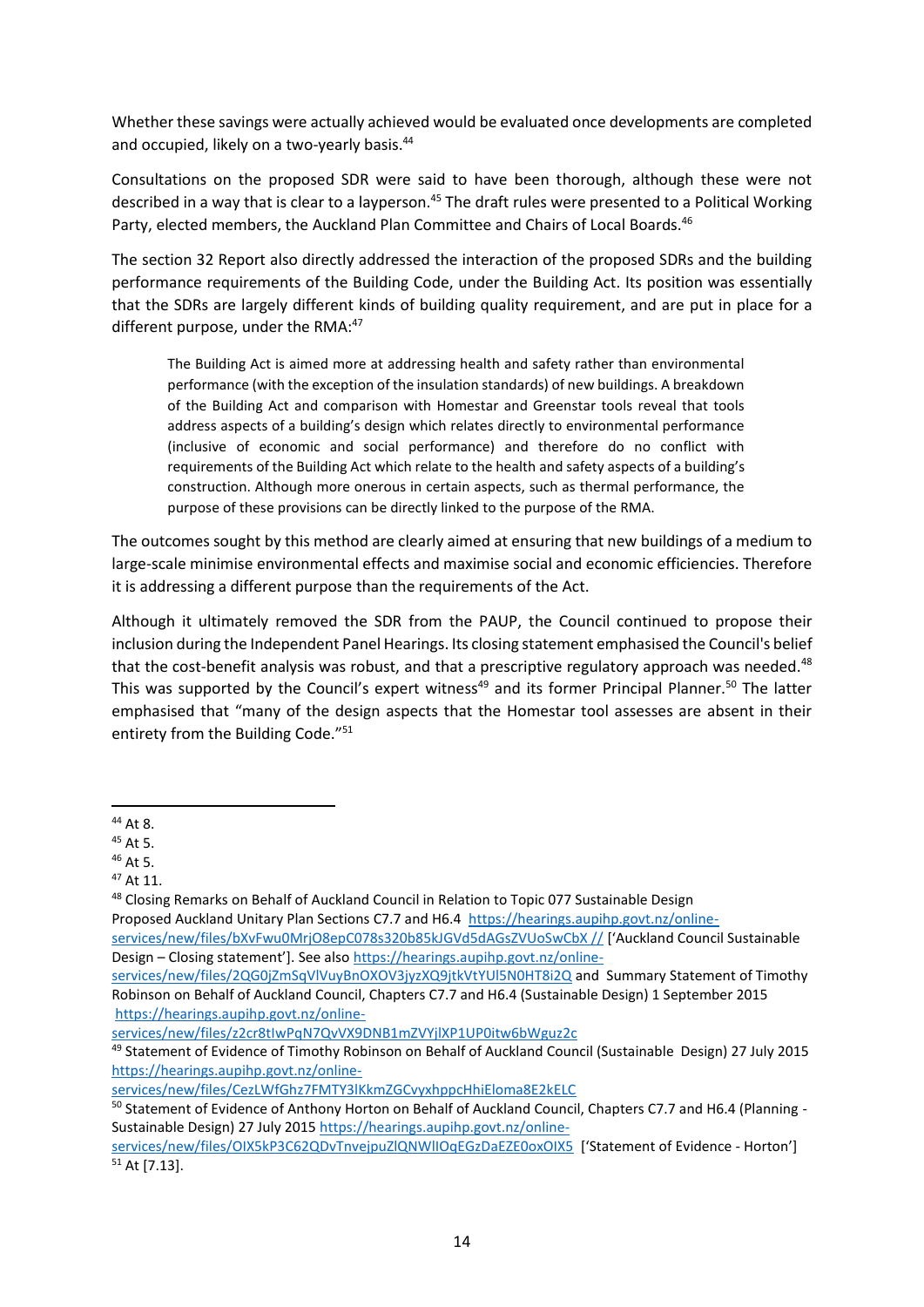Whether these savings were actually achieved would be evaluated once developments are completed and occupied, likely on a two-yearly basis.<sup>44</sup>

Consultations on the proposed SDR were said to have been thorough, although these were not described in a way that is clear to a layperson.<sup>45</sup> The draft rules were presented to a Political Working Party, elected members, the Auckland Plan Committee and Chairs of Local Boards.<sup>46</sup>

The section 32 Report also directly addressed the interaction of the proposed SDRs and the building performance requirements of the Building Code, under the Building Act. Its position was essentially that the SDRs are largely different kinds of building quality requirement, and are put in place for a different purpose, under the RMA: $47$ 

The Building Act is aimed more at addressing health and safety rather than environmental performance (with the exception of the insulation standards) of new buildings. A breakdown of the Building Act and comparison with Homestar and Greenstar tools reveal that tools address aspects of a building's design which relates directly to environmental performance (inclusive of economic and social performance) and therefore do no conflict with requirements of the Building Act which relate to the health and safety aspects of a building's construction. Although more onerous in certain aspects, such as thermal performance, the purpose of these provisions can be directly linked to the purpose of the RMA.

The outcomes sought by this method are clearly aimed at ensuring that new buildings of a medium to large-scale minimise environmental effects and maximise social and economic efficiencies. Therefore it is addressing a different purpose than the requirements of the Act.

<span id="page-17-0"></span>Although it ultimately removed the SDR from the PAUP, the Council continued to propose their inclusion during the Independent Panel Hearings. Its closing statement emphasised the Council's belief that the cost-benefit analysis was robust, and that a prescriptive regulatory approach was needed.<sup>48</sup> This was supported by the Council's expert witness<sup>49</sup> and its former Principal Planner.<sup>50</sup> The latter emphasised that "many of the design aspects that the Homestar tool assesses are absent in their entirety from the Building Code."<sup>51</sup>

<sup>44</sup> At 8.

 $45$  At 5.

<sup>46</sup> At 5.

<sup>47</sup> At 11.

<sup>48</sup> Closing Remarks on Behalf of Auckland Council in Relation to Topic 077 Sustainable Design

Proposed Auckland Unitary Plan Sections C7.7 and H6.4 [https://hearings.aupihp.govt.nz/online-](https://hearings.aupihp.govt.nz/online-services/new/files/bXvFwu0MrjO8epC078s320b85kJGVd5dAGsZVUoSwCbX%20/)

[services/new/files/bXvFwu0MrjO8epC078s320b85kJGVd5dAGsZVUoSwCbX //](https://hearings.aupihp.govt.nz/online-services/new/files/bXvFwu0MrjO8epC078s320b85kJGVd5dAGsZVUoSwCbX%20/) ['Auckland Council Sustainable Design – Closing statement']. See also [https://hearings.aupihp.govt.nz/online-](https://hearings.aupihp.govt.nz/online-services/new/files/2QG0jZmSqVlVuyBnOXOV3jyzXQ9jtkVtYUl5N0HT8i2Q)

[services/new/files/2QG0jZmSqVlVuyBnOXOV3jyzXQ9jtkVtYUl5N0HT8i2Q](https://hearings.aupihp.govt.nz/online-services/new/files/2QG0jZmSqVlVuyBnOXOV3jyzXQ9jtkVtYUl5N0HT8i2Q) and Summary Statement of Timothy Robinson on Behalf of Auckland Council, Chapters C7.7 and H6.4 (Sustainable Design) 1 September 2015 [https://hearings.aupihp.govt.nz/online-](https://hearings.aupihp.govt.nz/online-services/new/files/z2cr8tIwPqN7QvVX9DNB1mZVYjlXP1UP0itw6bWguz2c)

[services/new/files/z2cr8tIwPqN7QvVX9DNB1mZVYjlXP1UP0itw6bWguz2c](https://hearings.aupihp.govt.nz/online-services/new/files/z2cr8tIwPqN7QvVX9DNB1mZVYjlXP1UP0itw6bWguz2c)

<sup>49</sup> Statement of Evidence of Timothy Robinson on Behalf of Auckland Council (Sustainable Design) 27 July 2015 [https://hearings.aupihp.govt.nz/online-](https://hearings.aupihp.govt.nz/online-services/new/files/CezLWfGhz7FMTY3lKkmZGCvyxhppcHhiEloma8E2kELC)

[services/new/files/CezLWfGhz7FMTY3lKkmZGCvyxhppcHhiEloma8E2kELC](https://hearings.aupihp.govt.nz/online-services/new/files/CezLWfGhz7FMTY3lKkmZGCvyxhppcHhiEloma8E2kELC)

<sup>50</sup> Statement of Evidence of Anthony Horton on Behalf of Auckland Council, Chapters C7.7 and H6.4 (Planning -Sustainable Design) 27 July 2015 [https://hearings.aupihp.govt.nz/online-](https://hearings.aupihp.govt.nz/online-services/new/files/OIX5kP3C62QDvTnvejpuZlQNWlIOqEGzDaEZE0oxOIX5)

[services/new/files/OIX5kP3C62QDvTnvejpuZlQNWlIOqEGzDaEZE0oxOIX5](https://hearings.aupihp.govt.nz/online-services/new/files/OIX5kP3C62QDvTnvejpuZlQNWlIOqEGzDaEZE0oxOIX5) ['Statement of Evidence - Horton'] <sup>51</sup> At [7.13].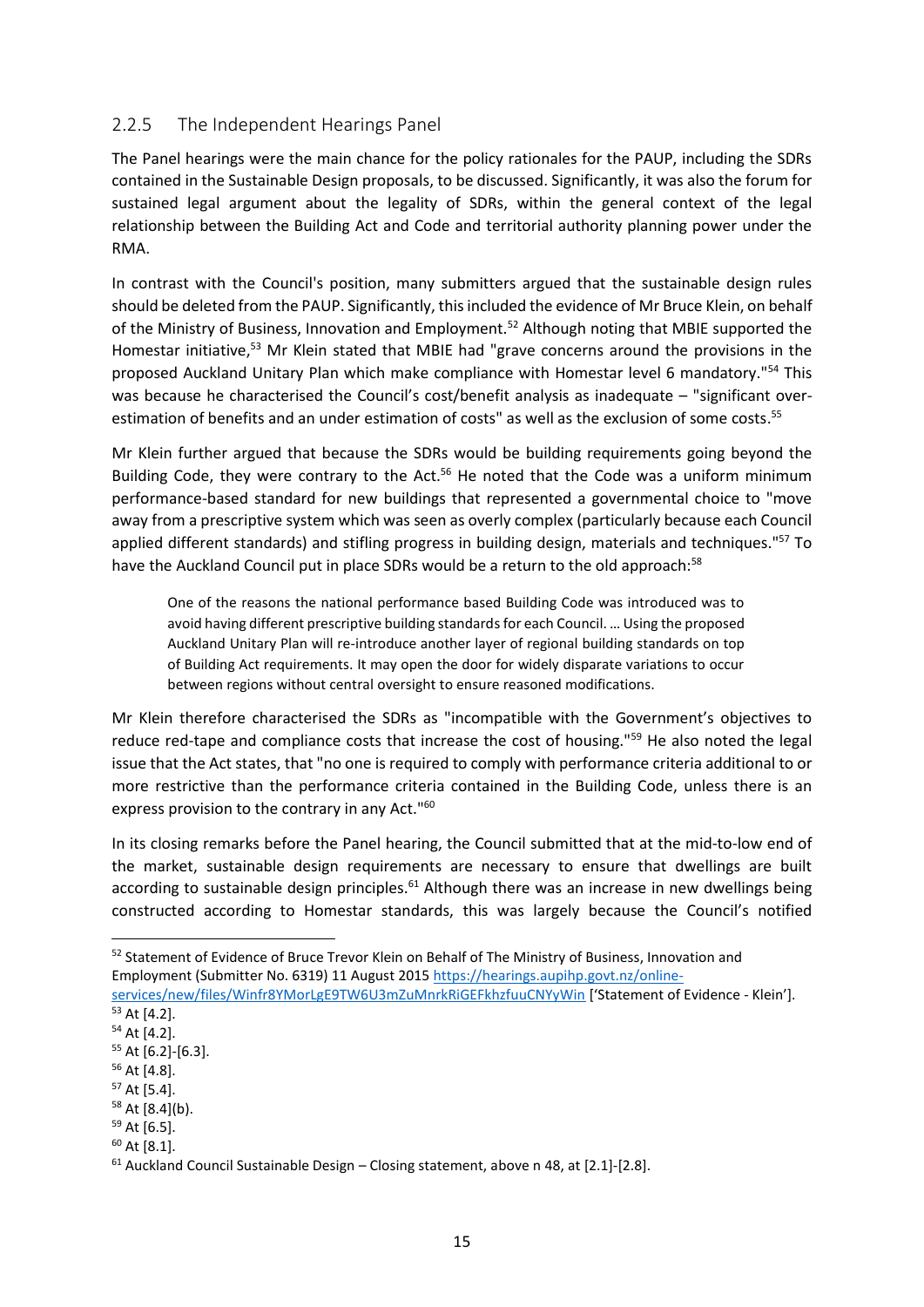#### 2.2.5 The Independent Hearings Panel

The Panel hearings were the main chance for the policy rationales for the PAUP, including the SDRs contained in the Sustainable Design proposals, to be discussed. Significantly, it was also the forum for sustained legal argument about the legality of SDRs, within the general context of the legal relationship between the Building Act and Code and territorial authority planning power under the RMA.

In contrast with the Council's position, many submitters argued that the sustainable design rules should be deleted from the PAUP. Significantly, this included the evidence of Mr Bruce Klein, on behalf of the Ministry of Business, Innovation and Employment.<sup>52</sup> Although noting that MBIE supported the Homestar initiative,<sup>53</sup> Mr Klein stated that MBIE had "grave concerns around the provisions in the proposed Auckland Unitary Plan which make compliance with Homestar level 6 mandatory."<sup>54</sup> This was because he characterised the Council's cost/benefit analysis as inadequate – "significant overestimation of benefits and an under estimation of costs" as well as the exclusion of some costs. 55

Mr Klein further argued that because the SDRs would be building requirements going beyond the Building Code, they were contrary to the Act.<sup>56</sup> He noted that the Code was a uniform minimum performance-based standard for new buildings that represented a governmental choice to "move away from a prescriptive system which was seen as overly complex (particularly because each Council applied different standards) and stifling progress in building design, materials and techniques."<sup>57</sup> To have the Auckland Council put in place SDRs would be a return to the old approach:<sup>58</sup>

One of the reasons the national performance based Building Code was introduced was to avoid having different prescriptive building standards for each Council. … Using the proposed Auckland Unitary Plan will re-introduce another layer of regional building standards on top of Building Act requirements. It may open the door for widely disparate variations to occur between regions without central oversight to ensure reasoned modifications.

Mr Klein therefore characterised the SDRs as "incompatible with the Government's objectives to reduce red-tape and compliance costs that increase the cost of housing."<sup>59</sup> He also noted the legal issue that the Act states, that "no one is required to comply with performance criteria additional to or more restrictive than the performance criteria contained in the Building Code, unless there is an express provision to the contrary in any Act."<sup>60</sup>

In its closing remarks before the Panel hearing, the Council submitted that at the mid-to-low end of the market, sustainable design requirements are necessary to ensure that dwellings are built according to sustainable design principles.<sup>61</sup> Although there was an increase in new dwellings being constructed according to Homestar standards, this was largely because the Council's notified

[services/new/files/Winfr8YMorLgE9TW6U3mZuMnrkRiGEFkhzfuuCNYyWin](https://hearings.aupihp.govt.nz/online-services/new/files/Winfr8YMorLgE9TW6U3mZuMnrkRiGEFkhzfuuCNYyWin) ['Statement of Evidence - Klein']. <sup>53</sup> At [4.2].

<sup>52</sup> Statement of Evidence of Bruce Trevor Klein on Behalf of The Ministry of Business, Innovation and Employment (Submitter No. 6319) 11 August 2015 [https://hearings.aupihp.govt.nz/online-](https://hearings.aupihp.govt.nz/online-services/new/files/Winfr8YMorLgE9TW6U3mZuMnrkRiGEFkhzfuuCNYyWin)

<sup>54</sup> At [4.2].

<sup>55</sup> At [6.2]-[6.3].

<sup>56</sup> At [4.8].

<sup>57</sup> At [5.4].

<sup>58</sup> At [8.4](b).

<sup>59</sup> At [6.5].

<sup>60</sup> At [8.1].

<sup>61</sup> Auckland Council Sustainable Design – Closing statement, above n [48,](#page-17-0) at [2.1]-[2.8].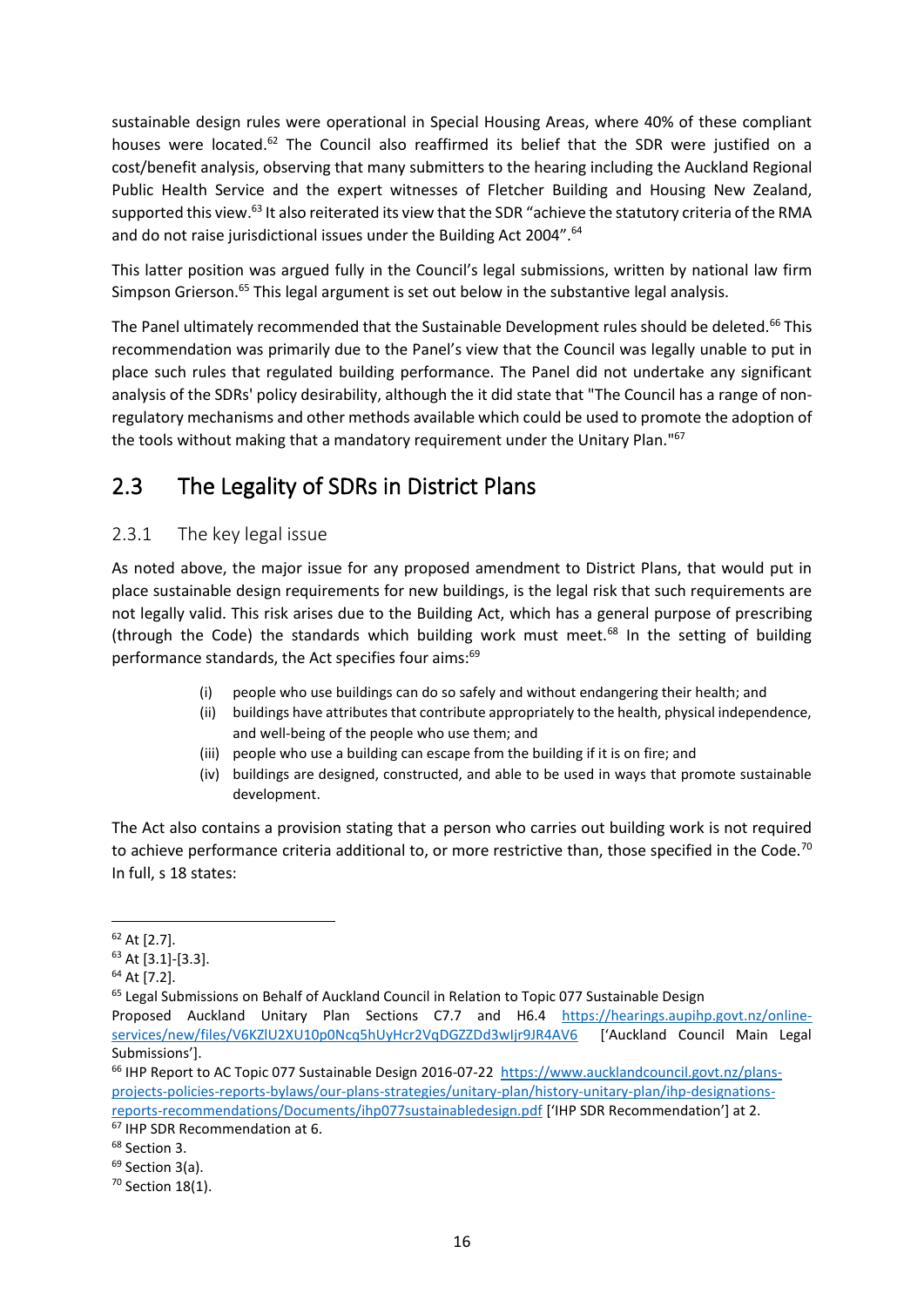sustainable design rules were operational in Special Housing Areas, where 40% of these compliant houses were located.<sup>62</sup> The Council also reaffirmed its belief that the SDR were justified on a cost/benefit analysis, observing that many submitters to the hearing including the Auckland Regional Public Health Service and the expert witnesses of Fletcher Building and Housing New Zealand, supported this view.<sup>63</sup> It also reiterated its view that the SDR "achieve the statutory criteria of the RMA and do not raise jurisdictional issues under the Building Act 2004".<sup>64</sup>

<span id="page-19-0"></span>This latter position was argued fully in the Council's legal submissions, written by national law firm Simpson Grierson.<sup>65</sup> This legal argument is set out below in the substantive legal analysis.

The Panel ultimately recommended that the Sustainable Development rules should be deleted.<sup>66</sup> This recommendation was primarily due to the Panel's view that the Council was legally unable to put in place such rules that regulated building performance. The Panel did not undertake any significant analysis of the SDRs' policy desirability, although the it did state that "The Council has a range of nonregulatory mechanisms and other methods available which could be used to promote the adoption of the tools without making that a mandatory requirement under the Unitary Plan."<sup>67</sup>

### 2.3 The Legality of SDRs in District Plans

#### 2.3.1 The key legal issue

As noted above, the major issue for any proposed amendment to District Plans, that would put in place sustainable design requirements for new buildings, is the legal risk that such requirements are not legally valid. This risk arises due to the Building Act, which has a general purpose of prescribing (through the Code) the standards which building work must meet.<sup>68</sup> In the setting of building performance standards, the Act specifies four aims:<sup>69</sup>

- (i) people who use buildings can do so safely and without endangering their health; and
- (ii) buildings have attributes that contribute appropriately to the health, physical independence, and well-being of the people who use them; and
- (iii) people who use a building can escape from the building if it is on fire; and
- (iv) buildings are designed, constructed, and able to be used in ways that promote sustainable development.

The Act also contains a provision stating that a person who carries out building work is not required to achieve performance criteria additional to, or more restrictive than, those specified in the Code.<sup>70</sup> In full, s 18 states:

 $62$  At [2.7].

<sup>63</sup> At [3.1]-[3.3].

<sup>64</sup> At [7.2].

<sup>&</sup>lt;sup>65</sup> Legal Submissions on Behalf of Auckland Council in Relation to Topic 077 Sustainable Design

Proposed Auckland Unitary Plan Sections C7.7 and H6.4 [https://hearings.aupihp.govt.nz/online](https://hearings.aupihp.govt.nz/online-services/new/files/V6KZlU2XU10p0Ncq5hUyHcr2VqDGZZDd3wIjr9JR4AV6)[services/new/files/V6KZlU2XU10p0Ncq5hUyHcr2VqDGZZDd3wIjr9JR4AV6](https://hearings.aupihp.govt.nz/online-services/new/files/V6KZlU2XU10p0Ncq5hUyHcr2VqDGZZDd3wIjr9JR4AV6) ['Auckland Council Main Legal Submissions'].

<sup>&</sup>lt;sup>66</sup> IHP Report to AC Topic 077 Sustainable Design 2016-07-22 [https://www.aucklandcouncil.govt.nz/plans](https://www.aucklandcouncil.govt.nz/plans-projects-policies-reports-bylaws/our-plans-strategies/unitary-plan/history-unitary-plan/ihp-designations-reports-recommendations/Documents/ihp077sustainabledesign.pdf)[projects-policies-reports-bylaws/our-plans-strategies/unitary-plan/history-unitary-plan/ihp-designations](https://www.aucklandcouncil.govt.nz/plans-projects-policies-reports-bylaws/our-plans-strategies/unitary-plan/history-unitary-plan/ihp-designations-reports-recommendations/Documents/ihp077sustainabledesign.pdf)[reports-recommendations/Documents/ihp077sustainabledesign.pdf](https://www.aucklandcouncil.govt.nz/plans-projects-policies-reports-bylaws/our-plans-strategies/unitary-plan/history-unitary-plan/ihp-designations-reports-recommendations/Documents/ihp077sustainabledesign.pdf) ['IHP SDR Recommendation'] at 2.

<sup>67</sup> IHP SDR Recommendation at 6.

<sup>&</sup>lt;sup>68</sup> Section 3.

<sup>&</sup>lt;sup>69</sup> Section 3(a).

<sup>70</sup> Section 18(1).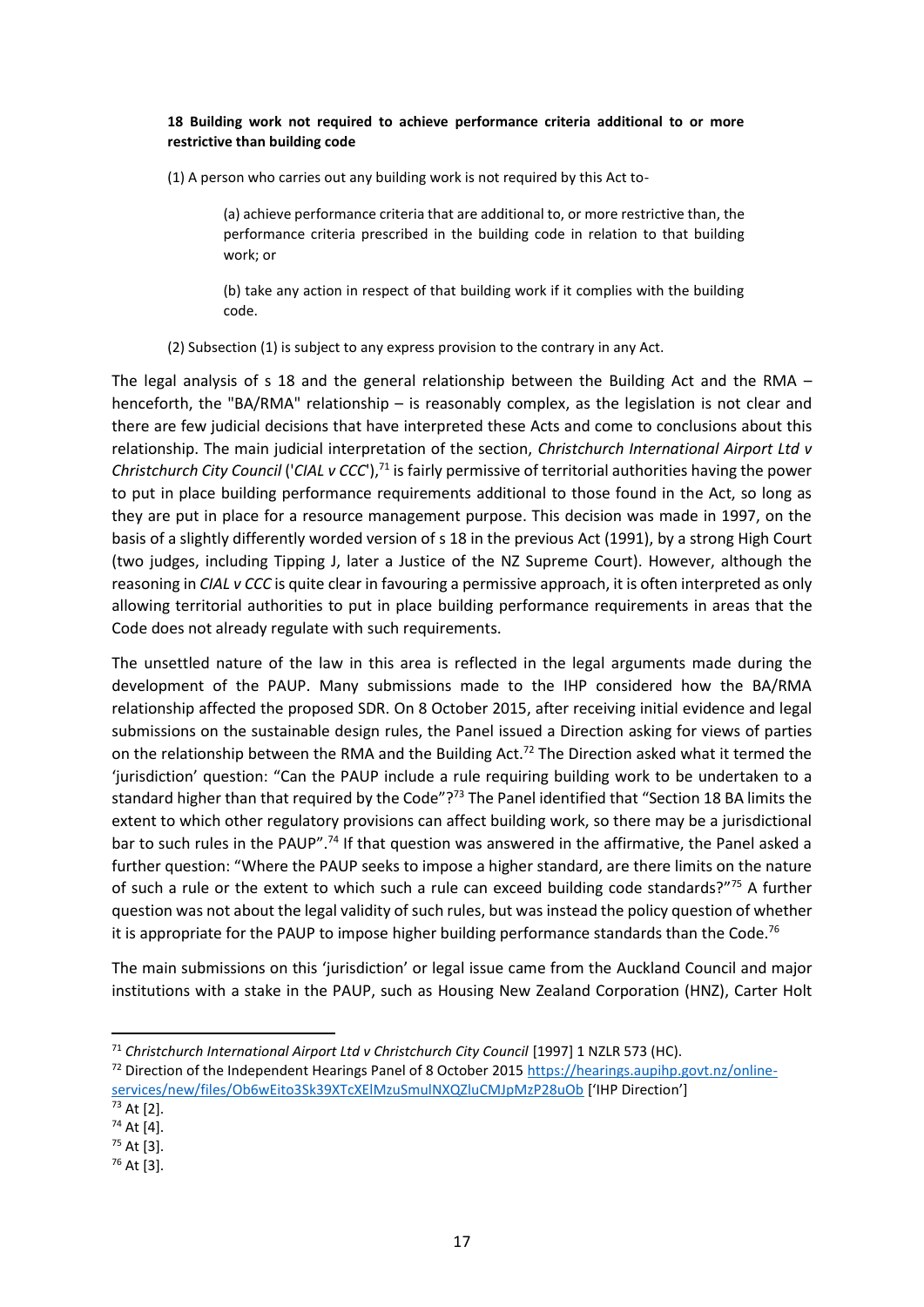#### **18 Building work not required to achieve performance criteria additional to or more restrictive than building code**

(1) A person who carries out any building work is not required by this Act to-

(a) achieve performance criteria that are additional to, or more restrictive than, the performance criteria prescribed in the building code in relation to that building work; or

(b) take any action in respect of that building work if it complies with the building code.

(2) Subsection (1) is subject to any express provision to the contrary in any Act.

The legal analysis of s 18 and the general relationship between the Building Act and the RMA – henceforth, the "BA/RMA" relationship – is reasonably complex, as the legislation is not clear and there are few judicial decisions that have interpreted these Acts and come to conclusions about this relationship. The main judicial interpretation of the section, *Christchurch International Airport Ltd v Christchurch City Council ('CIAL v CCC')*,<sup>71</sup> is fairly permissive of territorial authorities having the power to put in place building performance requirements additional to those found in the Act, so long as they are put in place for a resource management purpose. This decision was made in 1997, on the basis of a slightly differently worded version of s 18 in the previous Act (1991), by a strong High Court (two judges, including Tipping J, later a Justice of the NZ Supreme Court). However, although the reasoning in *CIAL v CCC* is quite clear in favouring a permissive approach, it is often interpreted as only allowing territorial authorities to put in place building performance requirements in areas that the Code does not already regulate with such requirements.

The unsettled nature of the law in this area is reflected in the legal arguments made during the development of the PAUP. Many submissions made to the IHP considered how the BA/RMA relationship affected the proposed SDR. On 8 October 2015, after receiving initial evidence and legal submissions on the sustainable design rules, the Panel issued a Direction asking for views of parties on the relationship between the RMA and the Building Act.<sup>72</sup> The Direction asked what it termed the 'jurisdiction' question: "Can the PAUP include a rule requiring building work to be undertaken to a standard higher than that required by the Code"?<sup>73</sup> The Panel identified that "Section 18 BA limits the extent to which other regulatory provisions can affect building work, so there may be a jurisdictional bar to such rules in the PAUP".<sup>74</sup> If that question was answered in the affirmative, the Panel asked a further question: "Where the PAUP seeks to impose a higher standard, are there limits on the nature of such a rule or the extent to which such a rule can exceed building code standards?"<sup>75</sup> A further question was not about the legal validity of such rules, but was instead the policy question of whether it is appropriate for the PAUP to impose higher building performance standards than the Code.<sup>76</sup>

The main submissions on this 'jurisdiction' or legal issue came from the Auckland Council and major institutions with a stake in the PAUP, such as Housing New Zealand Corporation (HNZ), Carter Holt

<sup>&</sup>lt;sup>71</sup> Christchurch International Airport Ltd v Christchurch City Council [1997] 1 NZLR 573 (HC).

<sup>72</sup> Direction of the Independent Hearings Panel of 8 October 2015 [https://hearings.aupihp.govt.nz/online](https://hearings.aupihp.govt.nz/online-services/new/files/Ob6wEito3Sk39XTcXElMzuSmulNXQZluCMJpMzP28uOb)[services/new/files/Ob6wEito3Sk39XTcXElMzuSmulNXQZluCMJpMzP28uOb](https://hearings.aupihp.govt.nz/online-services/new/files/Ob6wEito3Sk39XTcXElMzuSmulNXQZluCMJpMzP28uOb) ['IHP Direction']

<sup>73</sup> At [2].

<sup>74</sup> At [4].  $75$  At [3].

<sup>76</sup> At [3].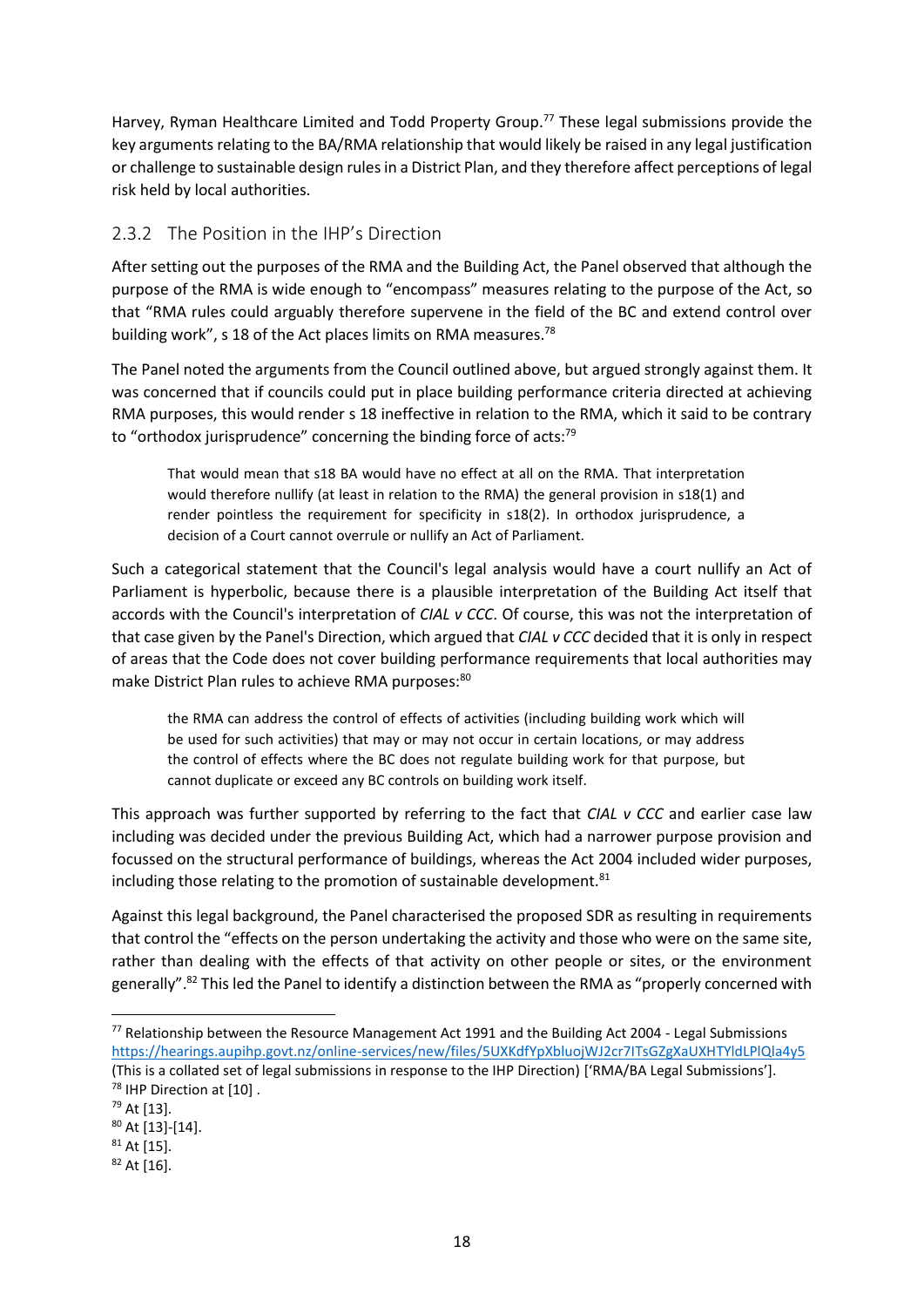<span id="page-21-0"></span>Harvey, Ryman Healthcare Limited and Todd Property Group.<sup>77</sup> These legal submissions provide the key arguments relating to the BA/RMA relationship that would likely be raised in any legal justification or challenge to sustainable design rules in a District Plan, and they therefore affect perceptions of legal risk held by local authorities.

#### 2.3.2 The Position in the IHP's Direction

After setting out the purposes of the RMA and the Building Act, the Panel observed that although the purpose of the RMA is wide enough to "encompass" measures relating to the purpose of the Act, so that "RMA rules could arguably therefore supervene in the field of the BC and extend control over building work", s 18 of the Act places limits on RMA measures.<sup>78</sup>

The Panel noted the arguments from the Council outlined above, but argued strongly against them. It was concerned that if councils could put in place building performance criteria directed at achieving RMA purposes, this would render s 18 ineffective in relation to the RMA, which it said to be contrary to "orthodox jurisprudence" concerning the binding force of acts:<sup>79</sup>

That would mean that s18 BA would have no effect at all on the RMA. That interpretation would therefore nullify (at least in relation to the RMA) the general provision in s18(1) and render pointless the requirement for specificity in s18(2). In orthodox jurisprudence, a decision of a Court cannot overrule or nullify an Act of Parliament.

Such a categorical statement that the Council's legal analysis would have a court nullify an Act of Parliament is hyperbolic, because there is a plausible interpretation of the Building Act itself that accords with the Council's interpretation of *CIAL v CCC*. Of course, this was not the interpretation of that case given by the Panel's Direction, which argued that *CIAL v CCC* decided that it is only in respect of areas that the Code does not cover building performance requirements that local authorities may make District Plan rules to achieve RMA purposes:<sup>80</sup>

the RMA can address the control of effects of activities (including building work which will be used for such activities) that may or may not occur in certain locations, or may address the control of effects where the BC does not regulate building work for that purpose, but cannot duplicate or exceed any BC controls on building work itself.

This approach was further supported by referring to the fact that *CIAL v CCC* and earlier case law including was decided under the previous Building Act, which had a narrower purpose provision and focussed on the structural performance of buildings, whereas the Act 2004 included wider purposes, including those relating to the promotion of sustainable development.<sup>81</sup>

Against this legal background, the Panel characterised the proposed SDR as resulting in requirements that control the "effects on the person undertaking the activity and those who were on the same site, rather than dealing with the effects of that activity on other people or sites, or the environment generally".<sup>82</sup> This led the Panel to identify a distinction between the RMA as "properly concerned with

<sup>77</sup> Relationship between the Resource Management Act 1991 and the Building Act 2004 - Legal Submissions <https://hearings.aupihp.govt.nz/online-services/new/files/5UXKdfYpXbluojWJ2cr7ITsGZgXaUXHTYldLPlQla4y5> (This is a collated set of legal submissions in response to the IHP Direction) ['RMA/BA Legal Submissions']. <sup>78</sup> IHP Direction at [10].

<sup>79</sup> At [13].

<sup>80</sup> At [13]-[14].

 $81$  At [15].

<sup>82</sup> At [16].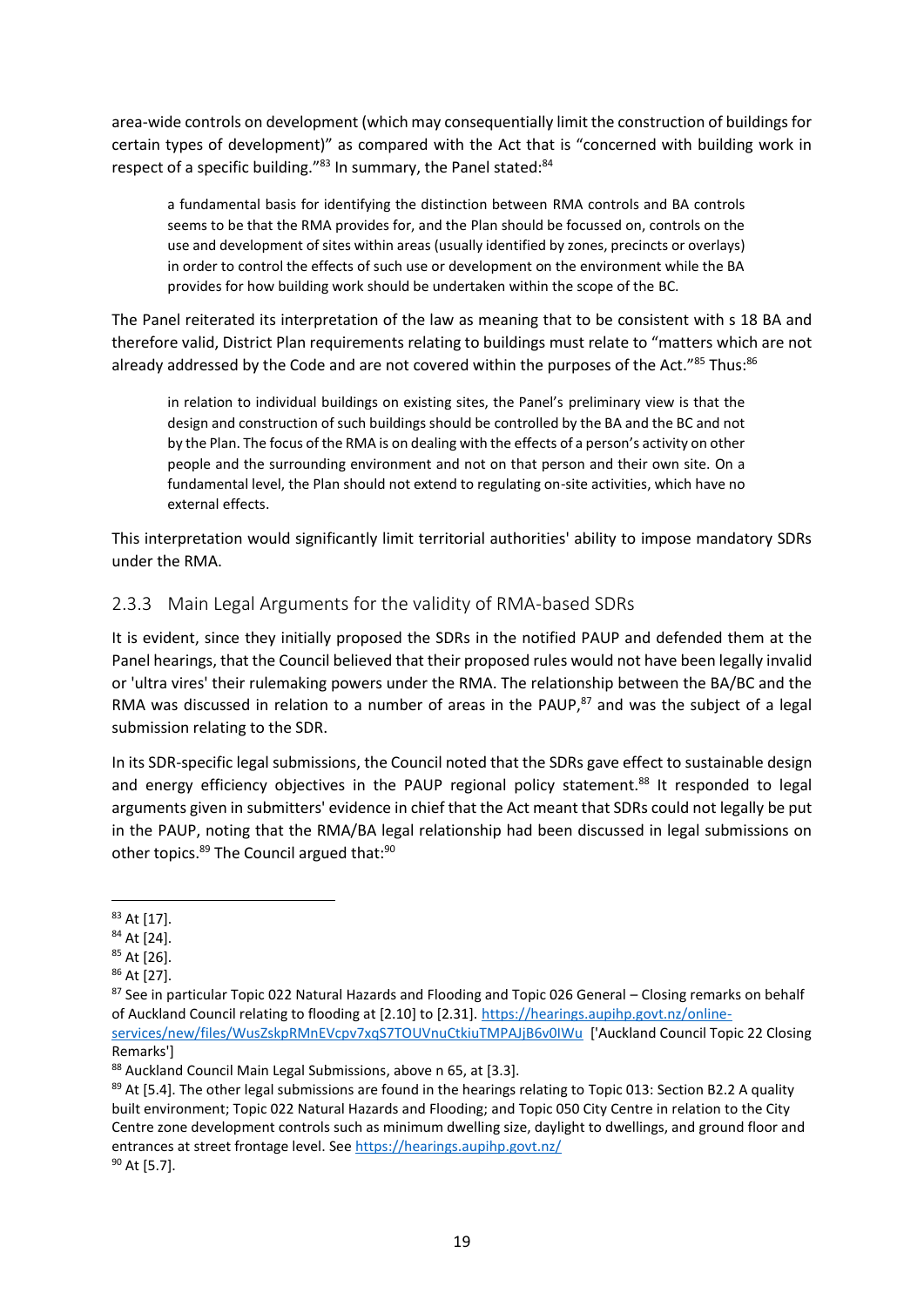area-wide controls on development (which may consequentially limit the construction of buildings for certain types of development)" as compared with the Act that is "concerned with building work in respect of a specific building."83 In summary, the Panel stated:84

a fundamental basis for identifying the distinction between RMA controls and BA controls seems to be that the RMA provides for, and the Plan should be focussed on, controls on the use and development of sites within areas (usually identified by zones, precincts or overlays) in order to control the effects of such use or development on the environment while the BA provides for how building work should be undertaken within the scope of the BC.

The Panel reiterated its interpretation of the law as meaning that to be consistent with s 18 BA and therefore valid, District Plan requirements relating to buildings must relate to "matters which are not already addressed by the Code and are not covered within the purposes of the Act."85 Thus:86

in relation to individual buildings on existing sites, the Panel's preliminary view is that the design and construction of such buildings should be controlled by the BA and the BC and not by the Plan. The focus of the RMA is on dealing with the effects of a person's activity on other people and the surrounding environment and not on that person and their own site. On a fundamental level, the Plan should not extend to regulating on-site activities, which have no external effects.

This interpretation would significantly limit territorial authorities' ability to impose mandatory SDRs under the RMA.

#### 2.3.3 Main Legal Arguments for the validity of RMA-based SDRs

It is evident, since they initially proposed the SDRs in the notified PAUP and defended them at the Panel hearings, that the Council believed that their proposed rules would not have been legally invalid or 'ultra vires' their rulemaking powers under the RMA. The relationship between the BA/BC and the RMA was discussed in relation to a number of areas in the PAUP, $^{87}$  and was the subject of a legal submission relating to the SDR.

In its SDR-specific legal submissions, the Council noted that the SDRs gave effect to sustainable design and energy efficiency objectives in the PAUP regional policy statement.<sup>88</sup> It responded to legal arguments given in submitters' evidence in chief that the Act meant that SDRs could not legally be put in the PAUP, noting that the RMA/BA legal relationship had been discussed in legal submissions on other topics.<sup>89</sup> The Council argued that:<sup>90</sup>

<sup>83</sup> At [17].

<sup>84</sup> At [24].

<sup>85</sup> At [26].

<sup>86</sup> At [27].

<sup>87</sup> See in particular Topic 022 Natural Hazards and Flooding and Topic 026 General – Closing remarks on behalf of Auckland Council relating to flooding at [2.10] to [2.31]. [https://hearings.aupihp.govt.nz/online](https://hearings.aupihp.govt.nz/online-services/new/files/WusZskpRMnEVcpv7xqS7TOUVnuCtkiuTMPAJjB6v0IWu)[services/new/files/WusZskpRMnEVcpv7xqS7TOUVnuCtkiuTMPAJjB6v0IWu](https://hearings.aupihp.govt.nz/online-services/new/files/WusZskpRMnEVcpv7xqS7TOUVnuCtkiuTMPAJjB6v0IWu) ['Auckland Council Topic 22 Closing Remarks']

<sup>88</sup> Auckland Council Main Legal Submissions, above [n 65,](#page-19-0) at [3.3].

<sup>89</sup> At [5.4]. The other legal submissions are found in the hearings relating to Topic 013: Section B2.2 A quality built environment; Topic 022 Natural Hazards and Flooding; and Topic 050 City Centre in relation to the City Centre zone development controls such as minimum dwelling size, daylight to dwellings, and ground floor and entrances at street frontage level. See<https://hearings.aupihp.govt.nz/> <sup>90</sup> At [5.7].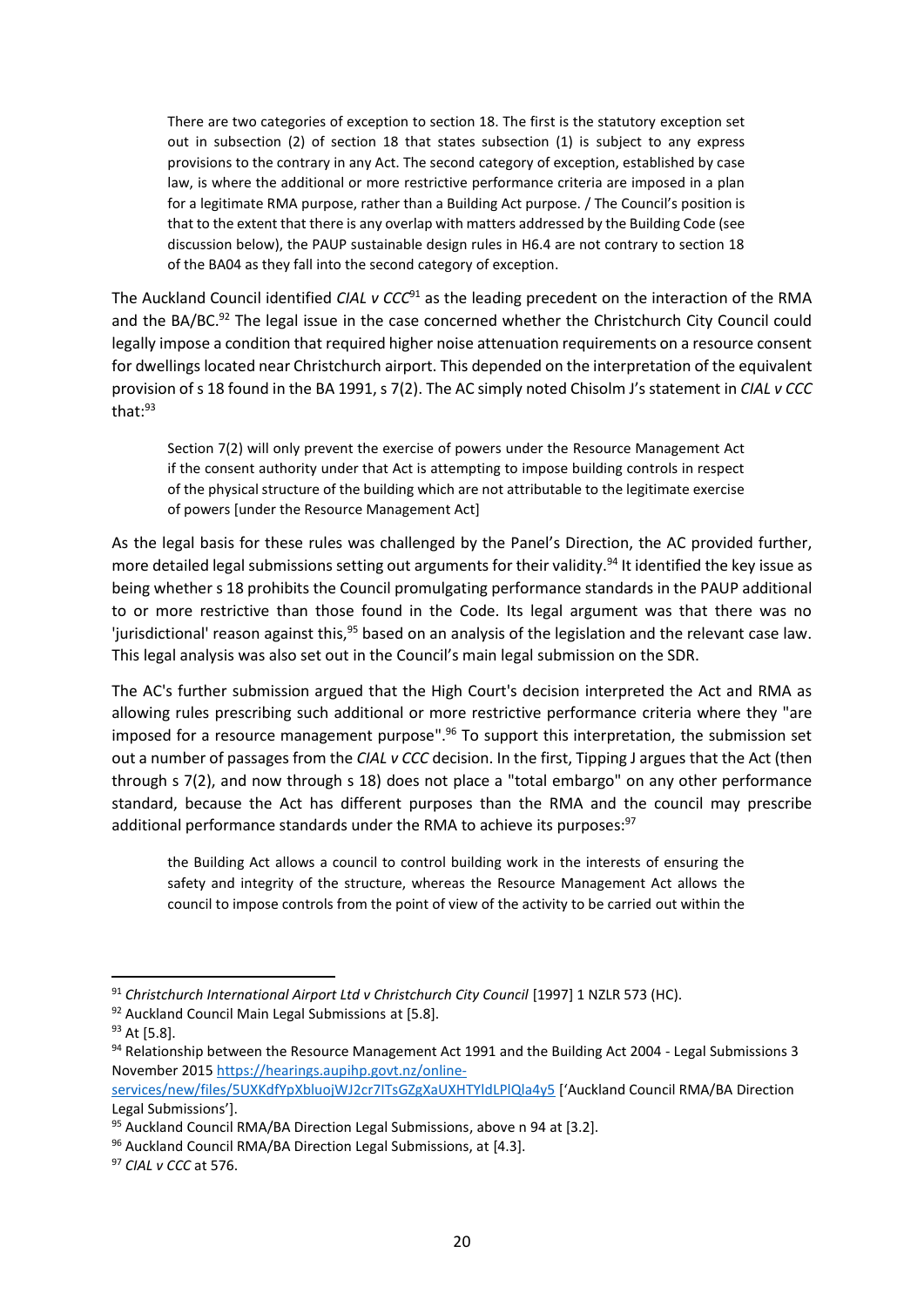There are two categories of exception to section 18. The first is the statutory exception set out in subsection (2) of section 18 that states subsection (1) is subject to any express provisions to the contrary in any Act. The second category of exception, established by case law, is where the additional or more restrictive performance criteria are imposed in a plan for a legitimate RMA purpose, rather than a Building Act purpose. / The Council's position is that to the extent that there is any overlap with matters addressed by the Building Code (see discussion below), the PAUP sustainable design rules in H6.4 are not contrary to section 18 of the BA04 as they fall into the second category of exception.

The Auckland Council identified *CIAL v CCC*<sup>91</sup> as the leading precedent on the interaction of the RMA and the BA/BC.<sup>92</sup> The legal issue in the case concerned whether the Christchurch City Council could legally impose a condition that required higher noise attenuation requirements on a resource consent for dwellings located near Christchurch airport. This depended on the interpretation of the equivalent provision of s 18 found in the BA 1991, s 7(2). The AC simply noted Chisolm J's statement in *CIAL v CCC*  that:<sup>93</sup>

<span id="page-23-0"></span>Section 7(2) will only prevent the exercise of powers under the Resource Management Act if the consent authority under that Act is attempting to impose building controls in respect of the physical structure of the building which are not attributable to the legitimate exercise of powers [under the Resource Management Act]

As the legal basis for these rules was challenged by the Panel's Direction, the AC provided further, more detailed legal submissions setting out arguments for their validity.<sup>94</sup> It identified the key issue as being whether s 18 prohibits the Council promulgating performance standards in the PAUP additional to or more restrictive than those found in the Code. Its legal argument was that there was no 'jurisdictional' reason against this,<sup>95</sup> based on an analysis of the legislation and the relevant case law. This legal analysis was also set out in the Council's main legal submission on the SDR.

The AC's further submission argued that the High Court's decision interpreted the Act and RMA as allowing rules prescribing such additional or more restrictive performance criteria where they "are imposed for a resource management purpose".<sup>96</sup> To support this interpretation, the submission set out a number of passages from the *CIAL v CCC* decision. In the first, Tipping J argues that the Act (then through s 7(2), and now through s 18) does not place a "total embargo" on any other performance standard, because the Act has different purposes than the RMA and the council may prescribe additional performance standards under the RMA to achieve its purposes:<sup>97</sup>

the Building Act allows a council to control building work in the interests of ensuring the safety and integrity of the structure, whereas the Resource Management Act allows the council to impose controls from the point of view of the activity to be carried out within the

<sup>&</sup>lt;sup>91</sup> Christchurch International Airport Ltd v Christchurch City Council [1997] 1 NZLR 573 (HC).

<sup>92</sup> Auckland Council Main Legal Submissions at [5.8].

<sup>&</sup>lt;sup>93</sup> At [5.8].

<sup>94</sup> Relationship between the Resource Management Act 1991 and the Building Act 2004 - Legal Submissions 3 November 201[5 https://hearings.aupihp.govt.nz/online-](https://hearings.aupihp.govt.nz/online-services/new/files/5UXKdfYpXbluojWJ2cr7ITsGZgXaUXHTYldLPlQla4y5)

[services/new/files/5UXKdfYpXbluojWJ2cr7ITsGZgXaUXHTYldLPlQla4y5](https://hearings.aupihp.govt.nz/online-services/new/files/5UXKdfYpXbluojWJ2cr7ITsGZgXaUXHTYldLPlQla4y5) ['Auckland Council RMA/BA Direction Legal Submissions'].

<sup>95</sup> Auckland Council RMA/BA Direction Legal Submissions, above n [94](#page-23-0) at [3.2].

<sup>96</sup> Auckland Council RMA/BA Direction Legal Submissions, at [4.3].

<sup>97</sup> *CIAL v CCC* at 576.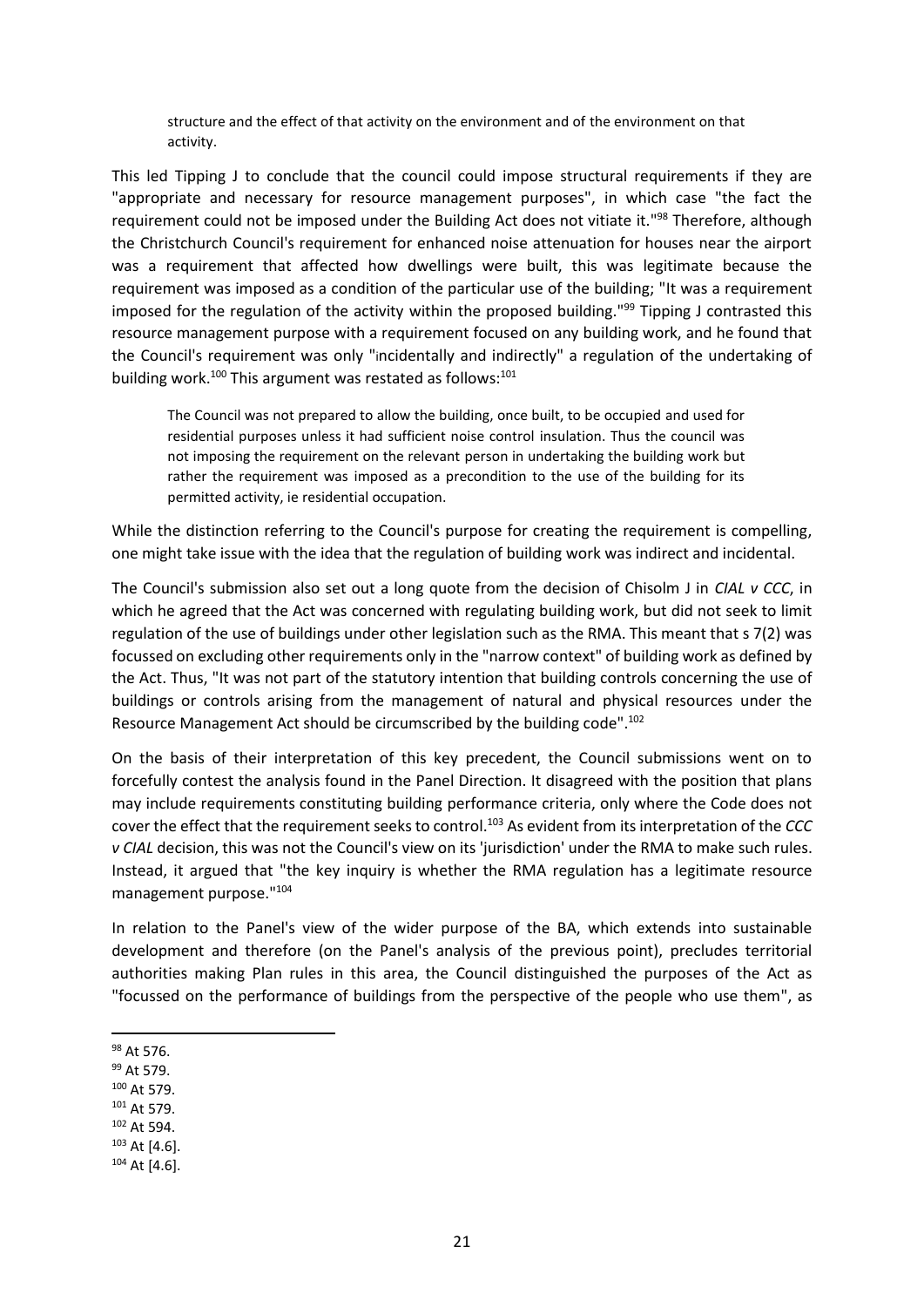structure and the effect of that activity on the environment and of the environment on that activity.

This led Tipping J to conclude that the council could impose structural requirements if they are "appropriate and necessary for resource management purposes", in which case "the fact the requirement could not be imposed under the Building Act does not vitiate it."<sup>98</sup> Therefore, although the Christchurch Council's requirement for enhanced noise attenuation for houses near the airport was a requirement that affected how dwellings were built, this was legitimate because the requirement was imposed as a condition of the particular use of the building; "It was a requirement imposed for the regulation of the activity within the proposed building."<sup>99</sup> Tipping J contrasted this resource management purpose with a requirement focused on any building work, and he found that the Council's requirement was only "incidentally and indirectly" a regulation of the undertaking of building work.<sup>100</sup> This argument was restated as follows: $101$ 

The Council was not prepared to allow the building, once built, to be occupied and used for residential purposes unless it had sufficient noise control insulation. Thus the council was not imposing the requirement on the relevant person in undertaking the building work but rather the requirement was imposed as a precondition to the use of the building for its permitted activity, ie residential occupation.

While the distinction referring to the Council's purpose for creating the requirement is compelling, one might take issue with the idea that the regulation of building work was indirect and incidental.

The Council's submission also set out a long quote from the decision of Chisolm J in *CIAL v CCC*, in which he agreed that the Act was concerned with regulating building work, but did not seek to limit regulation of the use of buildings under other legislation such as the RMA. This meant that s 7(2) was focussed on excluding other requirements only in the "narrow context" of building work as defined by the Act. Thus, "It was not part of the statutory intention that building controls concerning the use of buildings or controls arising from the management of natural and physical resources under the Resource Management Act should be circumscribed by the building code".<sup>102</sup>

On the basis of their interpretation of this key precedent, the Council submissions went on to forcefully contest the analysis found in the Panel Direction. It disagreed with the position that plans may include requirements constituting building performance criteria, only where the Code does not cover the effect that the requirement seeks to control.<sup>103</sup> As evident from its interpretation of the *CCC v CIAL* decision, this was not the Council's view on its 'jurisdiction' under the RMA to make such rules. Instead, it argued that "the key inquiry is whether the RMA regulation has a legitimate resource management purpose."<sup>104</sup>

In relation to the Panel's view of the wider purpose of the BA, which extends into sustainable development and therefore (on the Panel's analysis of the previous point), precludes territorial authorities making Plan rules in this area, the Council distinguished the purposes of the Act as "focussed on the performance of buildings from the perspective of the people who use them", as

- <sup>99</sup> At 579.
- <sup>100</sup> At 579.
- <sup>101</sup> At 579.
- <sup>102</sup> At 594.
- $103$  At [4.6].
- $104$  At [4.6].

<sup>98</sup> At 576.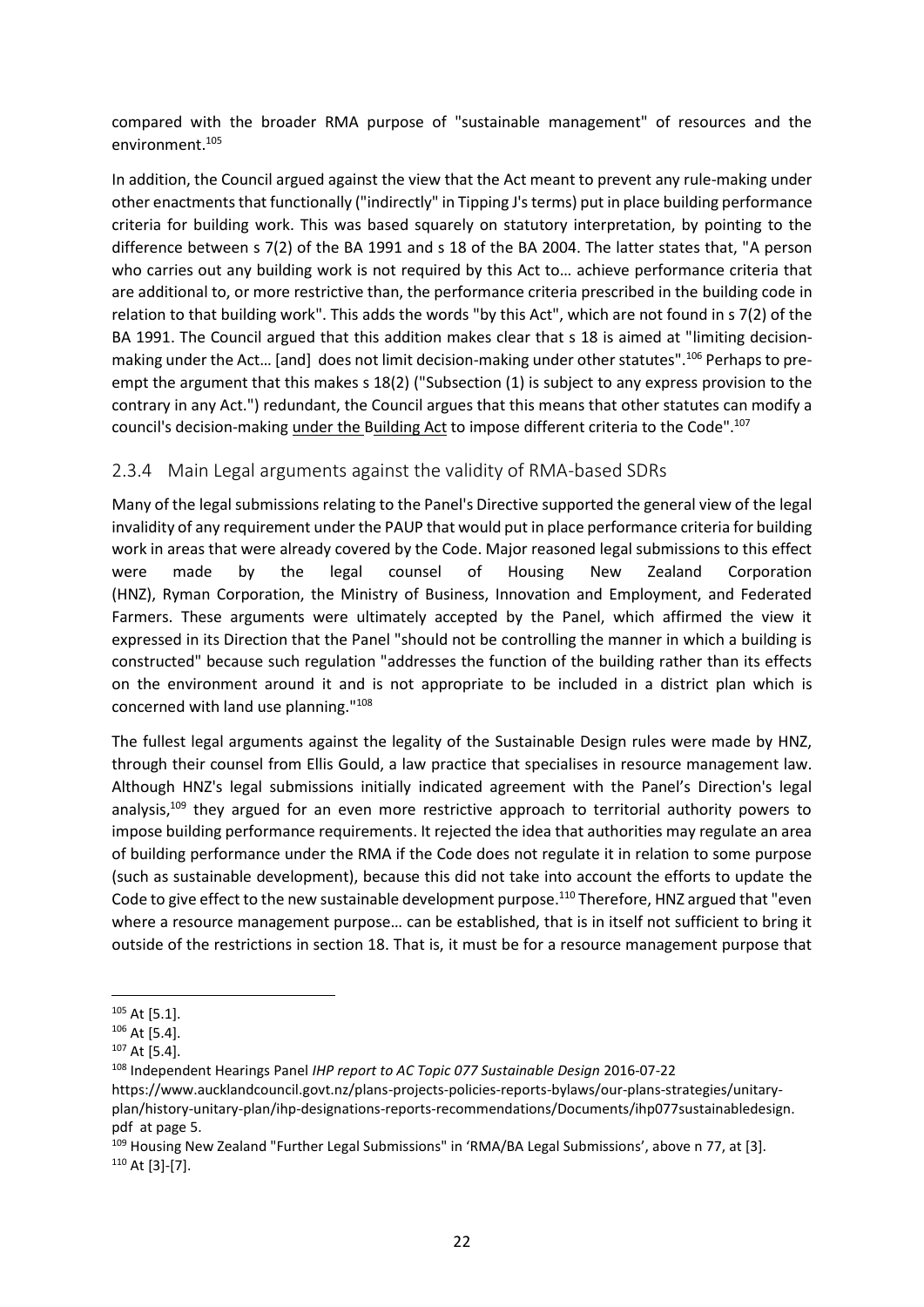compared with the broader RMA purpose of "sustainable management" of resources and the environment.<sup>105</sup>

In addition, the Council argued against the view that the Act meant to prevent any rule-making under other enactments that functionally ("indirectly" in Tipping J's terms) put in place building performance criteria for building work. This was based squarely on statutory interpretation, by pointing to the difference between s 7(2) of the BA 1991 and s 18 of the BA 2004. The latter states that, "A person who carries out any building work is not required by this Act to… achieve performance criteria that are additional to, or more restrictive than, the performance criteria prescribed in the building code in relation to that building work". This adds the words "by this Act", which are not found in s 7(2) of the BA 1991. The Council argued that this addition makes clear that s 18 is aimed at "limiting decisionmaking under the Act… [and] does not limit decision-making under other statutes".<sup>106</sup> Perhaps to preempt the argument that this makes s 18(2) ("Subsection (1) is subject to any express provision to the contrary in any Act.") redundant, the Council argues that this means that other statutes can modify a council's decision-making under the Building Act to impose different criteria to the Code".<sup>107</sup>

#### 2.3.4 Main Legal arguments against the validity of RMA-based SDRs

Many of the legal submissions relating to the Panel's Directive supported the general view of the legal invalidity of any requirement under the PAUP that would put in place performance criteria for building work in areas that were already covered by the Code. Major reasoned legal submissions to this effect were made by the legal counsel of Housing New Zealand Corporation (HNZ), Ryman Corporation, the Ministry of Business, Innovation and Employment, and Federated Farmers. These arguments were ultimately accepted by the Panel, which affirmed the view it expressed in its Direction that the Panel "should not be controlling the manner in which a building is constructed" because such regulation "addresses the function of the building rather than its effects on the environment around it and is not appropriate to be included in a district plan which is concerned with land use planning."<sup>108</sup>

The fullest legal arguments against the legality of the Sustainable Design rules were made by HNZ, through their counsel from Ellis Gould, a law practice that specialises in resource management law. Although HNZ's legal submissions initially indicated agreement with the Panel's Direction's legal analysis,<sup>109</sup> they argued for an even more restrictive approach to territorial authority powers to impose building performance requirements. It rejected the idea that authorities may regulate an area of building performance under the RMA if the Code does not regulate it in relation to some purpose (such as sustainable development), because this did not take into account the efforts to update the Code to give effect to the new sustainable development purpose.<sup>110</sup> Therefore, HNZ argued that "even where a resource management purpose… can be established, that is in itself not sufficient to bring it outside of the restrictions in section 18. That is, it must be for a resource management purpose that

 $105$  At [5.1].

<sup>106</sup> At [5.4].

<sup>107</sup> At [5.4].

<sup>108</sup> Independent Hearings Panel *IHP report to AC Topic 077 Sustainable Design* 2016-07-22

https://www.aucklandcouncil.govt.nz/plans-projects-policies-reports-bylaws/our-plans-strategies/unitaryplan/history-unitary-plan/ihp-designations-reports-recommendations/Documents/ihp077sustainabledesign. pdf at page 5.

<sup>&</sup>lt;sup>109</sup> Housing New Zealand "Further Legal Submissions" in 'RMA/BA Legal Submissions', above n [77,](#page-21-0) at [3]. <sup>110</sup> At [3]-[7].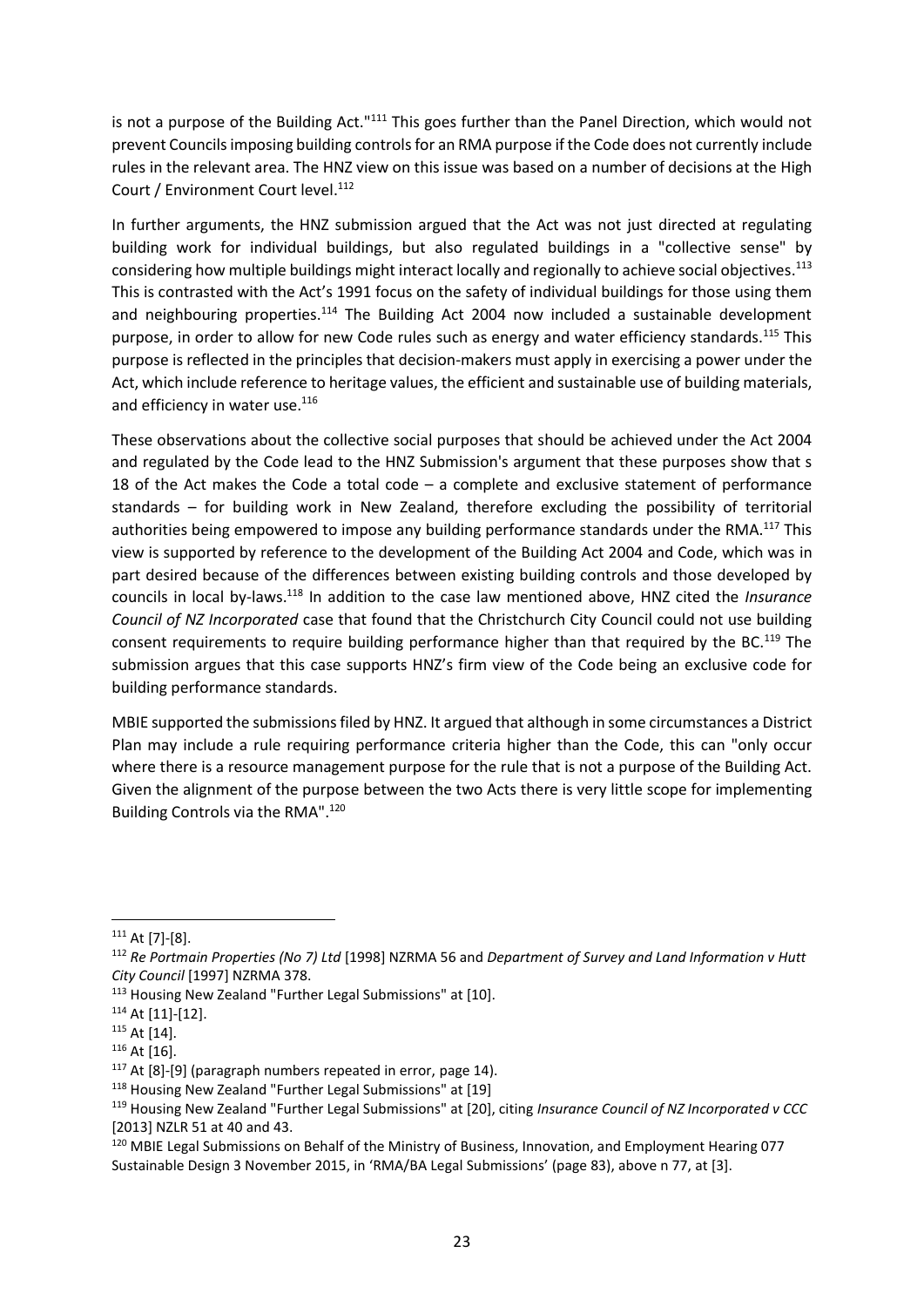is not a purpose of the Building Act."<sup>111</sup> This goes further than the Panel Direction, which would not prevent Councils imposing building controls for an RMA purpose if the Code does not currently include rules in the relevant area. The HNZ view on this issue was based on a number of decisions at the High Court / Environment Court level.<sup>112</sup>

In further arguments, the HNZ submission argued that the Act was not just directed at regulating building work for individual buildings, but also regulated buildings in a "collective sense" by considering how multiple buildings might interact locally and regionally to achieve social objectives.<sup>113</sup> This is contrasted with the Act's 1991 focus on the safety of individual buildings for those using them and neighbouring properties. $114$  The Building Act 2004 now included a sustainable development purpose, in order to allow for new Code rules such as energy and water efficiency standards.<sup>115</sup> This purpose is reflected in the principles that decision-makers must apply in exercising a power under the Act, which include reference to heritage values, the efficient and sustainable use of building materials, and efficiency in water use.<sup>116</sup>

These observations about the collective social purposes that should be achieved under the Act 2004 and regulated by the Code lead to the HNZ Submission's argument that these purposes show that s 18 of the Act makes the Code a total code – a complete and exclusive statement of performance standards – for building work in New Zealand, therefore excluding the possibility of territorial authorities being empowered to impose any building performance standards under the RMA.<sup>117</sup> This view is supported by reference to the development of the Building Act 2004 and Code, which was in part desired because of the differences between existing building controls and those developed by councils in local by-laws.<sup>118</sup> In addition to the case law mentioned above, HNZ cited the *Insurance Council of NZ Incorporated* case that found that the Christchurch City Council could not use building consent requirements to require building performance higher than that required by the BC.<sup>119</sup> The submission argues that this case supports HNZ's firm view of the Code being an exclusive code for building performance standards.

MBIE supported the submissions filed by HNZ. It argued that although in some circumstances a District Plan may include a rule requiring performance criteria higher than the Code, this can "only occur where there is a resource management purpose for the rule that is not a purpose of the Building Act. Given the alignment of the purpose between the two Acts there is very little scope for implementing Building Controls via the RMA".<sup>120</sup>

 $111$  At [7]-[8].

<sup>112</sup> *Re Portmain Properties (No 7) Ltd* [1998] NZRMA 56 and *Department of Survey and Land Information v Hutt City Council* [1997] NZRMA 378.

<sup>113</sup> Housing New Zealand "Further Legal Submissions" at [10].

 $114$  At [11]-[12].

<sup>115</sup> At [14].

<sup>&</sup>lt;sup>116</sup> At [16].

<sup>&</sup>lt;sup>117</sup> At [8]-[9] (paragraph numbers repeated in error, page 14).

<sup>118</sup> Housing New Zealand "Further Legal Submissions" at [19]

<sup>119</sup> Housing New Zealand "Further Legal Submissions" at [20], citing *Insurance Council of NZ Incorporated v CCC*  [2013] NZLR 51 at 40 and 43.

<sup>120</sup> MBIE Legal Submissions on Behalf of the Ministry of Business, Innovation, and Employment Hearing 077 Sustainable Design 3 November 2015, in 'RMA/BA Legal Submissions' (page 83), above n [77,](#page-21-0) at [3].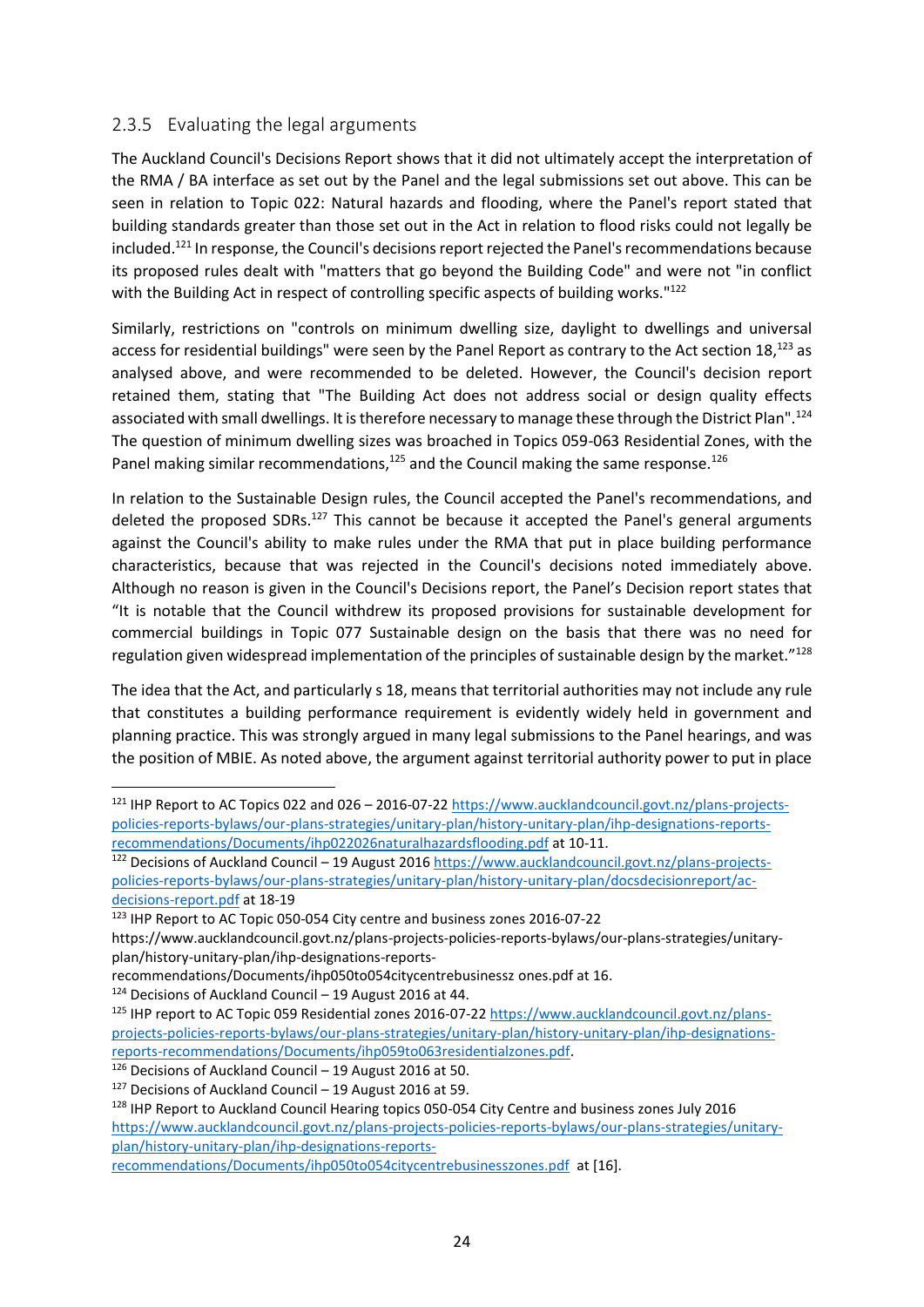#### 2.3.5 Evaluating the legal arguments

The Auckland Council's Decisions Report shows that it did not ultimately accept the interpretation of the RMA / BA interface as set out by the Panel and the legal submissions set out above. This can be seen in relation to Topic 022: Natural hazards and flooding, where the Panel's report stated that building standards greater than those set out in the Act in relation to flood risks could not legally be included.<sup>121</sup> In response, the Council's decisions report rejected the Panel's recommendations because its proposed rules dealt with "matters that go beyond the Building Code" and were not "in conflict with the Building Act in respect of controlling specific aspects of building works."<sup>122</sup>

Similarly, restrictions on "controls on minimum dwelling size, daylight to dwellings and universal access for residential buildings" were seen by the Panel Report as contrary to the Act section  $18,123$  as analysed above, and were recommended to be deleted. However, the Council's decision report retained them, stating that "The Building Act does not address social or design quality effects associated with small dwellings. It is therefore necessary to manage these through the District Plan".<sup>124</sup> The question of minimum dwelling sizes was broached in Topics 059-063 Residential Zones, with the Panel making similar recommendations, $125$  and the Council making the same response. $126$ 

In relation to the Sustainable Design rules, the Council accepted the Panel's recommendations, and deleted the proposed SDRs.<sup>127</sup> This cannot be because it accepted the Panel's general arguments against the Council's ability to make rules under the RMA that put in place building performance characteristics, because that was rejected in the Council's decisions noted immediately above. Although no reason is given in the Council's Decisions report, the Panel's Decision report states that "It is notable that the Council withdrew its proposed provisions for sustainable development for commercial buildings in Topic 077 Sustainable design on the basis that there was no need for regulation given widespread implementation of the principles of sustainable design by the market."<sup>128</sup>

The idea that the Act, and particularly s 18, means that territorial authorities may not include any rule that constitutes a building performance requirement is evidently widely held in government and planning practice. This was strongly argued in many legal submissions to the Panel hearings, and was the position of MBIE. As noted above, the argument against territorial authority power to put in place

<sup>123</sup> IHP Report to AC Topic 050-054 City centre and business zones 2016-07-22

recommendations/Documents/ihp050to054citycentrebusinessz ones.pdf at 16.

<sup>124</sup> Decisions of Auckland Council – 19 August 2016 at 44.

<sup>&</sup>lt;sup>121</sup> IHP Report to AC Topics 022 and 026 - 2016-07-22 [https://www.aucklandcouncil.govt.nz/plans-projects](https://www.aucklandcouncil.govt.nz/plans-projects-policies-reports-bylaws/our-plans-strategies/unitary-plan/history-unitary-plan/ihp-designations-reports-recommendations/Documents/ihp022026naturalhazardsflooding.pdf)[policies-reports-bylaws/our-plans-strategies/unitary-plan/history-unitary-plan/ihp-designations-reports](https://www.aucklandcouncil.govt.nz/plans-projects-policies-reports-bylaws/our-plans-strategies/unitary-plan/history-unitary-plan/ihp-designations-reports-recommendations/Documents/ihp022026naturalhazardsflooding.pdf)[recommendations/Documents/ihp022026naturalhazardsflooding.pdf](https://www.aucklandcouncil.govt.nz/plans-projects-policies-reports-bylaws/our-plans-strategies/unitary-plan/history-unitary-plan/ihp-designations-reports-recommendations/Documents/ihp022026naturalhazardsflooding.pdf) at 10-11.

 $122$  Decisions of Auckland Council – 19 August 2016 [https://www.aucklandcouncil.govt.nz/plans-projects](https://www.aucklandcouncil.govt.nz/plans-projects-policies-reports-bylaws/our-plans-strategies/unitary-plan/history-unitary-plan/docsdecisionreport/ac-decisions-report.pdf)[policies-reports-bylaws/our-plans-strategies/unitary-plan/history-unitary-plan/docsdecisionreport/ac](https://www.aucklandcouncil.govt.nz/plans-projects-policies-reports-bylaws/our-plans-strategies/unitary-plan/history-unitary-plan/docsdecisionreport/ac-decisions-report.pdf)[decisions-report.pdf](https://www.aucklandcouncil.govt.nz/plans-projects-policies-reports-bylaws/our-plans-strategies/unitary-plan/history-unitary-plan/docsdecisionreport/ac-decisions-report.pdf) at 18-19

https://www.aucklandcouncil.govt.nz/plans-projects-policies-reports-bylaws/our-plans-strategies/unitaryplan/history-unitary-plan/ihp-designations-reports-

<sup>125</sup> IHP report to AC Topic 059 Residential zones 2016-07-22 [https://www.aucklandcouncil.govt.nz/plans](https://www.aucklandcouncil.govt.nz/plans-projects-policies-reports-bylaws/our-plans-strategies/unitary-plan/history-unitary-plan/ihp-designations-reports-recommendations/Documents/ihp059to063residentialzones.pdf)[projects-policies-reports-bylaws/our-plans-strategies/unitary-plan/history-unitary-plan/ihp-designations](https://www.aucklandcouncil.govt.nz/plans-projects-policies-reports-bylaws/our-plans-strategies/unitary-plan/history-unitary-plan/ihp-designations-reports-recommendations/Documents/ihp059to063residentialzones.pdf)[reports-recommendations/Documents/ihp059to063residentialzones.pdf.](https://www.aucklandcouncil.govt.nz/plans-projects-policies-reports-bylaws/our-plans-strategies/unitary-plan/history-unitary-plan/ihp-designations-reports-recommendations/Documents/ihp059to063residentialzones.pdf)

<sup>126</sup> Decisions of Auckland Council – 19 August 2016 at 50.

 $127$  Decisions of Auckland Council – 19 August 2016 at 59.

<sup>&</sup>lt;sup>128</sup> IHP Report to Auckland Council Hearing topics 050-054 City Centre and business zones July 2016 [https://www.aucklandcouncil.govt.nz/plans-projects-policies-reports-bylaws/our-plans-strategies/unitary](https://www.aucklandcouncil.govt.nz/plans-projects-policies-reports-bylaws/our-plans-strategies/unitary-plan/history-unitary-plan/ihp-designations-reports-recommendations/Documents/ihp050to054citycentrebusinesszones.pdf)[plan/history-unitary-plan/ihp-designations-reports-](https://www.aucklandcouncil.govt.nz/plans-projects-policies-reports-bylaws/our-plans-strategies/unitary-plan/history-unitary-plan/ihp-designations-reports-recommendations/Documents/ihp050to054citycentrebusinesszones.pdf)

[recommendations/Documents/ihp050to054citycentrebusinesszones.pdf](https://www.aucklandcouncil.govt.nz/plans-projects-policies-reports-bylaws/our-plans-strategies/unitary-plan/history-unitary-plan/ihp-designations-reports-recommendations/Documents/ihp050to054citycentrebusinesszones.pdf) at [16].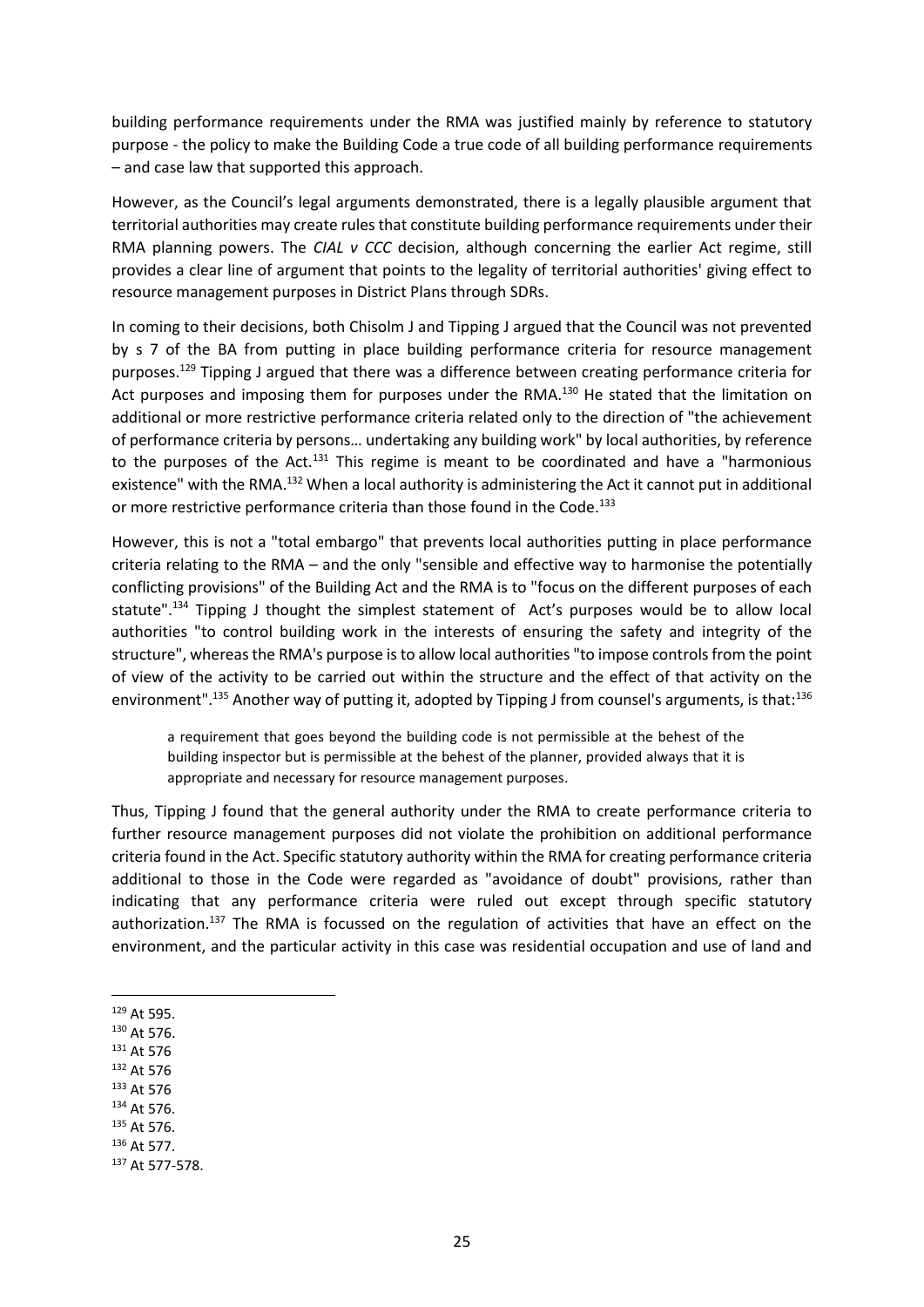building performance requirements under the RMA was justified mainly by reference to statutory purpose - the policy to make the Building Code a true code of all building performance requirements – and case law that supported this approach.

However, as the Council's legal arguments demonstrated, there is a legally plausible argument that territorial authorities may create rules that constitute building performance requirements under their RMA planning powers. The *CIAL v CCC* decision, although concerning the earlier Act regime, still provides a clear line of argument that points to the legality of territorial authorities' giving effect to resource management purposes in District Plans through SDRs.

In coming to their decisions, both Chisolm J and Tipping J argued that the Council was not prevented by s 7 of the BA from putting in place building performance criteria for resource management purposes.<sup>129</sup> Tipping J argued that there was a difference between creating performance criteria for Act purposes and imposing them for purposes under the RMA.<sup>130</sup> He stated that the limitation on additional or more restrictive performance criteria related only to the direction of "the achievement of performance criteria by persons… undertaking any building work" by local authorities, by reference to the purposes of the Act.<sup>131</sup> This regime is meant to be coordinated and have a "harmonious" existence" with the RMA.<sup>132</sup> When a local authority is administering the Act it cannot put in additional or more restrictive performance criteria than those found in the Code.<sup>133</sup>

However, this is not a "total embargo" that prevents local authorities putting in place performance criteria relating to the RMA – and the only "sensible and effective way to harmonise the potentially conflicting provisions" of the Building Act and the RMA is to "focus on the different purposes of each statute".<sup>134</sup> Tipping J thought the simplest statement of Act's purposes would be to allow local authorities "to control building work in the interests of ensuring the safety and integrity of the structure", whereas the RMA's purpose is to allow local authorities "to impose controls from the point of view of the activity to be carried out within the structure and the effect of that activity on the environment".<sup>135</sup> Another way of putting it, adopted by Tipping J from counsel's arguments, is that:<sup>136</sup>

a requirement that goes beyond the building code is not permissible at the behest of the building inspector but is permissible at the behest of the planner, provided always that it is appropriate and necessary for resource management purposes.

Thus, Tipping J found that the general authority under the RMA to create performance criteria to further resource management purposes did not violate the prohibition on additional performance criteria found in the Act. Specific statutory authority within the RMA for creating performance criteria additional to those in the Code were regarded as "avoidance of doubt" provisions, rather than indicating that any performance criteria were ruled out except through specific statutory authorization.<sup>137</sup> The RMA is focussed on the regulation of activities that have an effect on the environment, and the particular activity in this case was residential occupation and use of land and

- <sup>129</sup> At 595.
- <sup>130</sup> At 576.
- <sup>131</sup> At 576
- <sup>132</sup> At 576
- <sup>133</sup> At 576
- <sup>134</sup> At 576.
- <sup>135</sup> At 576.
- <sup>136</sup> At 577.
- <sup>137</sup> At 577-578.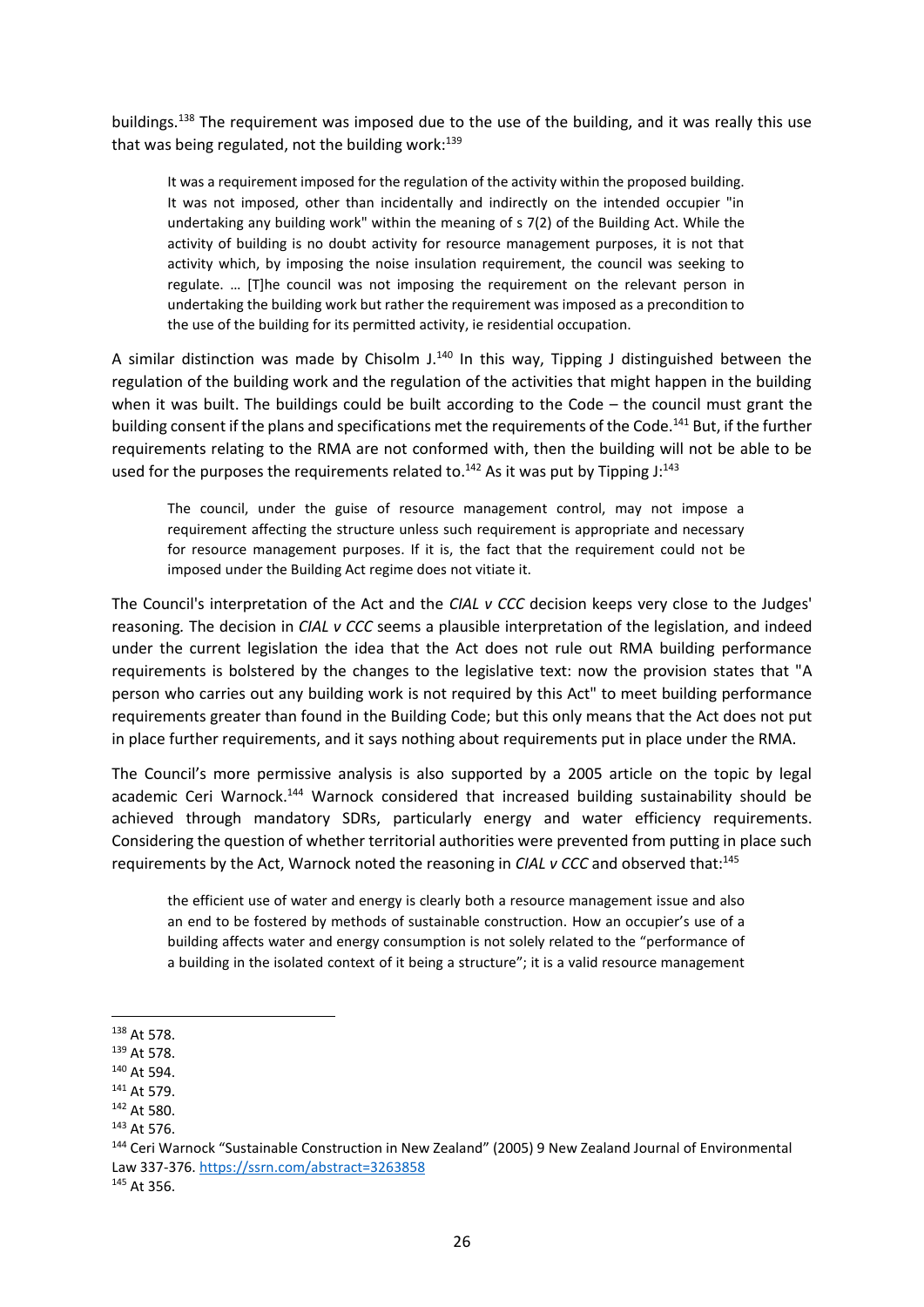buildings.<sup>138</sup> The requirement was imposed due to the use of the building, and it was really this use that was being regulated, not the building work: $139$ 

It was a requirement imposed for the regulation of the activity within the proposed building. It was not imposed, other than incidentally and indirectly on the intended occupier "in undertaking any building work" within the meaning of s 7(2) of the Building Act. While the activity of building is no doubt activity for resource management purposes, it is not that activity which, by imposing the noise insulation requirement, the council was seeking to regulate. … [T]he council was not imposing the requirement on the relevant person in undertaking the building work but rather the requirement was imposed as a precondition to the use of the building for its permitted activity, ie residential occupation.

A similar distinction was made by Chisolm  $J<sup>140</sup>$  In this way, Tipping J distinguished between the regulation of the building work and the regulation of the activities that might happen in the building when it was built. The buildings could be built according to the Code – the council must grant the building consent if the plans and specifications met the requirements of the Code.<sup>141</sup> But, if the further requirements relating to the RMA are not conformed with, then the building will not be able to be used for the purposes the requirements related to.<sup>142</sup> As it was put by Tipping  $J:^{143}$ 

The council, under the guise of resource management control, may not impose a requirement affecting the structure unless such requirement is appropriate and necessary for resource management purposes. If it is, the fact that the requirement could not be imposed under the Building Act regime does not vitiate it.

The Council's interpretation of the Act and the *CIAL v CCC* decision keeps very close to the Judges' reasoning*.* The decision in *CIAL v CCC* seems a plausible interpretation of the legislation, and indeed under the current legislation the idea that the Act does not rule out RMA building performance requirements is bolstered by the changes to the legislative text: now the provision states that "A person who carries out any building work is not required by this Act" to meet building performance requirements greater than found in the Building Code; but this only means that the Act does not put in place further requirements, and it says nothing about requirements put in place under the RMA.

The Council's more permissive analysis is also supported by a 2005 article on the topic by legal academic Ceri Warnock.<sup>144</sup> Warnock considered that increased building sustainability should be achieved through mandatory SDRs, particularly energy and water efficiency requirements. Considering the question of whether territorial authorities were prevented from putting in place such requirements by the Act, Warnock noted the reasoning in *CIAL v CCC* and observed that:<sup>145</sup>

the efficient use of water and energy is clearly both a resource management issue and also an end to be fostered by methods of sustainable construction. How an occupier's use of a building affects water and energy consumption is not solely related to the "performance of a building in the isolated context of it being a structure"; it is a valid resource management

<sup>138</sup> At 578.

<sup>139</sup> At 578.

<sup>140</sup> At 594.

<sup>141</sup> At 579.

<sup>142</sup> At 580.

<sup>143</sup> At 576.

<sup>144</sup> Ceri Warnock "Sustainable Construction in New Zealand" (2005) 9 New Zealand Journal of Environmental Law 337-376. <https://ssrn.com/abstract=3263858>

<sup>145</sup> At 356.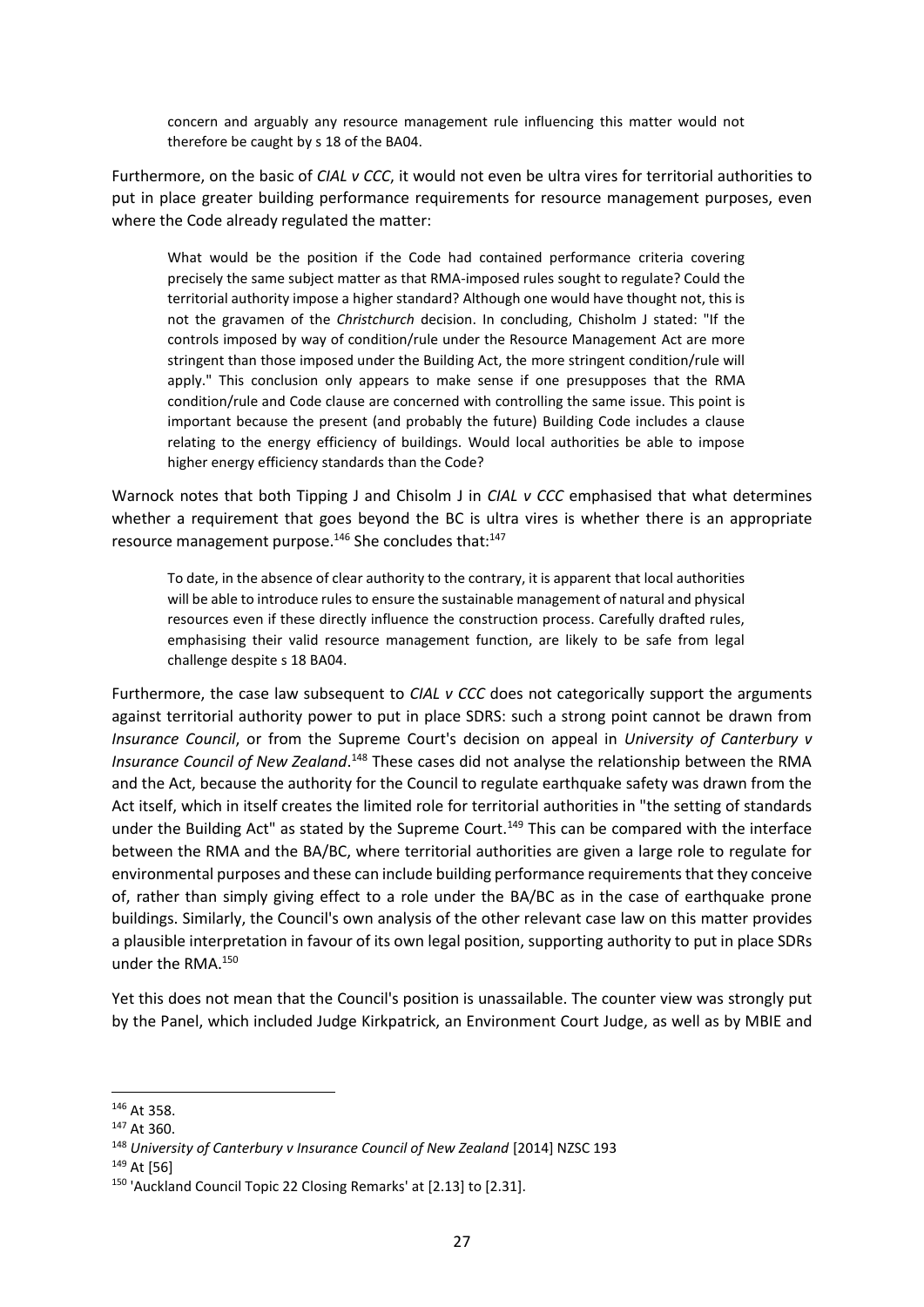concern and arguably any resource management rule influencing this matter would not therefore be caught by s 18 of the BA04.

Furthermore, on the basic of *CIAL v CCC*, it would not even be ultra vires for territorial authorities to put in place greater building performance requirements for resource management purposes, even where the Code already regulated the matter:

What would be the position if the Code had contained performance criteria covering precisely the same subject matter as that RMA-imposed rules sought to regulate? Could the territorial authority impose a higher standard? Although one would have thought not, this is not the gravamen of the *Christchurch* decision. In concluding, Chisholm J stated: "If the controls imposed by way of condition/rule under the Resource Management Act are more stringent than those imposed under the Building Act, the more stringent condition/rule will apply." This conclusion only appears to make sense if one presupposes that the RMA condition/rule and Code clause are concerned with controlling the same issue. This point is important because the present (and probably the future) Building Code includes a clause relating to the energy efficiency of buildings. Would local authorities be able to impose higher energy efficiency standards than the Code?

Warnock notes that both Tipping J and Chisolm J in *CIAL v CCC* emphasised that what determines whether a requirement that goes beyond the BC is ultra vires is whether there is an appropriate resource management purpose.<sup>146</sup> She concludes that:<sup>147</sup>

To date, in the absence of clear authority to the contrary, it is apparent that local authorities will be able to introduce rules to ensure the sustainable management of natural and physical resources even if these directly influence the construction process. Carefully drafted rules, emphasising their valid resource management function, are likely to be safe from legal challenge despite s 18 BA04.

Furthermore, the case law subsequent to *CIAL v CCC* does not categorically support the arguments against territorial authority power to put in place SDRS: such a strong point cannot be drawn from *Insurance Council*, or from the Supreme Court's decision on appeal in *University of Canterbury v*  Insurance Council of New Zealand.<sup>148</sup> These cases did not analyse the relationship between the RMA and the Act, because the authority for the Council to regulate earthquake safety was drawn from the Act itself, which in itself creates the limited role for territorial authorities in "the setting of standards under the Building Act" as stated by the Supreme Court.<sup>149</sup> This can be compared with the interface between the RMA and the BA/BC, where territorial authorities are given a large role to regulate for environmental purposes and these can include building performance requirements that they conceive of, rather than simply giving effect to a role under the BA/BC as in the case of earthquake prone buildings. Similarly, the Council's own analysis of the other relevant case law on this matter provides a plausible interpretation in favour of its own legal position, supporting authority to put in place SDRs under the RMA.<sup>150</sup>

Yet this does not mean that the Council's position is unassailable. The counter view was strongly put by the Panel, which included Judge Kirkpatrick, an Environment Court Judge, as well as by MBIE and

<sup>146</sup> At 358.

<sup>147</sup> At 360.

<sup>&</sup>lt;sup>148</sup> University of Canterbury v Insurance Council of New Zealand [2014] NZSC 193

<sup>149</sup> At [56]

<sup>150</sup> 'Auckland Council Topic 22 Closing Remarks' at [2.13] to [2.31].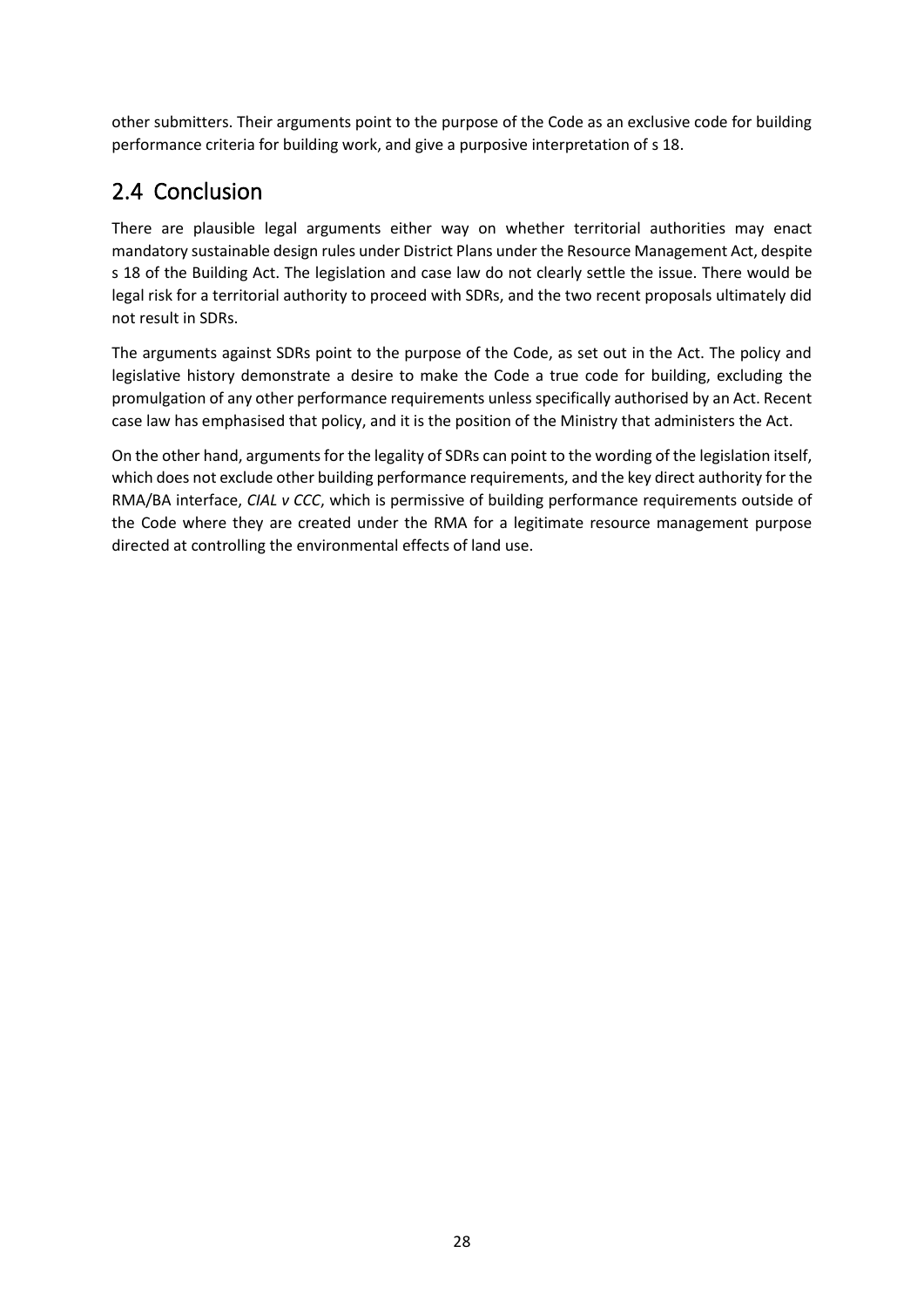other submitters. Their arguments point to the purpose of the Code as an exclusive code for building performance criteria for building work, and give a purposive interpretation of s 18.

### 2.4 Conclusion

There are plausible legal arguments either way on whether territorial authorities may enact mandatory sustainable design rules under District Plans under the Resource Management Act, despite s 18 of the Building Act. The legislation and case law do not clearly settle the issue. There would be legal risk for a territorial authority to proceed with SDRs, and the two recent proposals ultimately did not result in SDRs.

The arguments against SDRs point to the purpose of the Code, as set out in the Act. The policy and legislative history demonstrate a desire to make the Code a true code for building, excluding the promulgation of any other performance requirements unless specifically authorised by an Act. Recent case law has emphasised that policy, and it is the position of the Ministry that administers the Act.

On the other hand, arguments for the legality of SDRs can point to the wording of the legislation itself, which does not exclude other building performance requirements, and the key direct authority for the RMA/BA interface, *CIAL v CCC*, which is permissive of building performance requirements outside of the Code where they are created under the RMA for a legitimate resource management purpose directed at controlling the environmental effects of land use.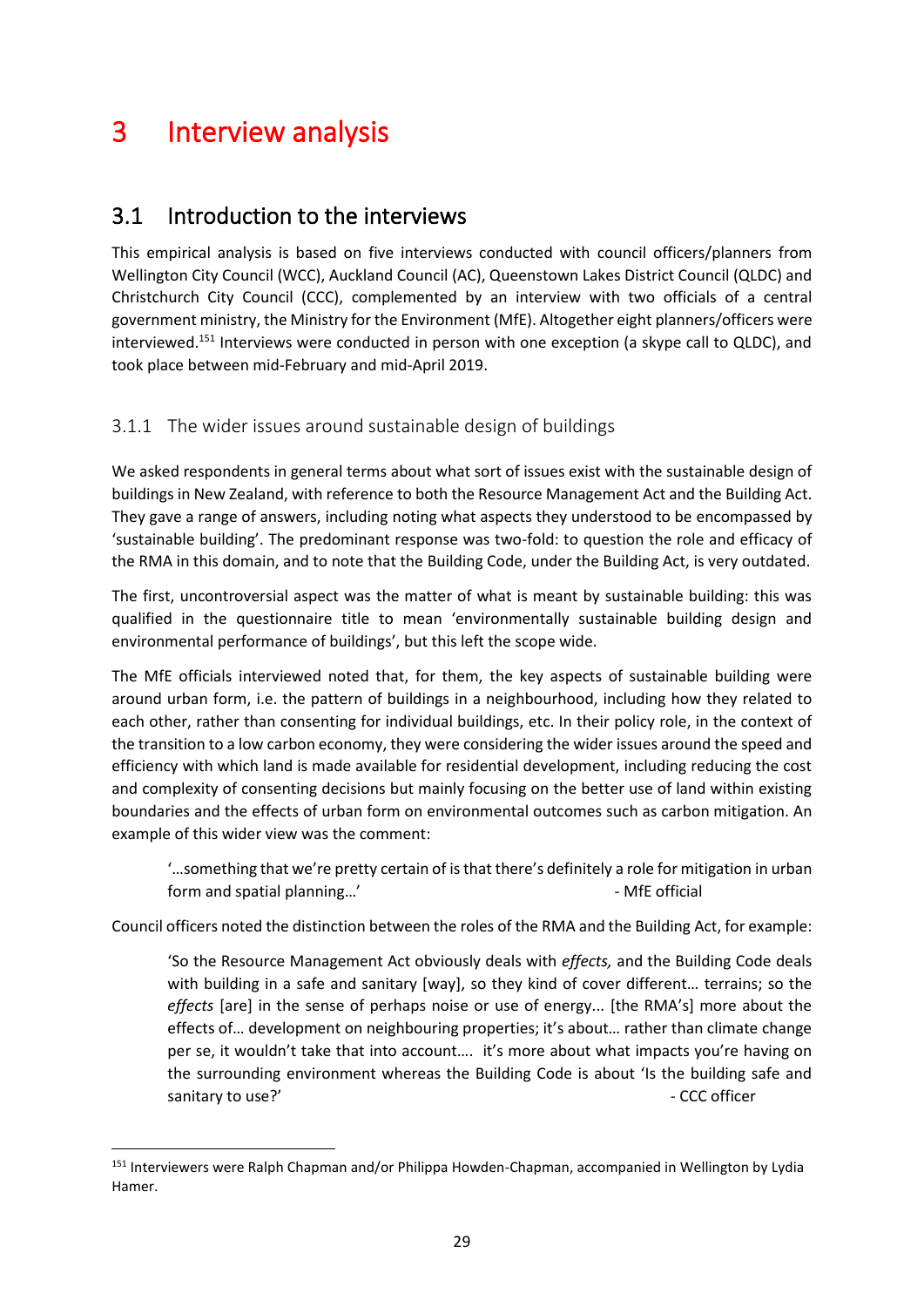## 3 Interview analysis

### 3.1 Introduction to the interviews

This empirical analysis is based on five interviews conducted with council officers/planners from Wellington City Council (WCC), Auckland Council (AC), Queenstown Lakes District Council (QLDC) and Christchurch City Council (CCC), complemented by an interview with two officials of a central government ministry, the Ministry for the Environment (MfE). Altogether eight planners/officers were interviewed.<sup>151</sup> Interviews were conducted in person with one exception (a skype call to QLDC), and took place between mid-February and mid-April 2019.

#### 3.1.1 The wider issues around sustainable design of buildings

We asked respondents in general terms about what sort of issues exist with the sustainable design of buildings in New Zealand, with reference to both the Resource Management Act and the Building Act. They gave a range of answers, including noting what aspects they understood to be encompassed by 'sustainable building'. The predominant response was two-fold: to question the role and efficacy of the RMA in this domain, and to note that the Building Code, under the Building Act, is very outdated.

The first, uncontroversial aspect was the matter of what is meant by sustainable building: this was qualified in the questionnaire title to mean 'environmentally sustainable building design and environmental performance of buildings', but this left the scope wide.

The MfE officials interviewed noted that, for them, the key aspects of sustainable building were around urban form, i.e. the pattern of buildings in a neighbourhood, including how they related to each other, rather than consenting for individual buildings, etc. In their policy role, in the context of the transition to a low carbon economy, they were considering the wider issues around the speed and efficiency with which land is made available for residential development, including reducing the cost and complexity of consenting decisions but mainly focusing on the better use of land within existing boundaries and the effects of urban form on environmental outcomes such as carbon mitigation. An example of this wider view was the comment:

'…something that we're pretty certain of is that there's definitely a role for mitigation in urban form and spatial planning...' The set of the MFE official state of MFE official

Council officers noted the distinction between the roles of the RMA and the Building Act, for example:

'So the Resource Management Act obviously deals with *effects,* and the Building Code deals with building in a safe and sanitary [way], so they kind of cover different... terrains; so the *effects* [are] in the sense of perhaps noise or use of energy... [the RMA's] more about the effects of… development on neighbouring properties; it's about… rather than climate change per se, it wouldn't take that into account…. it's more about what impacts you're having on the surrounding environment whereas the Building Code is about 'Is the building safe and sanitary to use?' example a state of the state of the state of the state of the state of the state of the state of the state of the state of the state of the state of the state of the state of the state of the state of the

<sup>&</sup>lt;sup>151</sup> Interviewers were Ralph Chapman and/or Philippa Howden-Chapman, accompanied in Wellington by Lydia Hamer.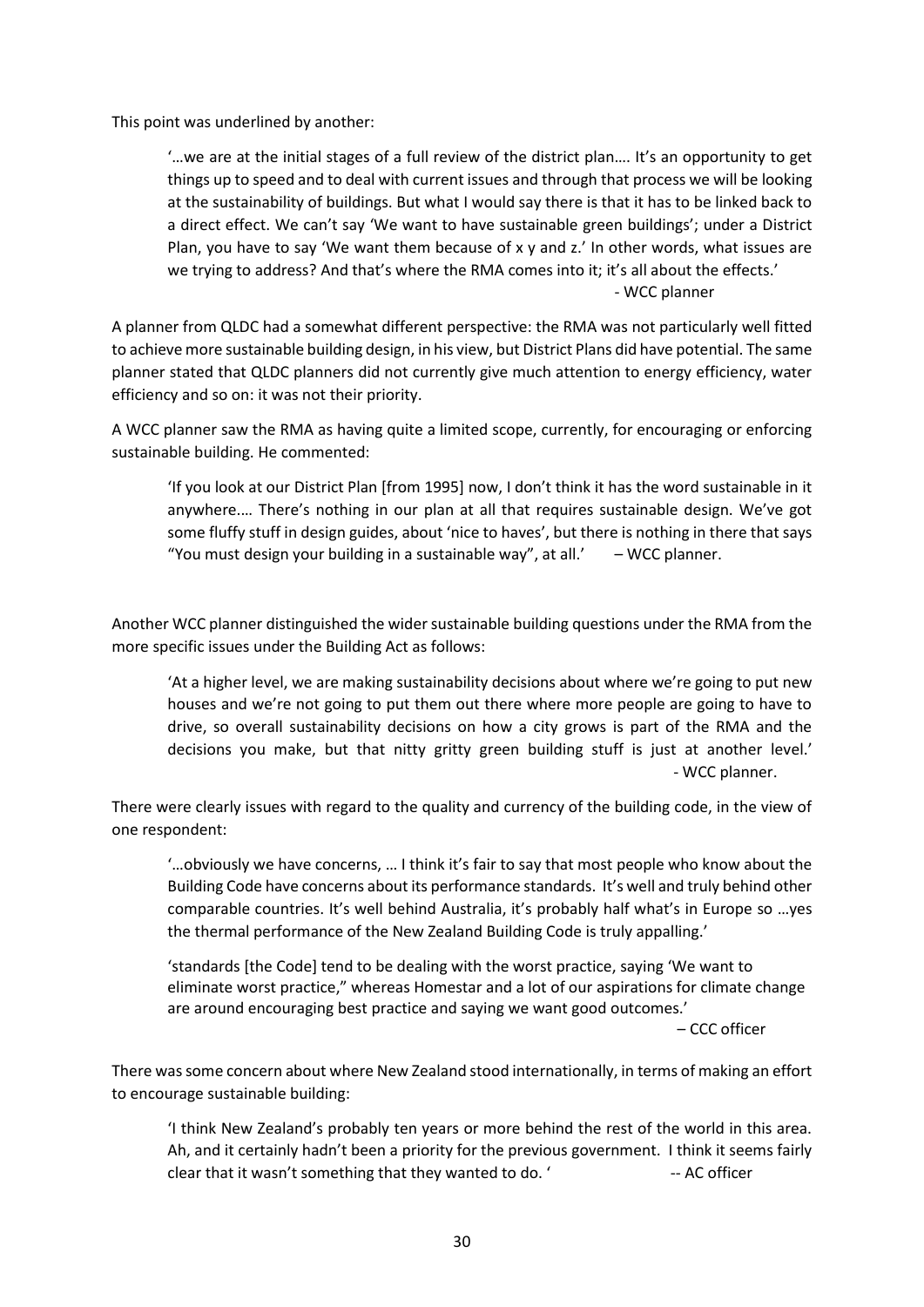This point was underlined by another:

'…we are at the initial stages of a full review of the district plan…. It's an opportunity to get things up to speed and to deal with current issues and through that process we will be looking at the sustainability of buildings. But what I would say there is that it has to be linked back to a direct effect. We can't say 'We want to have sustainable green buildings'; under a District Plan, you have to say 'We want them because of x y and z.' In other words, what issues are we trying to address? And that's where the RMA comes into it; it's all about the effects.' - WCC planner

A planner from QLDC had a somewhat different perspective: the RMA was not particularly well fitted to achieve more sustainable building design, in his view, but District Plans did have potential. The same planner stated that QLDC planners did not currently give much attention to energy efficiency, water efficiency and so on: it was not their priority.

A WCC planner saw the RMA as having quite a limited scope, currently, for encouraging or enforcing sustainable building. He commented:

'If you look at our District Plan [from 1995] now, I don't think it has the word sustainable in it anywhere.… There's nothing in our plan at all that requires sustainable design. We've got some fluffy stuff in design guides, about 'nice to haves', but there is nothing in there that says "You must design your building in a sustainable way", at all.'  $-$  WCC planner.

Another WCC planner distinguished the wider sustainable building questions under the RMA from the more specific issues under the Building Act as follows:

'At a higher level, we are making sustainability decisions about where we're going to put new houses and we're not going to put them out there where more people are going to have to drive, so overall sustainability decisions on how a city grows is part of the RMA and the decisions you make, but that nitty gritty green building stuff is just at another level.' - WCC planner.

There were clearly issues with regard to the quality and currency of the building code, in the view of one respondent:

'…obviously we have concerns, … I think it's fair to say that most people who know about the Building Code have concerns about its performance standards. It's well and truly behind other comparable countries. It's well behind Australia, it's probably half what's in Europe so …yes the thermal performance of the New Zealand Building Code is truly appalling.'

'standards [the Code] tend to be dealing with the worst practice, saying 'We want to eliminate worst practice," whereas Homestar and a lot of our aspirations for climate change are around encouraging best practice and saying we want good outcomes.'

– CCC officer

There was some concern about where New Zealand stood internationally, in terms of making an effort to encourage sustainable building:

'I think New Zealand's probably ten years or more behind the rest of the world in this area. Ah, and it certainly hadn't been a priority for the previous government. I think it seems fairly clear that it wasn't something that they wanted to do. ' -- AC officer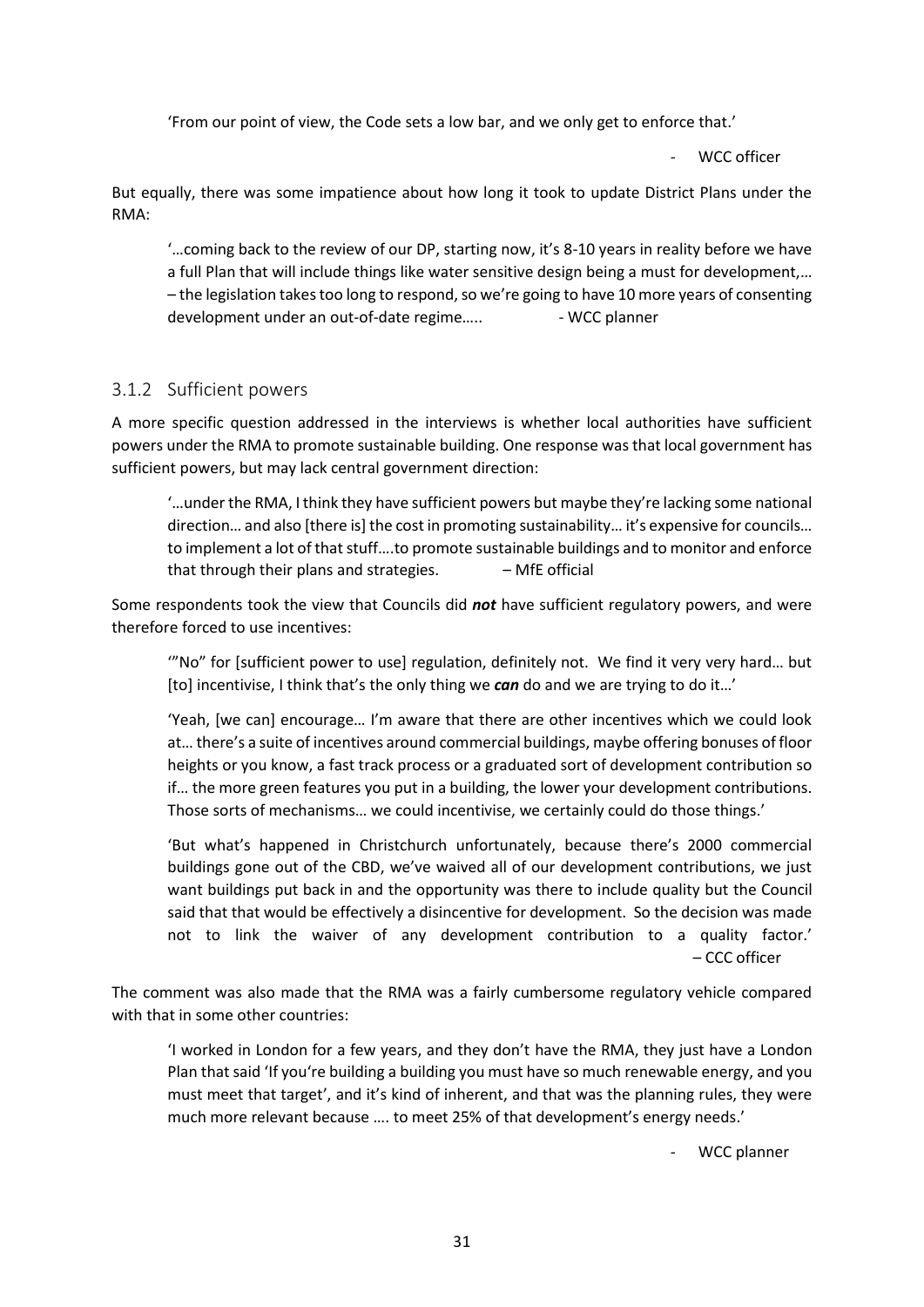'From our point of view, the Code sets a low bar, and we only get to enforce that.'

WCC officer

But equally, there was some impatience about how long it took to update District Plans under the RMA:

'…coming back to the review of our DP, starting now, it's 8-10 years in reality before we have a full Plan that will include things like water sensitive design being a must for development,… – the legislation takes too long to respond, so we're going to have 10 more years of consenting development under an out-of-date regime..... Fig. 2016 - WCC planner

#### 3.1.2 Sufficient powers

A more specific question addressed in the interviews is whether local authorities have sufficient powers under the RMA to promote sustainable building. One response was that local government has sufficient powers, but may lack central government direction:

'…under the RMA, I think they have sufficient powers but maybe they're lacking some national direction… and also [there is] the cost in promoting sustainability… it's expensive for councils… to implement a lot of that stuff….to promote sustainable buildings and to monitor and enforce that through their plans and strategies.  $-$  MfE official

Some respondents took the view that Councils did *not* have sufficient regulatory powers, and were therefore forced to use incentives:

'"No" for [sufficient power to use] regulation, definitely not. We find it very very hard… but [to] incentivise, I think that's the only thing we *can* do and we are trying to do it…'

'Yeah, [we can] encourage… I'm aware that there are other incentives which we could look at… there's a suite of incentives around commercial buildings, maybe offering bonuses of floor heights or you know, a fast track process or a graduated sort of development contribution so if… the more green features you put in a building, the lower your development contributions. Those sorts of mechanisms… we could incentivise, we certainly could do those things.'

'But what's happened in Christchurch unfortunately, because there's 2000 commercial buildings gone out of the CBD, we've waived all of our development contributions, we just want buildings put back in and the opportunity was there to include quality but the Council said that that would be effectively a disincentive for development. So the decision was made not to link the waiver of any development contribution to a quality factor.' – CCC officer

The comment was also made that the RMA was a fairly cumbersome regulatory vehicle compared with that in some other countries:

'I worked in London for a few years, and they don't have the RMA, they just have a London Plan that said 'If you're building a building you must have so much renewable energy, and you must meet that target', and it's kind of inherent, and that was the planning rules, they were much more relevant because …. to meet 25% of that development's energy needs.'

WCC planner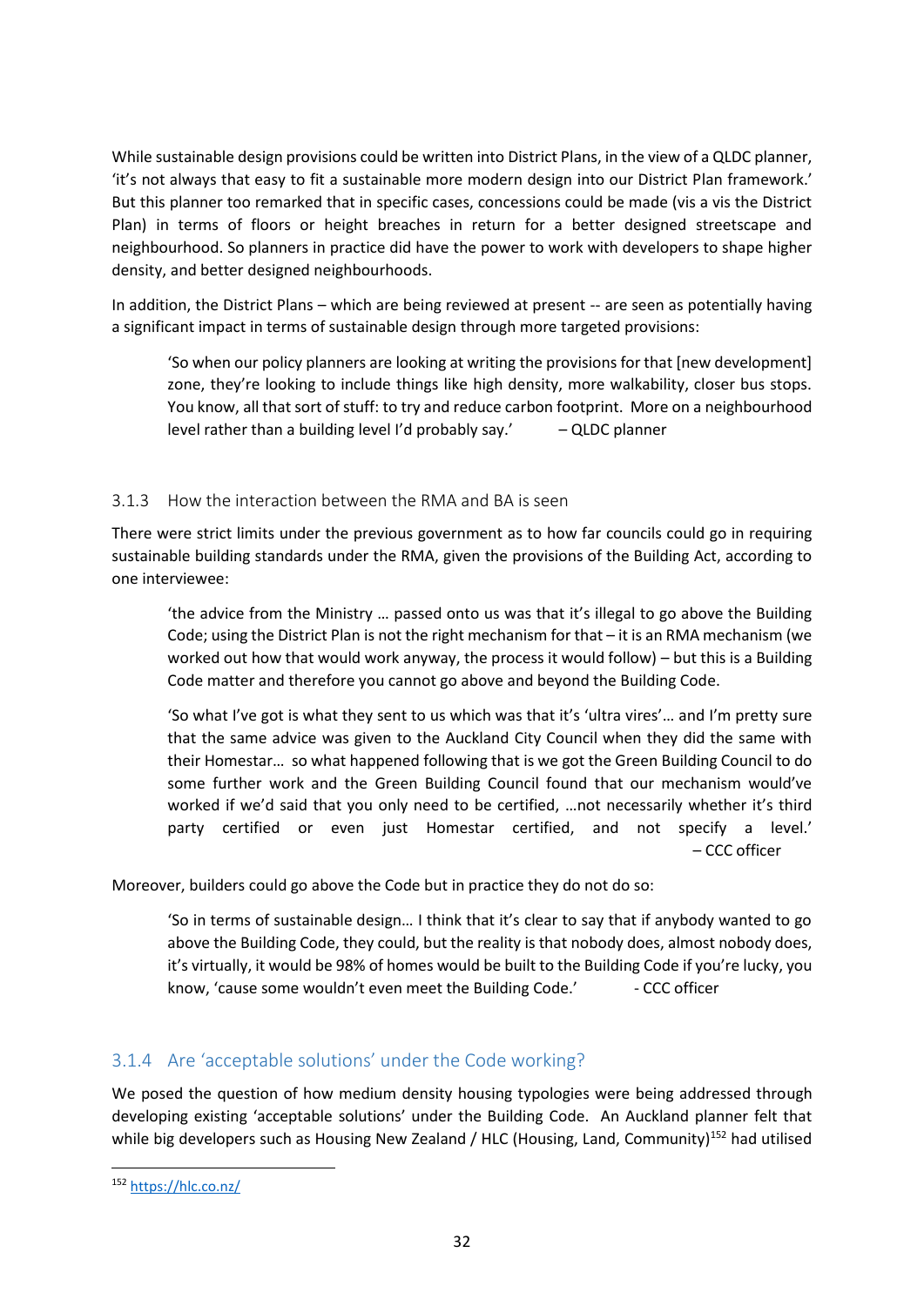While sustainable design provisions could be written into District Plans, in the view of a QLDC planner, 'it's not always that easy to fit a sustainable more modern design into our District Plan framework.' But this planner too remarked that in specific cases, concessions could be made (vis a vis the District Plan) in terms of floors or height breaches in return for a better designed streetscape and neighbourhood. So planners in practice did have the power to work with developers to shape higher density, and better designed neighbourhoods.

In addition, the District Plans – which are being reviewed at present -- are seen as potentially having a significant impact in terms of sustainable design through more targeted provisions:

'So when our policy planners are looking at writing the provisions for that [new development] zone, they're looking to include things like high density, more walkability, closer bus stops. You know, all that sort of stuff: to try and reduce carbon footprint. More on a neighbourhood level rather than a building level I'd probably say.'  $-$  QLDC planner

#### 3.1.3 How the interaction between the RMA and BA is seen

There were strict limits under the previous government as to how far councils could go in requiring sustainable building standards under the RMA, given the provisions of the Building Act, according to one interviewee:

'the advice from the Ministry … passed onto us was that it's illegal to go above the Building Code; using the District Plan is not the right mechanism for that – it is an RMA mechanism (we worked out how that would work anyway, the process it would follow) – but this is a Building Code matter and therefore you cannot go above and beyond the Building Code.

'So what I've got is what they sent to us which was that it's 'ultra vires'… and I'm pretty sure that the same advice was given to the Auckland City Council when they did the same with their Homestar… so what happened following that is we got the Green Building Council to do some further work and the Green Building Council found that our mechanism would've worked if we'd said that you only need to be certified, …not necessarily whether it's third party certified or even just Homestar certified, and not specify a level.' – CCC officer

Moreover, builders could go above the Code but in practice they do not do so:

'So in terms of sustainable design… I think that it's clear to say that if anybody wanted to go above the Building Code, they could, but the reality is that nobody does, almost nobody does, it's virtually, it would be 98% of homes would be built to the Building Code if you're lucky, you know, 'cause some wouldn't even meet the Building Code.' - CCC officer

#### 3.1.4 Are 'acceptable solutions' under the Code working?

We posed the question of how medium density housing typologies were being addressed through developing existing 'acceptable solutions' under the Building Code. An Auckland planner felt that while big developers such as Housing New Zealand / HLC (Housing, Land, Community)<sup>152</sup> had utilised

<sup>152</sup> <https://hlc.co.nz/>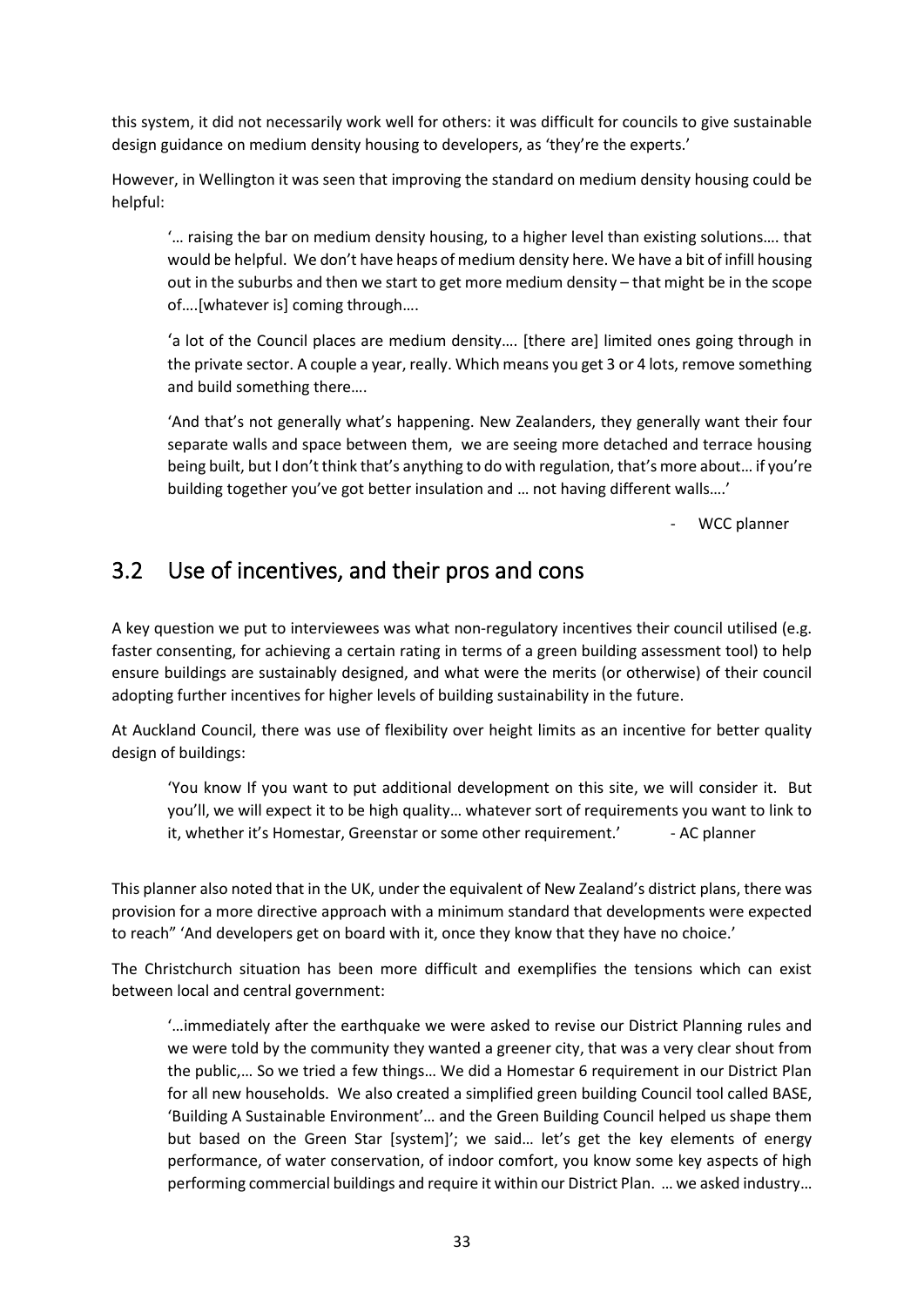this system, it did not necessarily work well for others: it was difficult for councils to give sustainable design guidance on medium density housing to developers, as 'they're the experts.'

However, in Wellington it was seen that improving the standard on medium density housing could be helpful:

'… raising the bar on medium density housing, to a higher level than existing solutions…. that would be helpful. We don't have heaps of medium density here. We have a bit of infill housing out in the suburbs and then we start to get more medium density – that might be in the scope of….[whatever is] coming through….

'a lot of the Council places are medium density…. [there are] limited ones going through in the private sector. A couple a year, really. Which means you get 3 or 4 lots, remove something and build something there….

'And that's not generally what's happening. New Zealanders, they generally want their four separate walls and space between them, we are seeing more detached and terrace housing being built, but I don't think that's anything to do with regulation, that's more about… if you're building together you've got better insulation and … not having different walls….'

WCC planner

### 3.2 Use of incentives, and their pros and cons

A key question we put to interviewees was what non-regulatory incentives their council utilised (e.g. faster consenting, for achieving a certain rating in terms of a green building assessment tool) to help ensure buildings are sustainably designed, and what were the merits (or otherwise) of their council adopting further incentives for higher levels of building sustainability in the future.

At Auckland Council, there was use of flexibility over height limits as an incentive for better quality design of buildings:

'You know If you want to put additional development on this site, we will consider it. But you'll, we will expect it to be high quality… whatever sort of requirements you want to link to it, whether it's Homestar, Greenstar or some other requirement.' - AC planner

This planner also noted that in the UK, under the equivalent of New Zealand's district plans, there was provision for a more directive approach with a minimum standard that developments were expected to reach" 'And developers get on board with it, once they know that they have no choice.'

The Christchurch situation has been more difficult and exemplifies the tensions which can exist between local and central government:

'…immediately after the earthquake we were asked to revise our District Planning rules and we were told by the community they wanted a greener city, that was a very clear shout from the public,… So we tried a few things… We did a Homestar 6 requirement in our District Plan for all new households. We also created a simplified green building Council tool called BASE, 'Building A Sustainable Environment'… and the Green Building Council helped us shape them but based on the Green Star [system]'; we said… let's get the key elements of energy performance, of water conservation, of indoor comfort, you know some key aspects of high performing commercial buildings and require it within our District Plan. … we asked industry…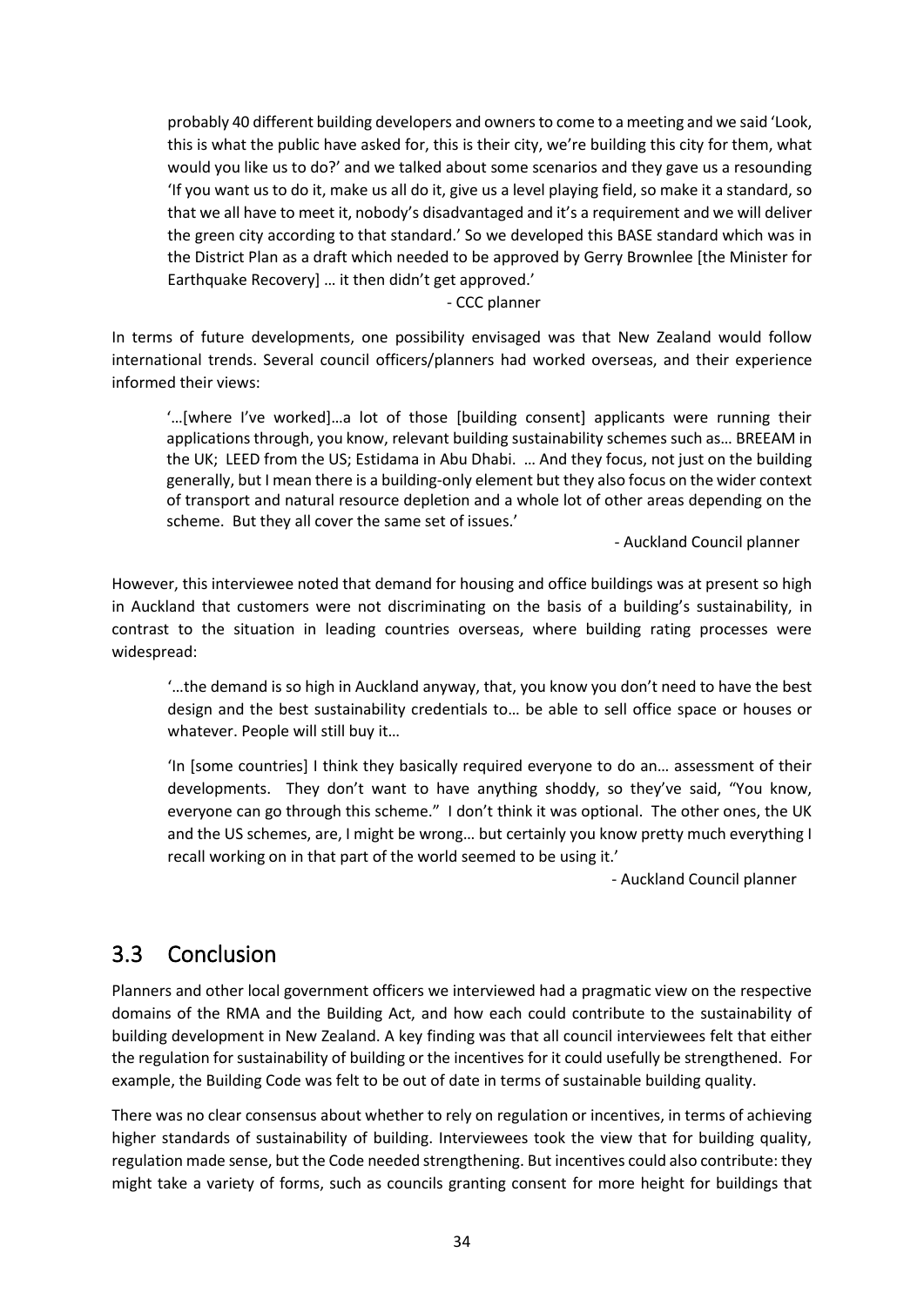probably 40 different building developers and owners to come to a meeting and we said 'Look, this is what the public have asked for, this is their city, we're building this city for them, what would you like us to do?' and we talked about some scenarios and they gave us a resounding 'If you want us to do it, make us all do it, give us a level playing field, so make it a standard, so that we all have to meet it, nobody's disadvantaged and it's a requirement and we will deliver the green city according to that standard.' So we developed this BASE standard which was in the District Plan as a draft which needed to be approved by Gerry Brownlee [the Minister for Earthquake Recovery] … it then didn't get approved.'

- CCC planner

In terms of future developments, one possibility envisaged was that New Zealand would follow international trends. Several council officers/planners had worked overseas, and their experience informed their views:

'…[where I've worked]…a lot of those [building consent] applicants were running their applications through, you know, relevant building sustainability schemes such as… BREEAM in the UK; LEED from the US; Estidama in Abu Dhabi. … And they focus, not just on the building generally, but I mean there is a building-only element but they also focus on the wider context of transport and natural resource depletion and a whole lot of other areas depending on the scheme. But they all cover the same set of issues.'

- Auckland Council planner

However, this interviewee noted that demand for housing and office buildings was at present so high in Auckland that customers were not discriminating on the basis of a building's sustainability, in contrast to the situation in leading countries overseas, where building rating processes were widespread:

'…the demand is so high in Auckland anyway, that, you know you don't need to have the best design and the best sustainability credentials to… be able to sell office space or houses or whatever. People will still buy it…

'In [some countries] I think they basically required everyone to do an… assessment of their developments. They don't want to have anything shoddy, so they've said, "You know, everyone can go through this scheme." I don't think it was optional. The other ones, the UK and the US schemes, are, I might be wrong… but certainly you know pretty much everything I recall working on in that part of the world seemed to be using it.'

- Auckland Council planner

### 3.3 Conclusion

Planners and other local government officers we interviewed had a pragmatic view on the respective domains of the RMA and the Building Act, and how each could contribute to the sustainability of building development in New Zealand. A key finding was that all council interviewees felt that either the regulation for sustainability of building or the incentives for it could usefully be strengthened. For example, the Building Code was felt to be out of date in terms of sustainable building quality.

There was no clear consensus about whether to rely on regulation or incentives, in terms of achieving higher standards of sustainability of building. Interviewees took the view that for building quality, regulation made sense, but the Code needed strengthening. But incentives could also contribute: they might take a variety of forms, such as councils granting consent for more height for buildings that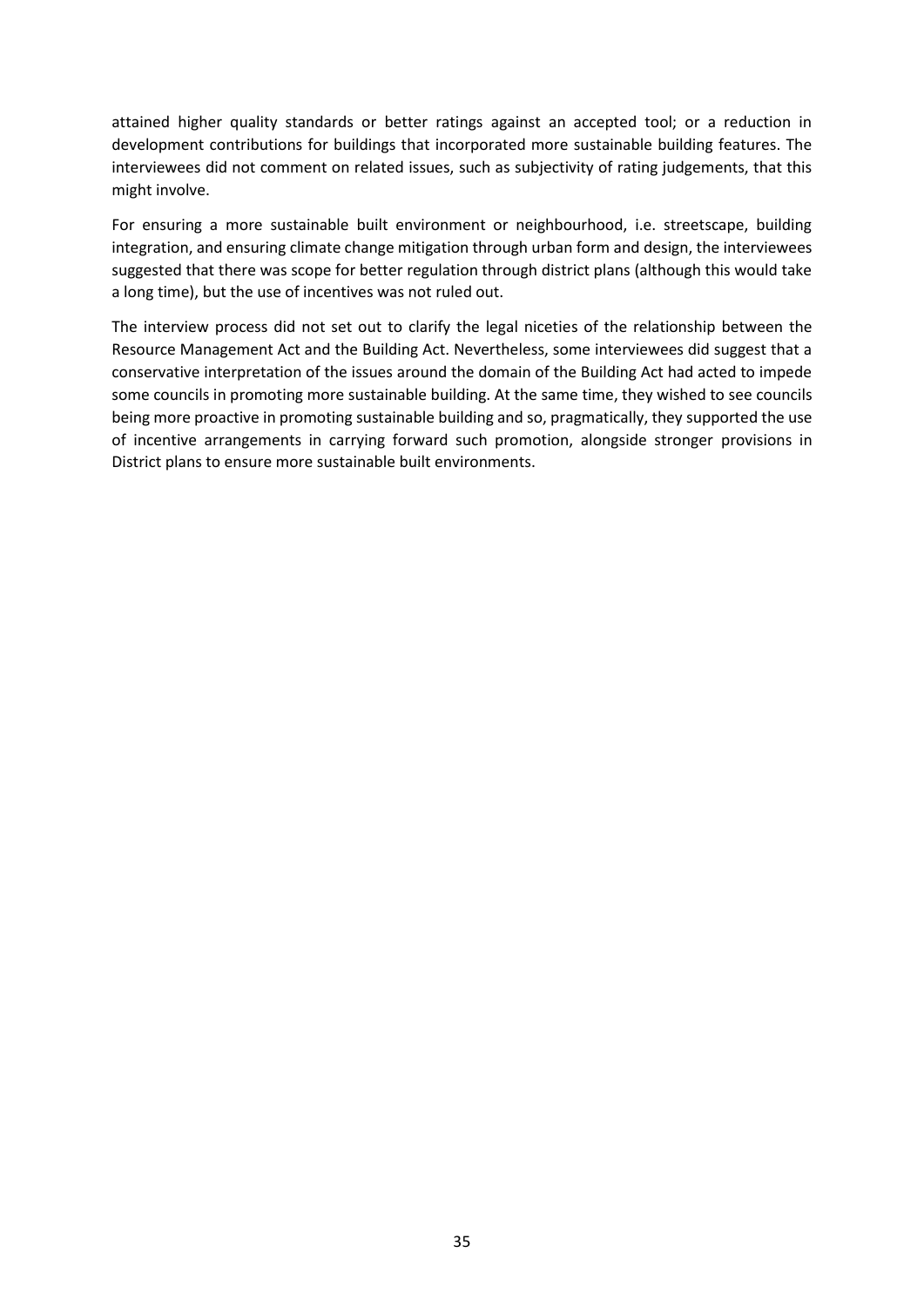attained higher quality standards or better ratings against an accepted tool; or a reduction in development contributions for buildings that incorporated more sustainable building features. The interviewees did not comment on related issues, such as subjectivity of rating judgements, that this might involve.

For ensuring a more sustainable built environment or neighbourhood, i.e. streetscape, building integration, and ensuring climate change mitigation through urban form and design, the interviewees suggested that there was scope for better regulation through district plans (although this would take a long time), but the use of incentives was not ruled out.

The interview process did not set out to clarify the legal niceties of the relationship between the Resource Management Act and the Building Act. Nevertheless, some interviewees did suggest that a conservative interpretation of the issues around the domain of the Building Act had acted to impede some councils in promoting more sustainable building. At the same time, they wished to see councils being more proactive in promoting sustainable building and so, pragmatically, they supported the use of incentive arrangements in carrying forward such promotion, alongside stronger provisions in District plans to ensure more sustainable built environments.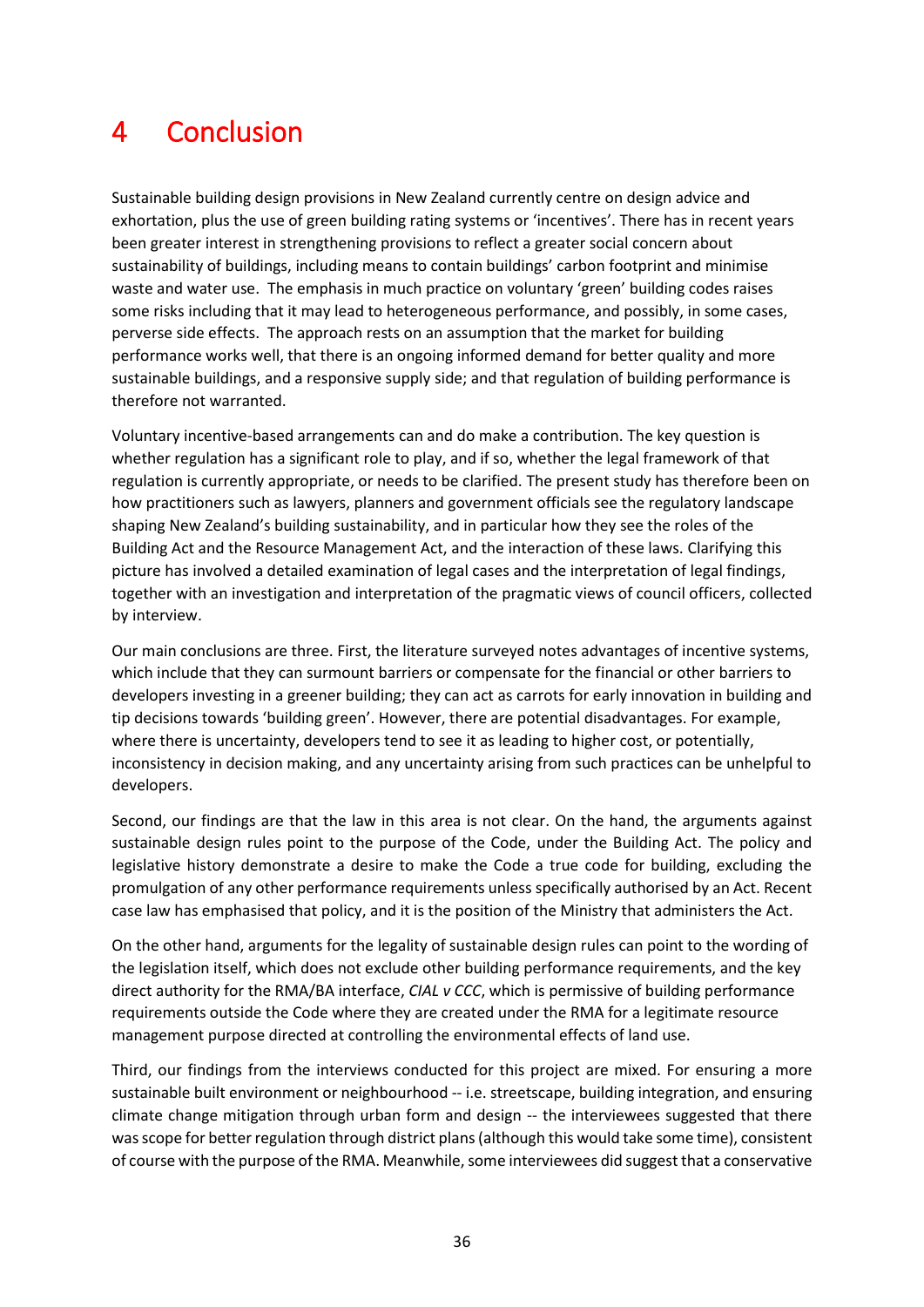## 4 Conclusion

Sustainable building design provisions in New Zealand currently centre on design advice and exhortation, plus the use of green building rating systems or 'incentives'. There has in recent years been greater interest in strengthening provisions to reflect a greater social concern about sustainability of buildings, including means to contain buildings' carbon footprint and minimise waste and water use. The emphasis in much practice on voluntary 'green' building codes raises some risks including that it may lead to heterogeneous performance, and possibly, in some cases, perverse side effects. The approach rests on an assumption that the market for building performance works well, that there is an ongoing informed demand for better quality and more sustainable buildings, and a responsive supply side; and that regulation of building performance is therefore not warranted.

Voluntary incentive-based arrangements can and do make a contribution. The key question is whether regulation has a significant role to play, and if so, whether the legal framework of that regulation is currently appropriate, or needs to be clarified. The present study has therefore been on how practitioners such as lawyers, planners and government officials see the regulatory landscape shaping New Zealand's building sustainability, and in particular how they see the roles of the Building Act and the Resource Management Act, and the interaction of these laws. Clarifying this picture has involved a detailed examination of legal cases and the interpretation of legal findings, together with an investigation and interpretation of the pragmatic views of council officers, collected by interview.

Our main conclusions are three. First, the literature surveyed notes advantages of incentive systems, which include that they can surmount barriers or compensate for the financial or other barriers to developers investing in a greener building; they can act as carrots for early innovation in building and tip decisions towards 'building green'. However, there are potential disadvantages. For example, where there is uncertainty, developers tend to see it as leading to higher cost, or potentially, inconsistency in decision making, and any uncertainty arising from such practices can be unhelpful to developers.

Second, our findings are that the law in this area is not clear. On the hand, the arguments against sustainable design rules point to the purpose of the Code, under the Building Act. The policy and legislative history demonstrate a desire to make the Code a true code for building, excluding the promulgation of any other performance requirements unless specifically authorised by an Act. Recent case law has emphasised that policy, and it is the position of the Ministry that administers the Act.

On the other hand, arguments for the legality of sustainable design rules can point to the wording of the legislation itself, which does not exclude other building performance requirements, and the key direct authority for the RMA/BA interface, *CIAL v CCC*, which is permissive of building performance requirements outside the Code where they are created under the RMA for a legitimate resource management purpose directed at controlling the environmental effects of land use.

Third, our findings from the interviews conducted for this project are mixed. For ensuring a more sustainable built environment or neighbourhood -- i.e. streetscape, building integration, and ensuring climate change mitigation through urban form and design -- the interviewees suggested that there was scope for better regulation through district plans (although this would take some time), consistent of course with the purpose of the RMA. Meanwhile, some interviewees did suggest that a conservative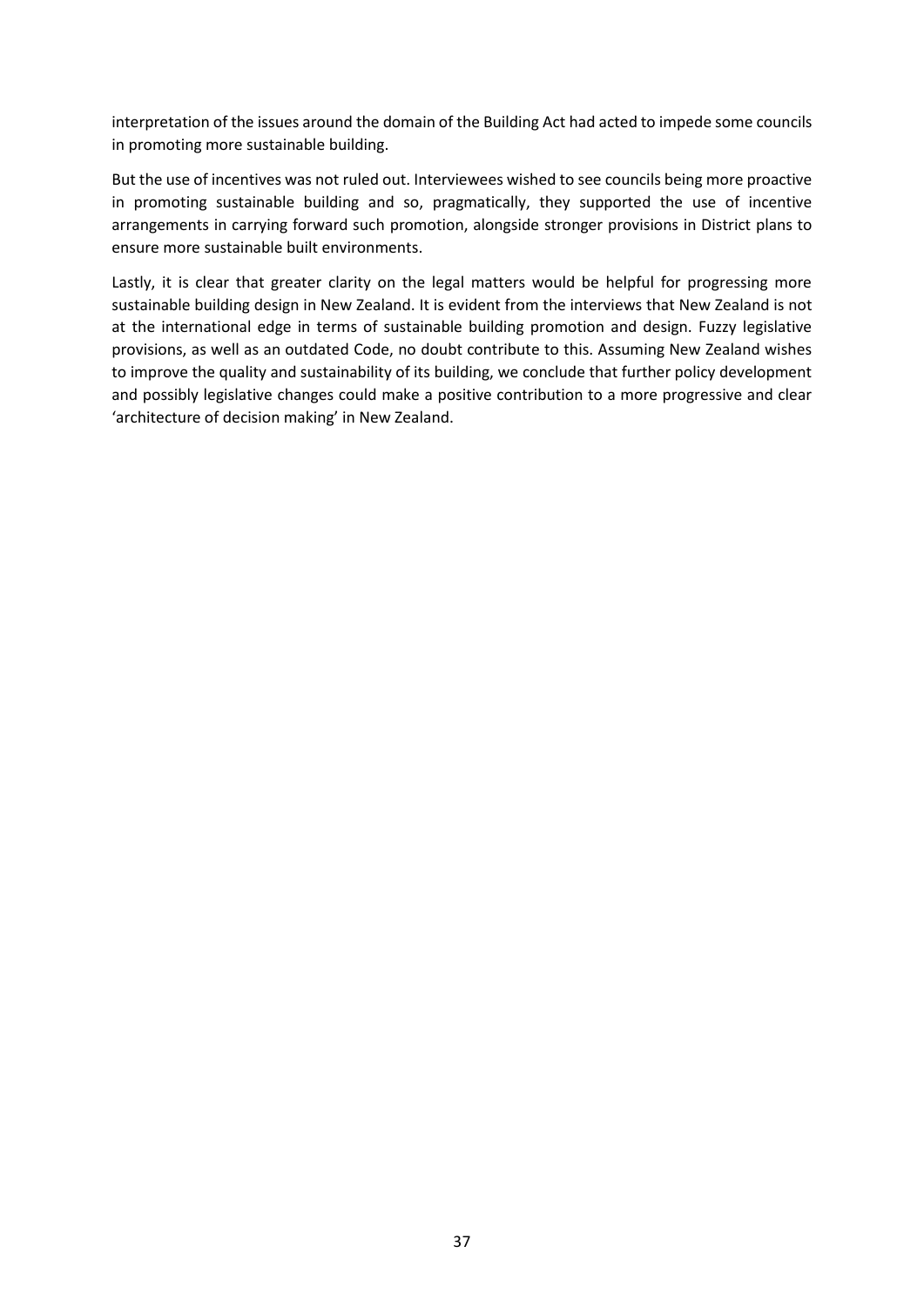interpretation of the issues around the domain of the Building Act had acted to impede some councils in promoting more sustainable building.

But the use of incentives was not ruled out. Interviewees wished to see councils being more proactive in promoting sustainable building and so, pragmatically, they supported the use of incentive arrangements in carrying forward such promotion, alongside stronger provisions in District plans to ensure more sustainable built environments.

Lastly, it is clear that greater clarity on the legal matters would be helpful for progressing more sustainable building design in New Zealand. It is evident from the interviews that New Zealand is not at the international edge in terms of sustainable building promotion and design. Fuzzy legislative provisions, as well as an outdated Code, no doubt contribute to this. Assuming New Zealand wishes to improve the quality and sustainability of its building, we conclude that further policy development and possibly legislative changes could make a positive contribution to a more progressive and clear 'architecture of decision making' in New Zealand.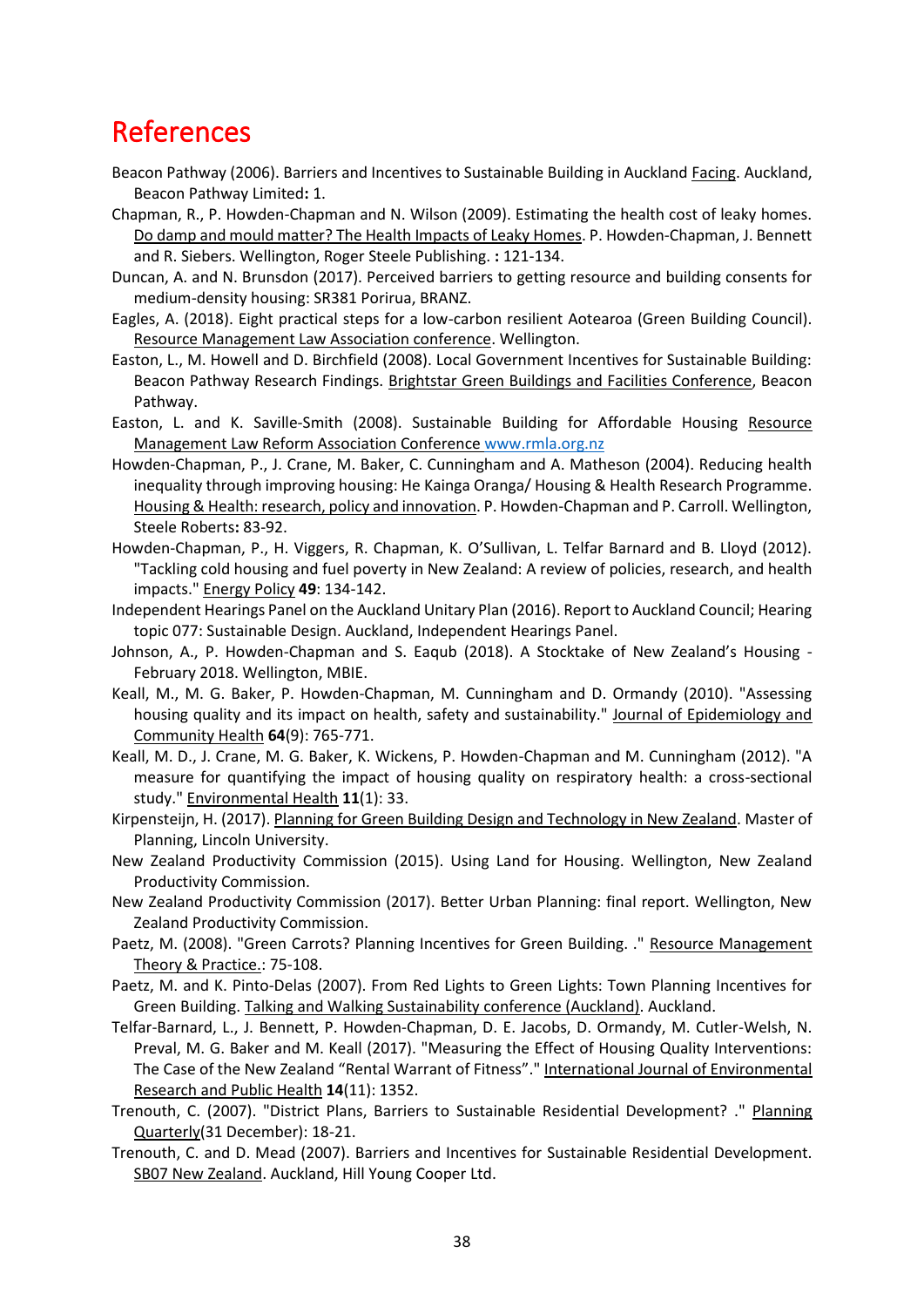### References

- Beacon Pathway (2006). Barriers and Incentives to Sustainable Building in Auckland Facing. Auckland, Beacon Pathway Limited**:** 1.
- Chapman, R., P. Howden-Chapman and N. Wilson (2009). Estimating the health cost of leaky homes. Do damp and mould matter? The Health Impacts of Leaky Homes. P. Howden-Chapman, J. Bennett and R. Siebers. Wellington, Roger Steele Publishing. **:** 121-134.
- Duncan, A. and N. Brunsdon (2017). Perceived barriers to getting resource and building consents for medium-density housing: SR381 Porirua, BRANZ.
- Eagles, A. (2018). Eight practical steps for a low-carbon resilient Aotearoa (Green Building Council). Resource Management Law Association conference. Wellington.
- Easton, L., M. Howell and D. Birchfield (2008). Local Government Incentives for Sustainable Building: Beacon Pathway Research Findings. Brightstar Green Buildings and Facilities Conference, Beacon Pathway.
- Easton, L. and K. Saville-Smith (2008). Sustainable Building for Affordable Housing Resource Management Law Reform Association Conference [www.rmla.org.nz](file:///C:/Users/ruth.CRESA/AppData/Local/Microsoft/Windows/INetCache/Content.Outlook/GPKLA5ET/www.rmla.org.nz)
- Howden-Chapman, P., J. Crane, M. Baker, C. Cunningham and A. Matheson (2004). Reducing health inequality through improving housing: He Kainga Oranga/ Housing & Health Research Programme. Housing & Health: research, policy and innovation. P. Howden-Chapman and P. Carroll. Wellington, Steele Roberts**:** 83-92.
- Howden-Chapman, P., H. Viggers, R. Chapman, K. O'Sullivan, L. Telfar Barnard and B. Lloyd (2012). "Tackling cold housing and fuel poverty in New Zealand: A review of policies, research, and health impacts." Energy Policy **49**: 134-142.
- Independent Hearings Panel on the Auckland Unitary Plan (2016). Report to Auckland Council; Hearing topic 077: Sustainable Design. Auckland, Independent Hearings Panel.
- Johnson, A., P. Howden-Chapman and S. Eaqub (2018). A Stocktake of New Zealand's Housing February 2018. Wellington, MBIE.
- Keall, M., M. G. Baker, P. Howden-Chapman, M. Cunningham and D. Ormandy (2010). "Assessing housing quality and its impact on health, safety and sustainability." Journal of Epidemiology and Community Health **64**(9): 765-771.
- Keall, M. D., J. Crane, M. G. Baker, K. Wickens, P. Howden-Chapman and M. Cunningham (2012). "A measure for quantifying the impact of housing quality on respiratory health: a cross-sectional study." Environmental Health **11**(1): 33.
- Kirpensteijn, H. (2017). Planning for Green Building Design and Technology in New Zealand. Master of Planning, Lincoln University.
- New Zealand Productivity Commission (2015). Using Land for Housing. Wellington, New Zealand Productivity Commission.
- New Zealand Productivity Commission (2017). Better Urban Planning: final report. Wellington, New Zealand Productivity Commission.
- Paetz, M. (2008). "Green Carrots? Planning Incentives for Green Building. ." Resource Management Theory & Practice.: 75-108.
- Paetz, M. and K. Pinto-Delas (2007). From Red Lights to Green Lights: Town Planning Incentives for Green Building. Talking and Walking Sustainability conference (Auckland). Auckland.
- Telfar-Barnard, L., J. Bennett, P. Howden-Chapman, D. E. Jacobs, D. Ormandy, M. Cutler-Welsh, N. Preval, M. G. Baker and M. Keall (2017). "Measuring the Effect of Housing Quality Interventions: The Case of the New Zealand "Rental Warrant of Fitness"." International Journal of Environmental Research and Public Health **14**(11): 1352.
- Trenouth, C. (2007). "District Plans, Barriers to Sustainable Residential Development? ." Planning Quarterly(31 December): 18-21.
- Trenouth, C. and D. Mead (2007). Barriers and Incentives for Sustainable Residential Development. SB07 New Zealand. Auckland, Hill Young Cooper Ltd.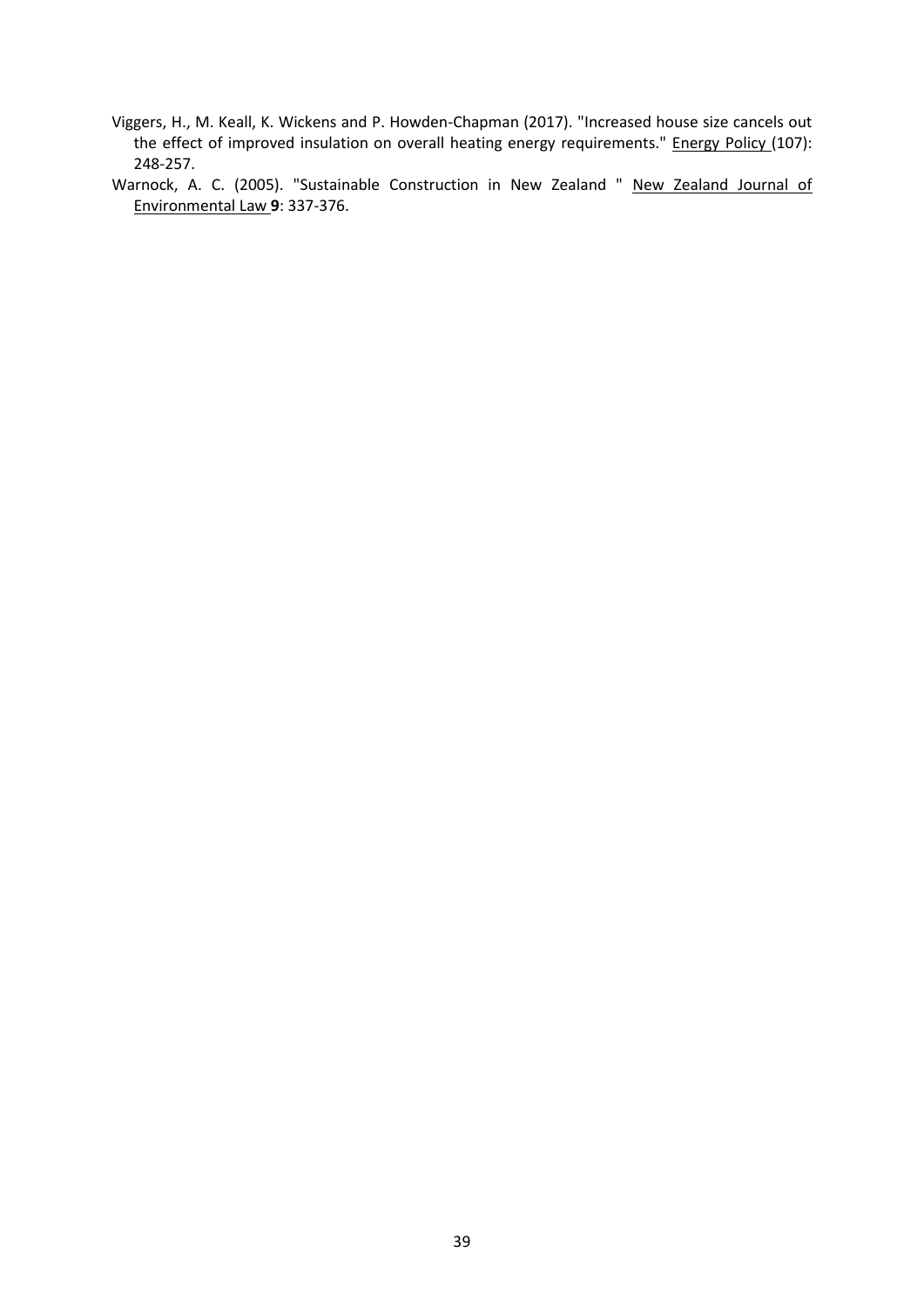- Viggers, H., M. Keall, K. Wickens and P. Howden-Chapman (2017). "Increased house size cancels out the effect of improved insulation on overall heating energy requirements." Energy Policy (107): 248-257.
- Warnock, A. C. (2005). "Sustainable Construction in New Zealand " New Zealand Journal of Environmental Law **9**: 337-376.